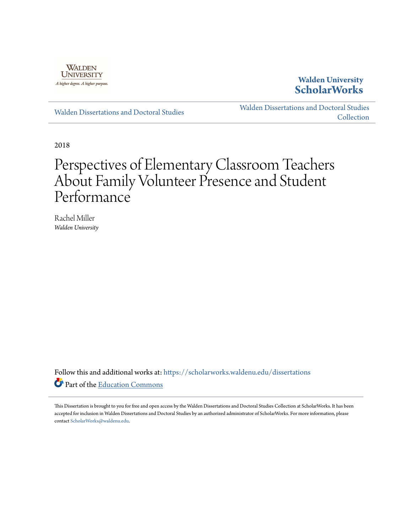

## **Walden University [ScholarWorks](https://scholarworks.waldenu.edu?utm_source=scholarworks.waldenu.edu%2Fdissertations%2F5638&utm_medium=PDF&utm_campaign=PDFCoverPages)**

[Walden Dissertations and Doctoral Studies](https://scholarworks.waldenu.edu/dissertations?utm_source=scholarworks.waldenu.edu%2Fdissertations%2F5638&utm_medium=PDF&utm_campaign=PDFCoverPages)

[Walden Dissertations and Doctoral Studies](https://scholarworks.waldenu.edu/dissanddoc?utm_source=scholarworks.waldenu.edu%2Fdissertations%2F5638&utm_medium=PDF&utm_campaign=PDFCoverPages) [Collection](https://scholarworks.waldenu.edu/dissanddoc?utm_source=scholarworks.waldenu.edu%2Fdissertations%2F5638&utm_medium=PDF&utm_campaign=PDFCoverPages)

2018

# Perspectives of Elementary Classroom Teachers About Family Volunteer Presence and Student Performance

Rachel Miller *Walden University*

Follow this and additional works at: [https://scholarworks.waldenu.edu/dissertations](https://scholarworks.waldenu.edu/dissertations?utm_source=scholarworks.waldenu.edu%2Fdissertations%2F5638&utm_medium=PDF&utm_campaign=PDFCoverPages) Part of the [Education Commons](http://network.bepress.com/hgg/discipline/784?utm_source=scholarworks.waldenu.edu%2Fdissertations%2F5638&utm_medium=PDF&utm_campaign=PDFCoverPages)

This Dissertation is brought to you for free and open access by the Walden Dissertations and Doctoral Studies Collection at ScholarWorks. It has been accepted for inclusion in Walden Dissertations and Doctoral Studies by an authorized administrator of ScholarWorks. For more information, please contact [ScholarWorks@waldenu.edu](mailto:ScholarWorks@waldenu.edu).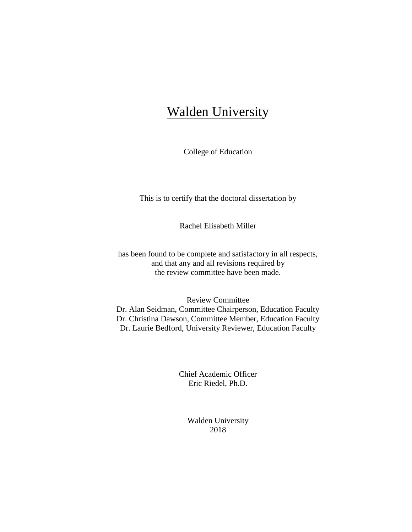## **Walden University**

College of Education

This is to certify that the doctoral dissertation by

Rachel Elisabeth Miller

has been found to be complete and satisfactory in all respects, and that any and all revisions required by the review committee have been made.

Review Committee Dr. Alan Seidman, Committee Chairperson, Education Faculty Dr. Christina Dawson, Committee Member, Education Faculty Dr. Laurie Bedford, University Reviewer, Education Faculty

> Chief Academic Officer Eric Riedel, Ph.D.

> > Walden University 2018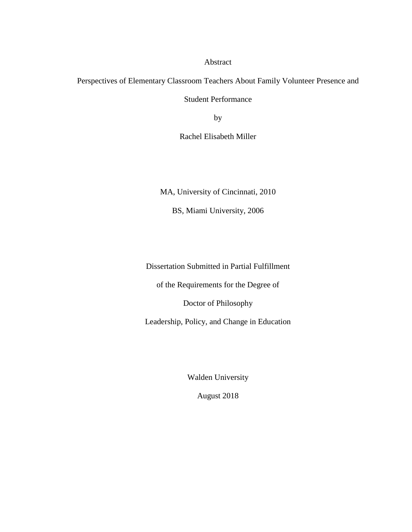Abstract

Perspectives of Elementary Classroom Teachers About Family Volunteer Presence and Student Performance

by

Rachel Elisabeth Miller

MA, University of Cincinnati, 2010

BS, Miami University, 2006

Dissertation Submitted in Partial Fulfillment

of the Requirements for the Degree of

Doctor of Philosophy

Leadership, Policy, and Change in Education

Walden University

August 2018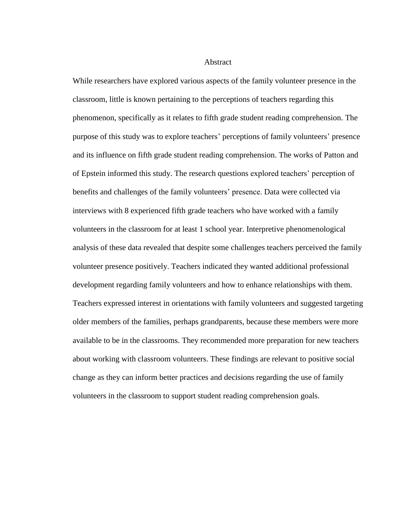#### **Abstract**

While researchers have explored various aspects of the family volunteer presence in the classroom, little is known pertaining to the perceptions of teachers regarding this phenomenon, specifically as it relates to fifth grade student reading comprehension. The purpose of this study was to explore teachers' perceptions of family volunteers' presence and its influence on fifth grade student reading comprehension. The works of Patton and of Epstein informed this study. The research questions explored teachers' perception of benefits and challenges of the family volunteers' presence. Data were collected via interviews with 8 experienced fifth grade teachers who have worked with a family volunteers in the classroom for at least 1 school year. Interpretive phenomenological analysis of these data revealed that despite some challenges teachers perceived the family volunteer presence positively. Teachers indicated they wanted additional professional development regarding family volunteers and how to enhance relationships with them. Teachers expressed interest in orientations with family volunteers and suggested targeting older members of the families, perhaps grandparents, because these members were more available to be in the classrooms. They recommended more preparation for new teachers about working with classroom volunteers. These findings are relevant to positive social change as they can inform better practices and decisions regarding the use of family volunteers in the classroom to support student reading comprehension goals*.*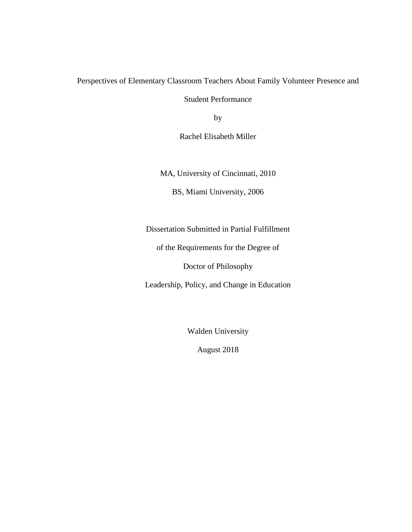## Perspectives of Elementary Classroom Teachers About Family Volunteer Presence and

Student Performance

by

Rachel Elisabeth Miller

MA, University of Cincinnati, 2010

BS, Miami University, 2006

Dissertation Submitted in Partial Fulfillment

of the Requirements for the Degree of

Doctor of Philosophy

Leadership, Policy, and Change in Education

Walden University

August 2018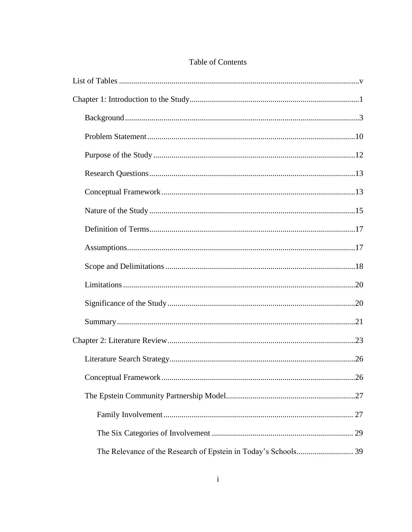## Table of Contents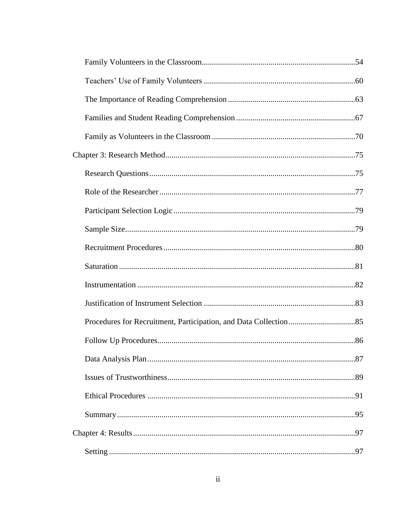| .87 |
|-----|
|     |
|     |
|     |
|     |
|     |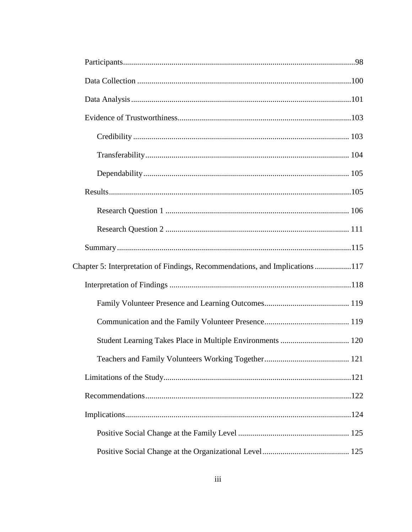| Chapter 5: Interpretation of Findings, Recommendations, and Implications117 |  |
|-----------------------------------------------------------------------------|--|
|                                                                             |  |
|                                                                             |  |
|                                                                             |  |
|                                                                             |  |
|                                                                             |  |
|                                                                             |  |
|                                                                             |  |
|                                                                             |  |
|                                                                             |  |
|                                                                             |  |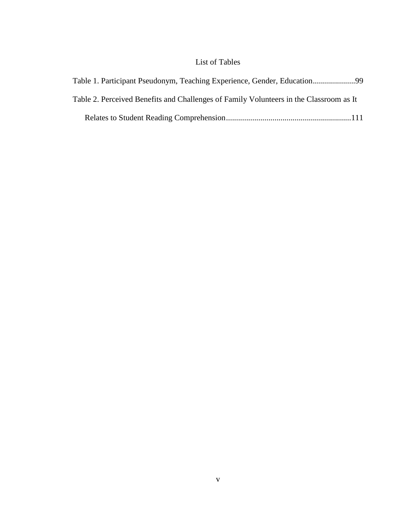## List of Tables

<span id="page-9-0"></span>

| Table 2. Perceived Benefits and Challenges of Family Volunteers in the Classroom as It |  |
|----------------------------------------------------------------------------------------|--|
|                                                                                        |  |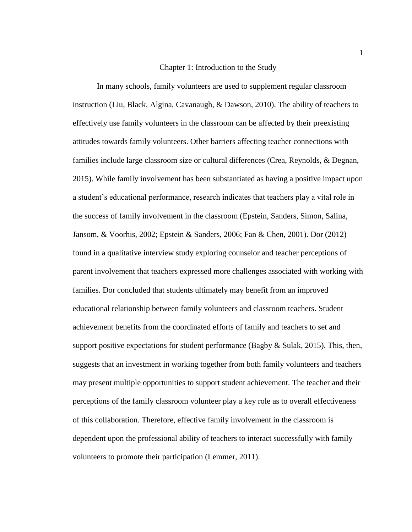#### Chapter 1: Introduction to the Study

<span id="page-10-0"></span>In many schools, family volunteers are used to supplement regular classroom instruction (Liu, Black, Algina, Cavanaugh, & Dawson, 2010). The ability of teachers to effectively use family volunteers in the classroom can be affected by their preexisting attitudes towards family volunteers. Other barriers affecting teacher connections with families include large classroom size or cultural differences (Crea, Reynolds, & Degnan, 2015). While family involvement has been substantiated as having a positive impact upon a student's educational performance, research indicates that teachers play a vital role in the success of family involvement in the classroom (Epstein, Sanders, Simon, Salina, Jansom, & Voorhis, 2002; Epstein & Sanders, 2006; Fan & Chen, 2001). Dor (2012) found in a qualitative interview study exploring counselor and teacher perceptions of parent involvement that teachers expressed more challenges associated with working with families. Dor concluded that students ultimately may benefit from an improved educational relationship between family volunteers and classroom teachers. Student achievement benefits from the coordinated efforts of family and teachers to set and support positive expectations for student performance (Bagby  $\&$  Sulak, 2015). This, then, suggests that an investment in working together from both family volunteers and teachers may present multiple opportunities to support student achievement. The teacher and their perceptions of the family classroom volunteer play a key role as to overall effectiveness of this collaboration. Therefore, effective family involvement in the classroom is dependent upon the professional ability of teachers to interact successfully with family volunteers to promote their participation (Lemmer, 2011).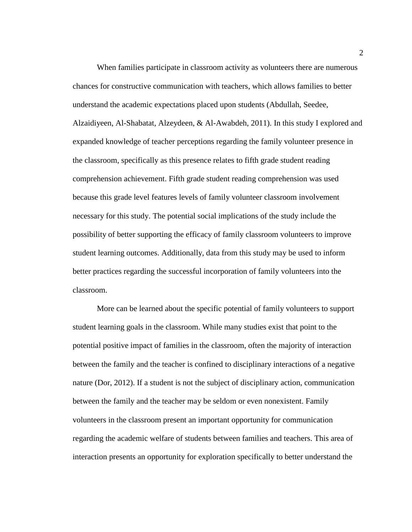When families participate in classroom activity as volunteers there are numerous chances for constructive communication with teachers, which allows families to better understand the academic expectations placed upon students (Abdullah, Seedee, Alzaidiyeen, Al-Shabatat, Alzeydeen, & Al-Awabdeh, 2011). In this study I explored and expanded knowledge of teacher perceptions regarding the family volunteer presence in the classroom, specifically as this presence relates to fifth grade student reading comprehension achievement. Fifth grade student reading comprehension was used because this grade level features levels of family volunteer classroom involvement necessary for this study. The potential social implications of the study include the possibility of better supporting the efficacy of family classroom volunteers to improve student learning outcomes. Additionally, data from this study may be used to inform better practices regarding the successful incorporation of family volunteers into the classroom.

More can be learned about the specific potential of family volunteers to support student learning goals in the classroom. While many studies exist that point to the potential positive impact of families in the classroom, often the majority of interaction between the family and the teacher is confined to disciplinary interactions of a negative nature (Dor, 2012). If a student is not the subject of disciplinary action, communication between the family and the teacher may be seldom or even nonexistent. Family volunteers in the classroom present an important opportunity for communication regarding the academic welfare of students between families and teachers. This area of interaction presents an opportunity for exploration specifically to better understand the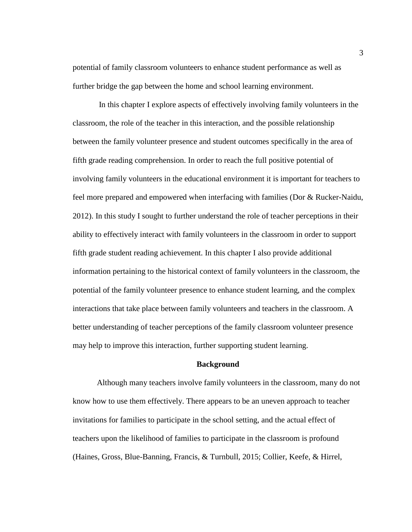potential of family classroom volunteers to enhance student performance as well as further bridge the gap between the home and school learning environment.

In this chapter I explore aspects of effectively involving family volunteers in the classroom, the role of the teacher in this interaction, and the possible relationship between the family volunteer presence and student outcomes specifically in the area of fifth grade reading comprehension. In order to reach the full positive potential of involving family volunteers in the educational environment it is important for teachers to feel more prepared and empowered when interfacing with families (Dor & Rucker-Naidu, 2012). In this study I sought to further understand the role of teacher perceptions in their ability to effectively interact with family volunteers in the classroom in order to support fifth grade student reading achievement. In this chapter I also provide additional information pertaining to the historical context of family volunteers in the classroom, the potential of the family volunteer presence to enhance student learning, and the complex interactions that take place between family volunteers and teachers in the classroom. A better understanding of teacher perceptions of the family classroom volunteer presence may help to improve this interaction, further supporting student learning.

#### **Background**

<span id="page-12-0"></span>Although many teachers involve family volunteers in the classroom, many do not know how to use them effectively. There appears to be an uneven approach to teacher invitations for families to participate in the school setting, and the actual effect of teachers upon the likelihood of families to participate in the classroom is profound (Haines, Gross, Blue-Banning, Francis, & Turnbull, 2015; Collier, Keefe, & Hirrel,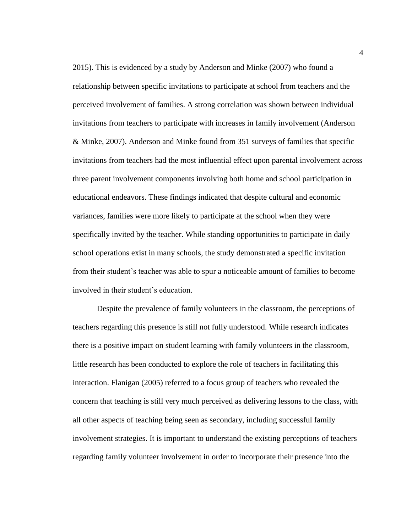2015). This is evidenced by a study by Anderson and Minke (2007) who found a relationship between specific invitations to participate at school from teachers and the perceived involvement of families. A strong correlation was shown between individual invitations from teachers to participate with increases in family involvement (Anderson & Minke, 2007). Anderson and Minke found from 351 surveys of families that specific invitations from teachers had the most influential effect upon parental involvement across three parent involvement components involving both home and school participation in educational endeavors. These findings indicated that despite cultural and economic variances, families were more likely to participate at the school when they were specifically invited by the teacher. While standing opportunities to participate in daily school operations exist in many schools, the study demonstrated a specific invitation from their student's teacher was able to spur a noticeable amount of families to become involved in their student's education.

Despite the prevalence of family volunteers in the classroom, the perceptions of teachers regarding this presence is still not fully understood. While research indicates there is a positive impact on student learning with family volunteers in the classroom, little research has been conducted to explore the role of teachers in facilitating this interaction. Flanigan (2005) referred to a focus group of teachers who revealed the concern that teaching is still very much perceived as delivering lessons to the class, with all other aspects of teaching being seen as secondary, including successful family involvement strategies. It is important to understand the existing perceptions of teachers regarding family volunteer involvement in order to incorporate their presence into the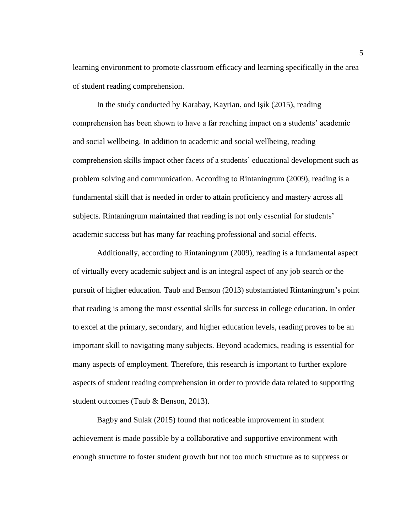learning environment to promote classroom efficacy and learning specifically in the area of student reading comprehension.

In the study conducted by Karabay, Kayrian, and Işik (2015), reading comprehension has been shown to have a far reaching impact on a students' academic and social wellbeing. In addition to academic and social wellbeing, reading comprehension skills impact other facets of a students' educational development such as problem solving and communication. According to Rintaningrum (2009), reading is a fundamental skill that is needed in order to attain proficiency and mastery across all subjects. Rintaningrum maintained that reading is not only essential for students' academic success but has many far reaching professional and social effects.

Additionally, according to Rintaningrum (2009), reading is a fundamental aspect of virtually every academic subject and is an integral aspect of any job search or the pursuit of higher education. Taub and Benson (2013) substantiated Rintaningrum's point that reading is among the most essential skills for success in college education. In order to excel at the primary, secondary, and higher education levels, reading proves to be an important skill to navigating many subjects. Beyond academics, reading is essential for many aspects of employment. Therefore, this research is important to further explore aspects of student reading comprehension in order to provide data related to supporting student outcomes (Taub & Benson, 2013).

Bagby and Sulak (2015) found that noticeable improvement in student achievement is made possible by a collaborative and supportive environment with enough structure to foster student growth but not too much structure as to suppress or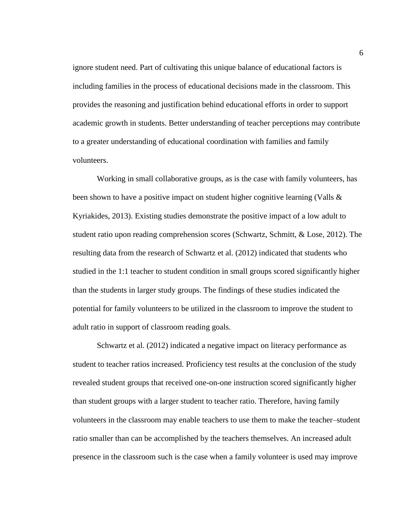ignore student need. Part of cultivating this unique balance of educational factors is including families in the process of educational decisions made in the classroom. This provides the reasoning and justification behind educational efforts in order to support academic growth in students. Better understanding of teacher perceptions may contribute to a greater understanding of educational coordination with families and family volunteers.

Working in small collaborative groups, as is the case with family volunteers, has been shown to have a positive impact on student higher cognitive learning (Valls  $\&$ Kyriakides, 2013). Existing studies demonstrate the positive impact of a low adult to student ratio upon reading comprehension scores (Schwartz, Schmitt, & Lose, 2012). The resulting data from the research of Schwartz et al. (2012) indicated that students who studied in the 1:1 teacher to student condition in small groups scored significantly higher than the students in larger study groups. The findings of these studies indicated the potential for family volunteers to be utilized in the classroom to improve the student to adult ratio in support of classroom reading goals.

Schwartz et al. (2012) indicated a negative impact on literacy performance as student to teacher ratios increased. Proficiency test results at the conclusion of the study revealed student groups that received one-on-one instruction scored significantly higher than student groups with a larger student to teacher ratio. Therefore, having family volunteers in the classroom may enable teachers to use them to make the teacher–student ratio smaller than can be accomplished by the teachers themselves. An increased adult presence in the classroom such is the case when a family volunteer is used may improve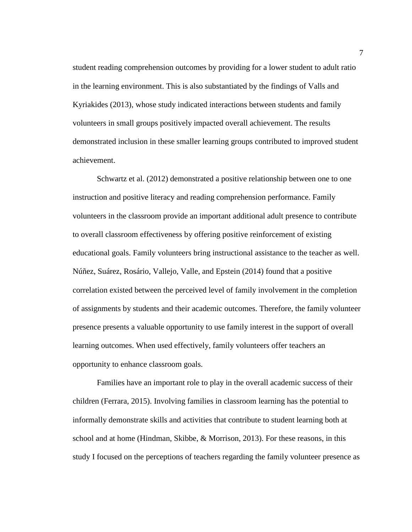student reading comprehension outcomes by providing for a lower student to adult ratio in the learning environment. This is also substantiated by the findings of Valls and Kyriakides (2013), whose study indicated interactions between students and family volunteers in small groups positively impacted overall achievement. The results demonstrated inclusion in these smaller learning groups contributed to improved student achievement.

Schwartz et al. (2012) demonstrated a positive relationship between one to one instruction and positive literacy and reading comprehension performance. Family volunteers in the classroom provide an important additional adult presence to contribute to overall classroom effectiveness by offering positive reinforcement of existing educational goals. Family volunteers bring instructional assistance to the teacher as well. Núñez, Suárez, Rosário, Vallejo, Valle, and Epstein (2014) found that a positive correlation existed between the perceived level of family involvement in the completion of assignments by students and their academic outcomes. Therefore, the family volunteer presence presents a valuable opportunity to use family interest in the support of overall learning outcomes. When used effectively, family volunteers offer teachers an opportunity to enhance classroom goals.

Families have an important role to play in the overall academic success of their children (Ferrara, 2015). Involving families in classroom learning has the potential to informally demonstrate skills and activities that contribute to student learning both at school and at home (Hindman, Skibbe, & Morrison, 2013). For these reasons, in this study I focused on the perceptions of teachers regarding the family volunteer presence as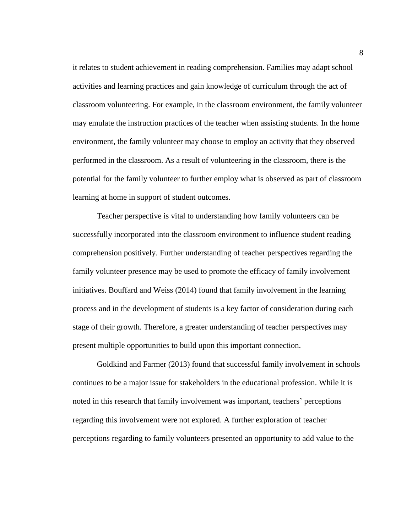it relates to student achievement in reading comprehension. Families may adapt school activities and learning practices and gain knowledge of curriculum through the act of classroom volunteering. For example, in the classroom environment, the family volunteer may emulate the instruction practices of the teacher when assisting students. In the home environment, the family volunteer may choose to employ an activity that they observed performed in the classroom. As a result of volunteering in the classroom, there is the potential for the family volunteer to further employ what is observed as part of classroom learning at home in support of student outcomes.

Teacher perspective is vital to understanding how family volunteers can be successfully incorporated into the classroom environment to influence student reading comprehension positively. Further understanding of teacher perspectives regarding the family volunteer presence may be used to promote the efficacy of family involvement initiatives. Bouffard and Weiss (2014) found that family involvement in the learning process and in the development of students is a key factor of consideration during each stage of their growth. Therefore, a greater understanding of teacher perspectives may present multiple opportunities to build upon this important connection.

Goldkind and Farmer (2013) found that successful family involvement in schools continues to be a major issue for stakeholders in the educational profession. While it is noted in this research that family involvement was important, teachers' perceptions regarding this involvement were not explored. A further exploration of teacher perceptions regarding to family volunteers presented an opportunity to add value to the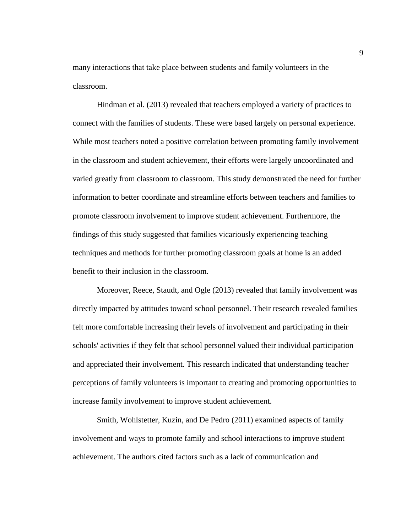many interactions that take place between students and family volunteers in the classroom.

Hindman et al. (2013) revealed that teachers employed a variety of practices to connect with the families of students. These were based largely on personal experience. While most teachers noted a positive correlation between promoting family involvement in the classroom and student achievement, their efforts were largely uncoordinated and varied greatly from classroom to classroom. This study demonstrated the need for further information to better coordinate and streamline efforts between teachers and families to promote classroom involvement to improve student achievement. Furthermore, the findings of this study suggested that families vicariously experiencing teaching techniques and methods for further promoting classroom goals at home is an added benefit to their inclusion in the classroom.

Moreover, Reece, Staudt, and Ogle (2013) revealed that family involvement was directly impacted by attitudes toward school personnel. Their research revealed families felt more comfortable increasing their levels of involvement and participating in their schools' activities if they felt that school personnel valued their individual participation and appreciated their involvement. This research indicated that understanding teacher perceptions of family volunteers is important to creating and promoting opportunities to increase family involvement to improve student achievement.

Smith, Wohlstetter, Kuzin, and De Pedro (2011) examined aspects of family involvement and ways to promote family and school interactions to improve student achievement. The authors cited factors such as a lack of communication and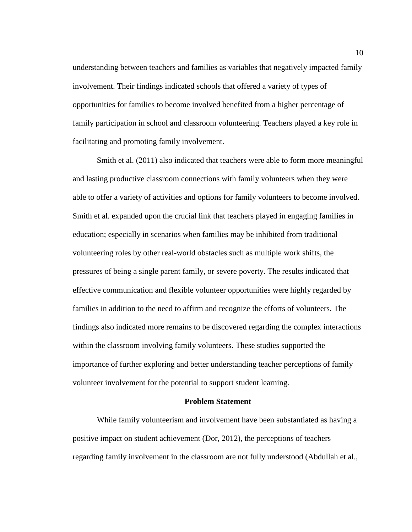understanding between teachers and families as variables that negatively impacted family involvement. Their findings indicated schools that offered a variety of types of opportunities for families to become involved benefited from a higher percentage of family participation in school and classroom volunteering. Teachers played a key role in facilitating and promoting family involvement.

Smith et al. (2011) also indicated that teachers were able to form more meaningful and lasting productive classroom connections with family volunteers when they were able to offer a variety of activities and options for family volunteers to become involved. Smith et al. expanded upon the crucial link that teachers played in engaging families in education; especially in scenarios when families may be inhibited from traditional volunteering roles by other real-world obstacles such as multiple work shifts, the pressures of being a single parent family, or severe poverty. The results indicated that effective communication and flexible volunteer opportunities were highly regarded by families in addition to the need to affirm and recognize the efforts of volunteers. The findings also indicated more remains to be discovered regarding the complex interactions within the classroom involving family volunteers. These studies supported the importance of further exploring and better understanding teacher perceptions of family volunteer involvement for the potential to support student learning.

#### **Problem Statement**

<span id="page-19-0"></span>While family volunteerism and involvement have been substantiated as having a positive impact on student achievement (Dor, 2012), the perceptions of teachers regarding family involvement in the classroom are not fully understood (Abdullah et al.,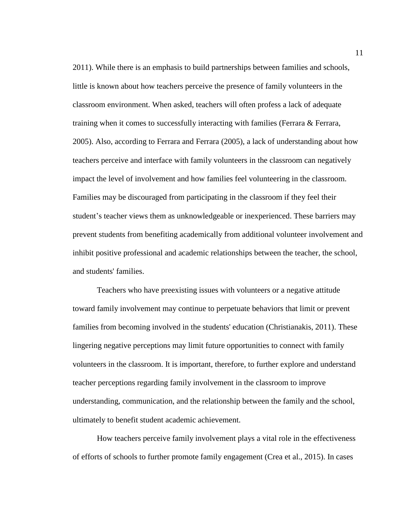2011). While there is an emphasis to build partnerships between families and schools, little is known about how teachers perceive the presence of family volunteers in the classroom environment. When asked, teachers will often profess a lack of adequate training when it comes to successfully interacting with families (Ferrara & Ferrara, 2005). Also, according to Ferrara and Ferrara (2005), a lack of understanding about how teachers perceive and interface with family volunteers in the classroom can negatively impact the level of involvement and how families feel volunteering in the classroom. Families may be discouraged from participating in the classroom if they feel their student's teacher views them as unknowledgeable or inexperienced. These barriers may prevent students from benefiting academically from additional volunteer involvement and inhibit positive professional and academic relationships between the teacher, the school, and students' families.

Teachers who have preexisting issues with volunteers or a negative attitude toward family involvement may continue to perpetuate behaviors that limit or prevent families from becoming involved in the students' education (Christianakis, 2011). These lingering negative perceptions may limit future opportunities to connect with family volunteers in the classroom. It is important, therefore, to further explore and understand teacher perceptions regarding family involvement in the classroom to improve understanding, communication, and the relationship between the family and the school, ultimately to benefit student academic achievement.

How teachers perceive family involvement plays a vital role in the effectiveness of efforts of schools to further promote family engagement (Crea et al., 2015). In cases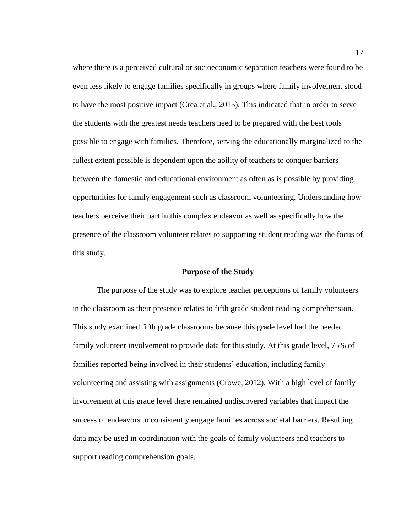where there is a perceived cultural or socioeconomic separation teachers were found to be even less likely to engage families specifically in groups where family involvement stood to have the most positive impact (Crea et al., 2015). This indicated that in order to serve the students with the greatest needs teachers need to be prepared with the best tools possible to engage with families. Therefore, serving the educationally marginalized to the fullest extent possible is dependent upon the ability of teachers to conquer barriers between the domestic and educational environment as often as is possible by providing opportunities for family engagement such as classroom volunteering. Understanding how teachers perceive their part in this complex endeavor as well as specifically how the presence of the classroom volunteer relates to supporting student reading was the focus of this study.

#### **Purpose of the Study**

<span id="page-21-0"></span>The purpose of the study was to explore teacher perceptions of family volunteers in the classroom as their presence relates to fifth grade student reading comprehension. This study examined fifth grade classrooms because this grade level had the needed family volunteer involvement to provide data for this study. At this grade level, 75% of families reported being involved in their students' education, including family volunteering and assisting with assignments (Crowe, 2012). With a high level of family involvement at this grade level there remained undiscovered variables that impact the success of endeavors to consistently engage families across societal barriers. Resulting data may be used in coordination with the goals of family volunteers and teachers to support reading comprehension goals.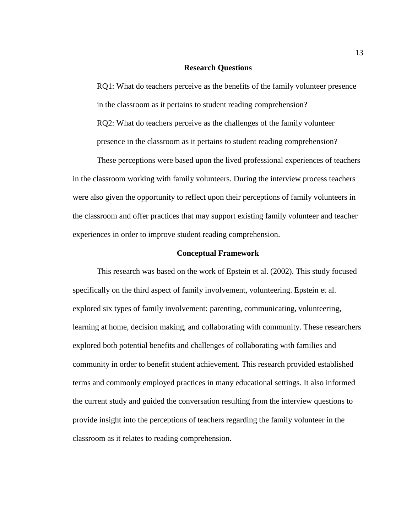#### **Research Questions**

<span id="page-22-0"></span>RQ1: What do teachers perceive as the benefits of the family volunteer presence in the classroom as it pertains to student reading comprehension? RQ2: What do teachers perceive as the challenges of the family volunteer presence in the classroom as it pertains to student reading comprehension?

These perceptions were based upon the lived professional experiences of teachers in the classroom working with family volunteers. During the interview process teachers were also given the opportunity to reflect upon their perceptions of family volunteers in the classroom and offer practices that may support existing family volunteer and teacher experiences in order to improve student reading comprehension.

#### **Conceptual Framework**

<span id="page-22-1"></span>This research was based on the work of Epstein et al. (2002). This study focused specifically on the third aspect of family involvement, volunteering. Epstein et al. explored six types of family involvement: parenting, communicating, volunteering, learning at home, decision making, and collaborating with community. These researchers explored both potential benefits and challenges of collaborating with families and community in order to benefit student achievement. This research provided established terms and commonly employed practices in many educational settings. It also informed the current study and guided the conversation resulting from the interview questions to provide insight into the perceptions of teachers regarding the family volunteer in the classroom as it relates to reading comprehension.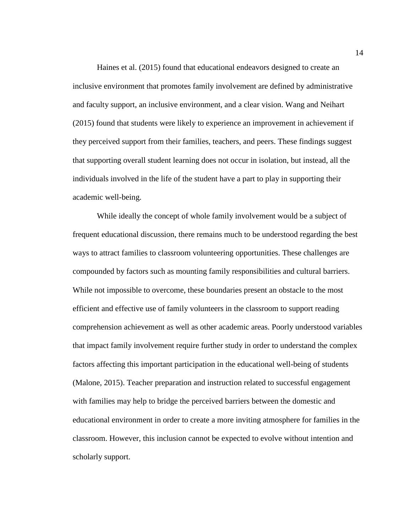Haines et al. (2015) found that educational endeavors designed to create an inclusive environment that promotes family involvement are defined by administrative and faculty support, an inclusive environment, and a clear vision. Wang and Neihart (2015) found that students were likely to experience an improvement in achievement if they perceived support from their families, teachers, and peers. These findings suggest that supporting overall student learning does not occur in isolation, but instead, all the individuals involved in the life of the student have a part to play in supporting their academic well-being.

While ideally the concept of whole family involvement would be a subject of frequent educational discussion, there remains much to be understood regarding the best ways to attract families to classroom volunteering opportunities. These challenges are compounded by factors such as mounting family responsibilities and cultural barriers. While not impossible to overcome, these boundaries present an obstacle to the most efficient and effective use of family volunteers in the classroom to support reading comprehension achievement as well as other academic areas. Poorly understood variables that impact family involvement require further study in order to understand the complex factors affecting this important participation in the educational well-being of students (Malone, 2015). Teacher preparation and instruction related to successful engagement with families may help to bridge the perceived barriers between the domestic and educational environment in order to create a more inviting atmosphere for families in the classroom. However, this inclusion cannot be expected to evolve without intention and scholarly support.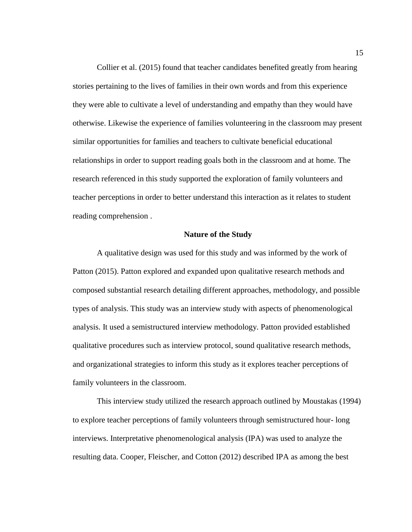Collier et al. (2015) found that teacher candidates benefited greatly from hearing stories pertaining to the lives of families in their own words and from this experience they were able to cultivate a level of understanding and empathy than they would have otherwise. Likewise the experience of families volunteering in the classroom may present similar opportunities for families and teachers to cultivate beneficial educational relationships in order to support reading goals both in the classroom and at home. The research referenced in this study supported the exploration of family volunteers and teacher perceptions in order to better understand this interaction as it relates to student reading comprehension .

#### **Nature of the Study**

<span id="page-24-0"></span>A qualitative design was used for this study and was informed by the work of Patton (2015). Patton explored and expanded upon qualitative research methods and composed substantial research detailing different approaches, methodology, and possible types of analysis. This study was an interview study with aspects of phenomenological analysis. It used a semistructured interview methodology. Patton provided established qualitative procedures such as interview protocol, sound qualitative research methods, and organizational strategies to inform this study as it explores teacher perceptions of family volunteers in the classroom.

This interview study utilized the research approach outlined by Moustakas (1994) to explore teacher perceptions of family volunteers through semistructured hour- long interviews. Interpretative phenomenological analysis (IPA) was used to analyze the resulting data. Cooper, Fleischer, and Cotton (2012) described IPA as among the best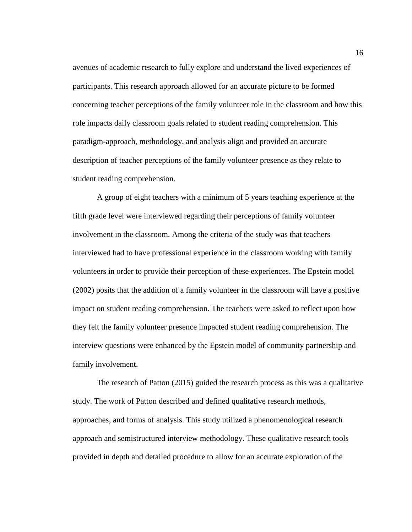avenues of academic research to fully explore and understand the lived experiences of participants. This research approach allowed for an accurate picture to be formed concerning teacher perceptions of the family volunteer role in the classroom and how this role impacts daily classroom goals related to student reading comprehension. This paradigm-approach, methodology, and analysis align and provided an accurate description of teacher perceptions of the family volunteer presence as they relate to student reading comprehension.

A group of eight teachers with a minimum of 5 years teaching experience at the fifth grade level were interviewed regarding their perceptions of family volunteer involvement in the classroom. Among the criteria of the study was that teachers interviewed had to have professional experience in the classroom working with family volunteers in order to provide their perception of these experiences. The Epstein model (2002) posits that the addition of a family volunteer in the classroom will have a positive impact on student reading comprehension. The teachers were asked to reflect upon how they felt the family volunteer presence impacted student reading comprehension. The interview questions were enhanced by the Epstein model of community partnership and family involvement.

The research of Patton (2015) guided the research process as this was a qualitative study. The work of Patton described and defined qualitative research methods, approaches, and forms of analysis. This study utilized a phenomenological research approach and semistructured interview methodology. These qualitative research tools provided in depth and detailed procedure to allow for an accurate exploration of the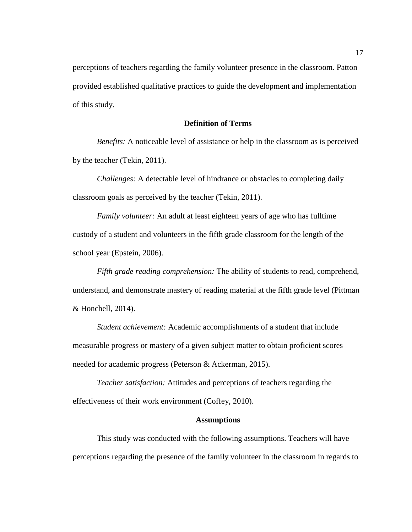perceptions of teachers regarding the family volunteer presence in the classroom. Patton provided established qualitative practices to guide the development and implementation of this study.

#### **Definition of Terms**

<span id="page-26-0"></span>*Benefits:* A noticeable level of assistance or help in the classroom as is perceived by the teacher (Tekin, 2011).

*Challenges:* A detectable level of hindrance or obstacles to completing daily classroom goals as perceived by the teacher (Tekin, 2011).

*Family volunteer:* An adult at least eighteen years of age who has fulltime custody of a student and volunteers in the fifth grade classroom for the length of the school year (Epstein, 2006).

*Fifth grade reading comprehension:* The ability of students to read, comprehend, understand, and demonstrate mastery of reading material at the fifth grade level (Pittman & Honchell, 2014).

*Student achievement:* Academic accomplishments of a student that include measurable progress or mastery of a given subject matter to obtain proficient scores needed for academic progress (Peterson & Ackerman, 2015).

*Teacher satisfaction:* Attitudes and perceptions of teachers regarding the effectiveness of their work environment (Coffey, 2010).

#### **Assumptions**

<span id="page-26-1"></span>This study was conducted with the following assumptions. Teachers will have perceptions regarding the presence of the family volunteer in the classroom in regards to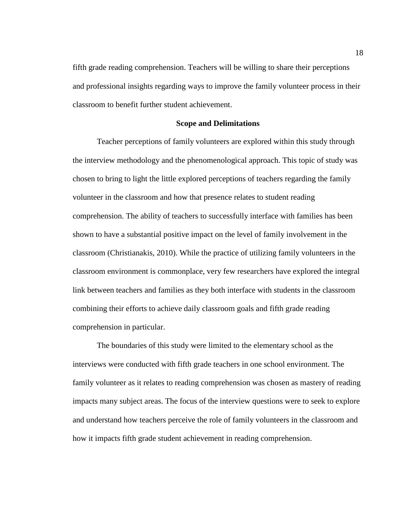fifth grade reading comprehension. Teachers will be willing to share their perceptions and professional insights regarding ways to improve the family volunteer process in their classroom to benefit further student achievement.

#### **Scope and Delimitations**

<span id="page-27-0"></span>Teacher perceptions of family volunteers are explored within this study through the interview methodology and the phenomenological approach. This topic of study was chosen to bring to light the little explored perceptions of teachers regarding the family volunteer in the classroom and how that presence relates to student reading comprehension. The ability of teachers to successfully interface with families has been shown to have a substantial positive impact on the level of family involvement in the classroom (Christianakis, 2010). While the practice of utilizing family volunteers in the classroom environment is commonplace, very few researchers have explored the integral link between teachers and families as they both interface with students in the classroom combining their efforts to achieve daily classroom goals and fifth grade reading comprehension in particular.

The boundaries of this study were limited to the elementary school as the interviews were conducted with fifth grade teachers in one school environment. The family volunteer as it relates to reading comprehension was chosen as mastery of reading impacts many subject areas. The focus of the interview questions were to seek to explore and understand how teachers perceive the role of family volunteers in the classroom and how it impacts fifth grade student achievement in reading comprehension.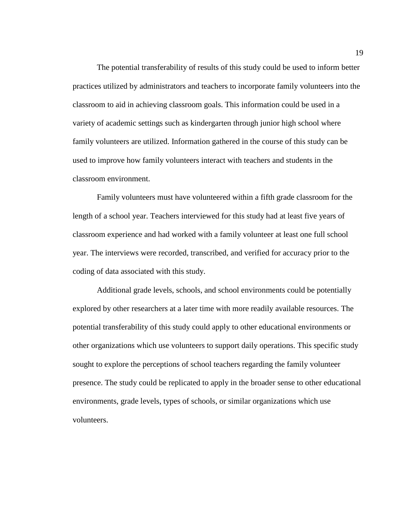The potential transferability of results of this study could be used to inform better practices utilized by administrators and teachers to incorporate family volunteers into the classroom to aid in achieving classroom goals. This information could be used in a variety of academic settings such as kindergarten through junior high school where family volunteers are utilized. Information gathered in the course of this study can be used to improve how family volunteers interact with teachers and students in the classroom environment.

Family volunteers must have volunteered within a fifth grade classroom for the length of a school year. Teachers interviewed for this study had at least five years of classroom experience and had worked with a family volunteer at least one full school year. The interviews were recorded, transcribed, and verified for accuracy prior to the coding of data associated with this study.

Additional grade levels, schools, and school environments could be potentially explored by other researchers at a later time with more readily available resources. The potential transferability of this study could apply to other educational environments or other organizations which use volunteers to support daily operations. This specific study sought to explore the perceptions of school teachers regarding the family volunteer presence. The study could be replicated to apply in the broader sense to other educational environments, grade levels, types of schools, or similar organizations which use volunteers.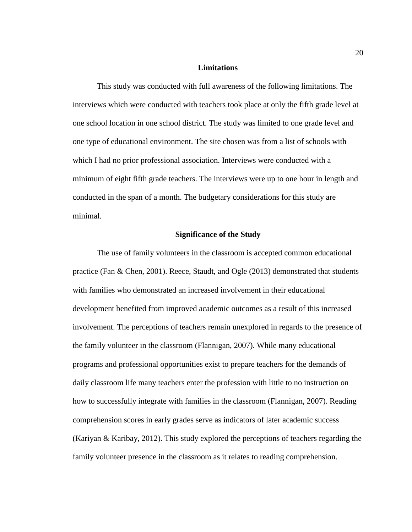#### **Limitations**

<span id="page-29-0"></span>This study was conducted with full awareness of the following limitations. The interviews which were conducted with teachers took place at only the fifth grade level at one school location in one school district. The study was limited to one grade level and one type of educational environment. The site chosen was from a list of schools with which I had no prior professional association. Interviews were conducted with a minimum of eight fifth grade teachers. The interviews were up to one hour in length and conducted in the span of a month. The budgetary considerations for this study are minimal.

#### **Significance of the Study**

<span id="page-29-1"></span>The use of family volunteers in the classroom is accepted common educational practice (Fan & Chen, 2001). Reece, Staudt, and Ogle (2013) demonstrated that students with families who demonstrated an increased involvement in their educational development benefited from improved academic outcomes as a result of this increased involvement. The perceptions of teachers remain unexplored in regards to the presence of the family volunteer in the classroom (Flannigan, 2007). While many educational programs and professional opportunities exist to prepare teachers for the demands of daily classroom life many teachers enter the profession with little to no instruction on how to successfully integrate with families in the classroom (Flannigan, 2007). Reading comprehension scores in early grades serve as indicators of later academic success (Kariyan & Karibay, 2012). This study explored the perceptions of teachers regarding the family volunteer presence in the classroom as it relates to reading comprehension.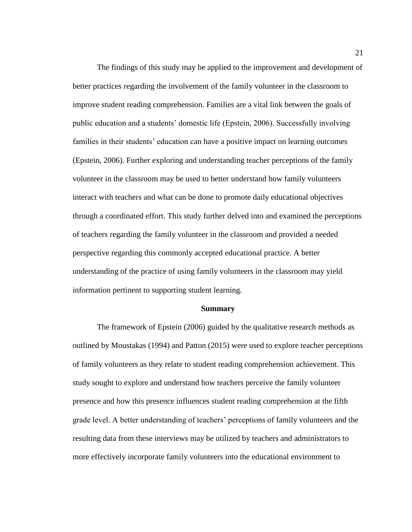The findings of this study may be applied to the improvement and development of better practices regarding the involvement of the family volunteer in the classroom to improve student reading comprehension. Families are a vital link between the goals of public education and a students' domestic life (Epstein, 2006). Successfully involving families in their students' education can have a positive impact on learning outcomes (Epstein, 2006). Further exploring and understanding teacher perceptions of the family volunteer in the classroom may be used to better understand how family volunteers interact with teachers and what can be done to promote daily educational objectives through a coordinated effort. This study further delved into and examined the perceptions of teachers regarding the family volunteer in the classroom and provided a needed perspective regarding this commonly accepted educational practice. A better understanding of the practice of using family volunteers in the classroom may yield information pertinent to supporting student learning.

#### **Summary**

<span id="page-30-0"></span>The framework of Epstein (2006) guided by the qualitative research methods as outlined by Moustakas (1994) and Patton (2015) were used to explore teacher perceptions of family volunteers as they relate to student reading comprehension achievement. This study sought to explore and understand how teachers perceive the family volunteer presence and how this presence influences student reading comprehension at the fifth grade level. A better understanding of teachers' perceptions of family volunteers and the resulting data from these interviews may be utilized by teachers and administrators to more effectively incorporate family volunteers into the educational environment to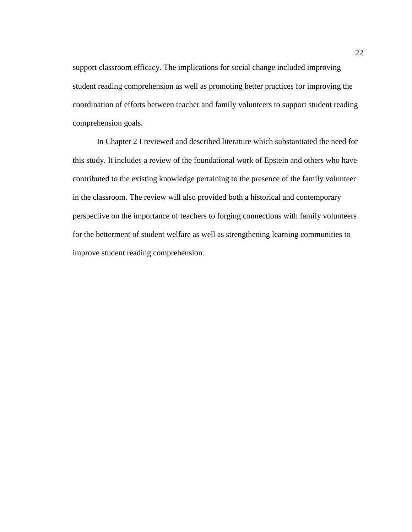support classroom efficacy. The implications for social change included improving student reading comprehension as well as promoting better practices for improving the coordination of efforts between teacher and family volunteers to support student reading comprehension goals.

In Chapter 2 I reviewed and described literature which substantiated the need for this study. It includes a review of the foundational work of Epstein and others who have contributed to the existing knowledge pertaining to the presence of the family volunteer in the classroom. The review will also provided both a historical and contemporary perspective on the importance of teachers to forging connections with family volunteers for the betterment of student welfare as well as strengthening learning communities to improve student reading comprehension.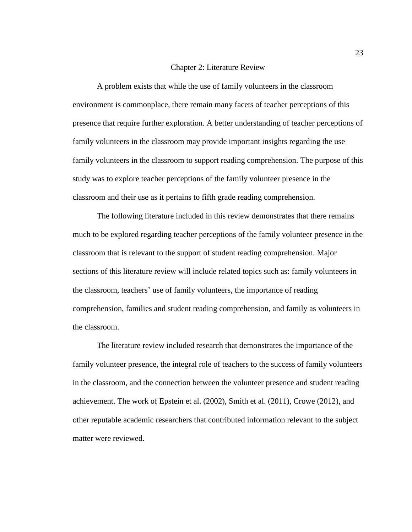#### Chapter 2: Literature Review

<span id="page-32-0"></span>A problem exists that while the use of family volunteers in the classroom environment is commonplace, there remain many facets of teacher perceptions of this presence that require further exploration. A better understanding of teacher perceptions of family volunteers in the classroom may provide important insights regarding the use family volunteers in the classroom to support reading comprehension. The purpose of this study was to explore teacher perceptions of the family volunteer presence in the classroom and their use as it pertains to fifth grade reading comprehension.

The following literature included in this review demonstrates that there remains much to be explored regarding teacher perceptions of the family volunteer presence in the classroom that is relevant to the support of student reading comprehension. Major sections of this literature review will include related topics such as: family volunteers in the classroom, teachers' use of family volunteers, the importance of reading comprehension, families and student reading comprehension, and family as volunteers in the classroom.

The literature review included research that demonstrates the importance of the family volunteer presence, the integral role of teachers to the success of family volunteers in the classroom, and the connection between the volunteer presence and student reading achievement. The work of Epstein et al. (2002), Smith et al. (2011), Crowe (2012), and other reputable academic researchers that contributed information relevant to the subject matter were reviewed.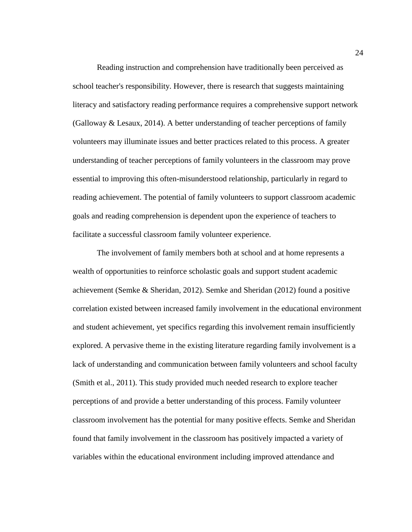Reading instruction and comprehension have traditionally been perceived as school teacher's responsibility. However, there is research that suggests maintaining literacy and satisfactory reading performance requires a comprehensive support network (Galloway  $&$  Lesaux, 2014). A better understanding of teacher perceptions of family volunteers may illuminate issues and better practices related to this process. A greater understanding of teacher perceptions of family volunteers in the classroom may prove essential to improving this often-misunderstood relationship, particularly in regard to reading achievement. The potential of family volunteers to support classroom academic goals and reading comprehension is dependent upon the experience of teachers to facilitate a successful classroom family volunteer experience.

The involvement of family members both at school and at home represents a wealth of opportunities to reinforce scholastic goals and support student academic achievement (Semke & Sheridan, 2012). Semke and Sheridan (2012) found a positive correlation existed between increased family involvement in the educational environment and student achievement, yet specifics regarding this involvement remain insufficiently explored. A pervasive theme in the existing literature regarding family involvement is a lack of understanding and communication between family volunteers and school faculty (Smith et al., 2011). This study provided much needed research to explore teacher perceptions of and provide a better understanding of this process. Family volunteer classroom involvement has the potential for many positive effects. Semke and Sheridan found that family involvement in the classroom has positively impacted a variety of variables within the educational environment including improved attendance and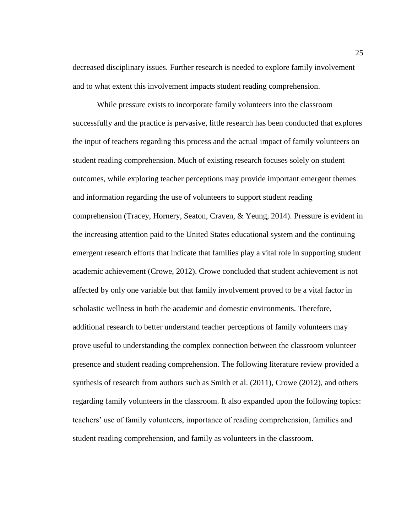decreased disciplinary issues. Further research is needed to explore family involvement and to what extent this involvement impacts student reading comprehension.

While pressure exists to incorporate family volunteers into the classroom successfully and the practice is pervasive, little research has been conducted that explores the input of teachers regarding this process and the actual impact of family volunteers on student reading comprehension. Much of existing research focuses solely on student outcomes, while exploring teacher perceptions may provide important emergent themes and information regarding the use of volunteers to support student reading comprehension (Tracey, Hornery, Seaton, Craven, & Yeung, 2014). Pressure is evident in the increasing attention paid to the United States educational system and the continuing emergent research efforts that indicate that families play a vital role in supporting student academic achievement (Crowe, 2012). Crowe concluded that student achievement is not affected by only one variable but that family involvement proved to be a vital factor in scholastic wellness in both the academic and domestic environments. Therefore, additional research to better understand teacher perceptions of family volunteers may prove useful to understanding the complex connection between the classroom volunteer presence and student reading comprehension. The following literature review provided a synthesis of research from authors such as Smith et al. (2011), Crowe (2012), and others regarding family volunteers in the classroom. It also expanded upon the following topics: teachers' use of family volunteers, importance of reading comprehension, families and student reading comprehension, and family as volunteers in the classroom.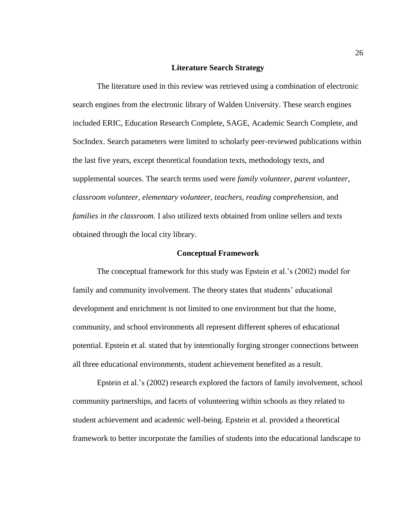#### **Literature Search Strategy**

<span id="page-35-0"></span>The literature used in this review was retrieved using a combination of electronic search engines from the electronic library of Walden University. These search engines included ERIC, Education Research Complete, SAGE, Academic Search Complete, and SocIndex. Search parameters were limited to scholarly peer-reviewed publications within the last five years, except theoretical foundation texts, methodology texts, and supplemental sources. The search terms used were *family volunteer, parent volunteer, classroom volunteer, elementary volunteer, teachers, reading comprehension,* and *families in the classroom.* I also utilized texts obtained from online sellers and texts obtained through the local city library.

#### **Conceptual Framework**

<span id="page-35-1"></span>The conceptual framework for this study was Epstein et al.'s (2002) model for family and community involvement. The theory states that students' educational development and enrichment is not limited to one environment but that the home, community, and school environments all represent different spheres of educational potential. Epstein et al. stated that by intentionally forging stronger connections between all three educational environments, student achievement benefited as a result.

Epstein et al.'s (2002) research explored the factors of family involvement, school community partnerships, and facets of volunteering within schools as they related to student achievement and academic well-being. Epstein et al. provided a theoretical framework to better incorporate the families of students into the educational landscape to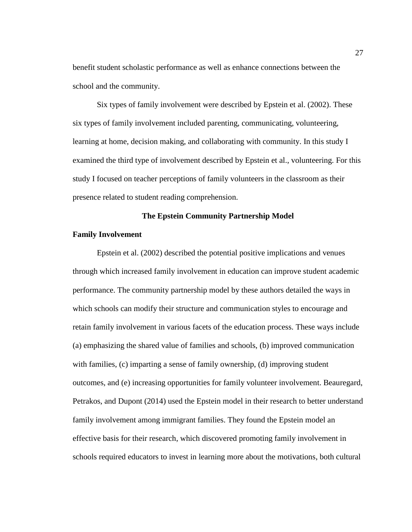benefit student scholastic performance as well as enhance connections between the school and the community.

Six types of family involvement were described by Epstein et al. (2002). These six types of family involvement included parenting, communicating, volunteering, learning at home, decision making, and collaborating with community. In this study I examined the third type of involvement described by Epstein et al., volunteering. For this study I focused on teacher perceptions of family volunteers in the classroom as their presence related to student reading comprehension.

# **The Epstein Community Partnership Model**

## **Family Involvement**

Epstein et al. (2002) described the potential positive implications and venues through which increased family involvement in education can improve student academic performance. The community partnership model by these authors detailed the ways in which schools can modify their structure and communication styles to encourage and retain family involvement in various facets of the education process. These ways include (a) emphasizing the shared value of families and schools, (b) improved communication with families, (c) imparting a sense of family ownership, (d) improving student outcomes, and (e) increasing opportunities for family volunteer involvement. Beauregard, Petrakos, and Dupont (2014) used the Epstein model in their research to better understand family involvement among immigrant families. They found the Epstein model an effective basis for their research, which discovered promoting family involvement in schools required educators to invest in learning more about the motivations, both cultural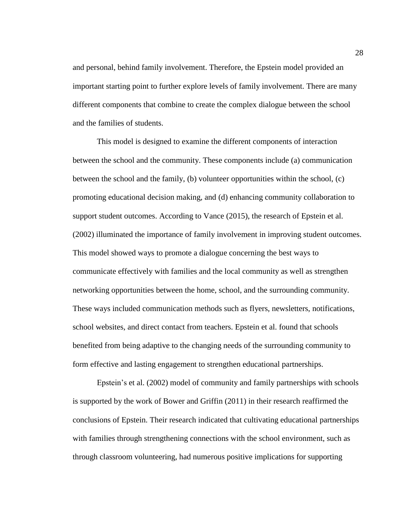and personal, behind family involvement. Therefore, the Epstein model provided an important starting point to further explore levels of family involvement. There are many different components that combine to create the complex dialogue between the school and the families of students.

This model is designed to examine the different components of interaction between the school and the community. These components include (a) communication between the school and the family, (b) volunteer opportunities within the school, (c) promoting educational decision making, and (d) enhancing community collaboration to support student outcomes. According to Vance (2015), the research of Epstein et al. (2002) illuminated the importance of family involvement in improving student outcomes. This model showed ways to promote a dialogue concerning the best ways to communicate effectively with families and the local community as well as strengthen networking opportunities between the home, school, and the surrounding community. These ways included communication methods such as flyers, newsletters, notifications, school websites, and direct contact from teachers. Epstein et al. found that schools benefited from being adaptive to the changing needs of the surrounding community to form effective and lasting engagement to strengthen educational partnerships.

Epstein's et al. (2002) model of community and family partnerships with schools is supported by the work of Bower and Griffin (2011) in their research reaffirmed the conclusions of Epstein. Their research indicated that cultivating educational partnerships with families through strengthening connections with the school environment, such as through classroom volunteering, had numerous positive implications for supporting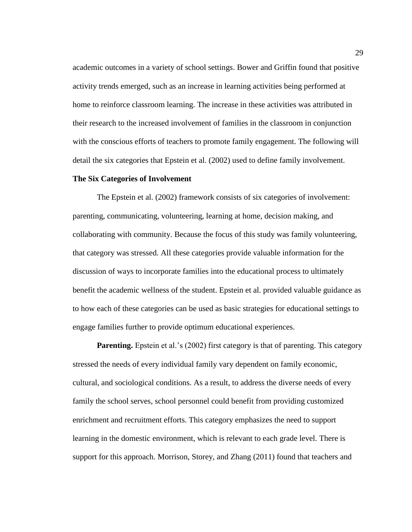academic outcomes in a variety of school settings. Bower and Griffin found that positive activity trends emerged, such as an increase in learning activities being performed at home to reinforce classroom learning. The increase in these activities was attributed in their research to the increased involvement of families in the classroom in conjunction with the conscious efforts of teachers to promote family engagement. The following will detail the six categories that Epstein et al. (2002) used to define family involvement.

## **The Six Categories of Involvement**

The Epstein et al. (2002) framework consists of six categories of involvement: parenting, communicating, volunteering, learning at home, decision making, and collaborating with community. Because the focus of this study was family volunteering, that category was stressed. All these categories provide valuable information for the discussion of ways to incorporate families into the educational process to ultimately benefit the academic wellness of the student. Epstein et al. provided valuable guidance as to how each of these categories can be used as basic strategies for educational settings to engage families further to provide optimum educational experiences.

**Parenting.** Epstein et al.'s (2002) first category is that of parenting. This category stressed the needs of every individual family vary dependent on family economic, cultural, and sociological conditions. As a result, to address the diverse needs of every family the school serves, school personnel could benefit from providing customized enrichment and recruitment efforts. This category emphasizes the need to support learning in the domestic environment, which is relevant to each grade level. There is support for this approach. Morrison, Storey, and Zhang (2011) found that teachers and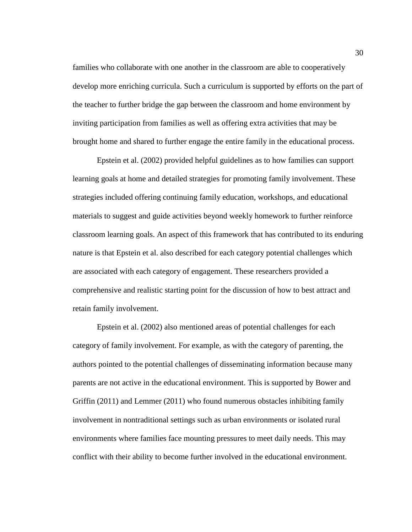families who collaborate with one another in the classroom are able to cooperatively develop more enriching curricula. Such a curriculum is supported by efforts on the part of the teacher to further bridge the gap between the classroom and home environment by inviting participation from families as well as offering extra activities that may be brought home and shared to further engage the entire family in the educational process.

Epstein et al. (2002) provided helpful guidelines as to how families can support learning goals at home and detailed strategies for promoting family involvement. These strategies included offering continuing family education, workshops, and educational materials to suggest and guide activities beyond weekly homework to further reinforce classroom learning goals. An aspect of this framework that has contributed to its enduring nature is that Epstein et al. also described for each category potential challenges which are associated with each category of engagement. These researchers provided a comprehensive and realistic starting point for the discussion of how to best attract and retain family involvement.

Epstein et al. (2002) also mentioned areas of potential challenges for each category of family involvement. For example, as with the category of parenting, the authors pointed to the potential challenges of disseminating information because many parents are not active in the educational environment. This is supported by Bower and Griffin (2011) and Lemmer (2011) who found numerous obstacles inhibiting family involvement in nontraditional settings such as urban environments or isolated rural environments where families face mounting pressures to meet daily needs. This may conflict with their ability to become further involved in the educational environment.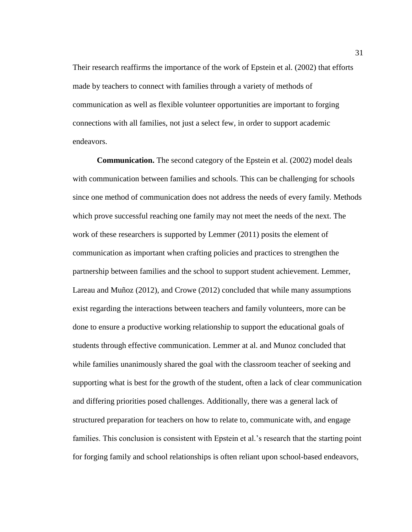Their research reaffirms the importance of the work of Epstein et al. (2002) that efforts made by teachers to connect with families through a variety of methods of communication as well as flexible volunteer opportunities are important to forging connections with all families, not just a select few, in order to support academic endeavors.

**Communication.** The second category of the Epstein et al. (2002) model deals with communication between families and schools. This can be challenging for schools since one method of communication does not address the needs of every family. Methods which prove successful reaching one family may not meet the needs of the next. The work of these researchers is supported by Lemmer (2011) posits the element of communication as important when crafting policies and practices to strengthen the partnership between families and the school to support student achievement. Lemmer, Lareau and Muñoz (2012), and Crowe (2012) concluded that while many assumptions exist regarding the interactions between teachers and family volunteers, more can be done to ensure a productive working relationship to support the educational goals of students through effective communication. Lemmer at al. and Munoz concluded that while families unanimously shared the goal with the classroom teacher of seeking and supporting what is best for the growth of the student, often a lack of clear communication and differing priorities posed challenges. Additionally, there was a general lack of structured preparation for teachers on how to relate to, communicate with, and engage families. This conclusion is consistent with Epstein et al.'s research that the starting point for forging family and school relationships is often reliant upon school-based endeavors,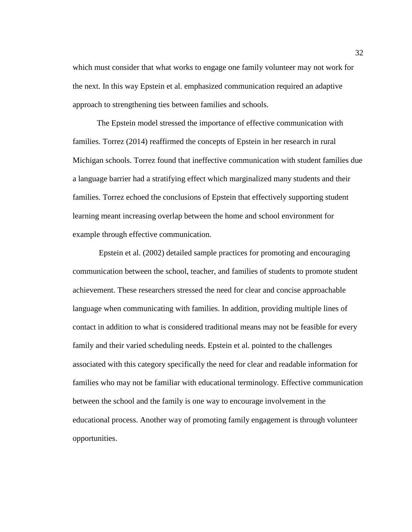which must consider that what works to engage one family volunteer may not work for the next. In this way Epstein et al. emphasized communication required an adaptive approach to strengthening ties between families and schools.

The Epstein model stressed the importance of effective communication with families. Torrez (2014) reaffirmed the concepts of Epstein in her research in rural Michigan schools. Torrez found that ineffective communication with student families due a language barrier had a stratifying effect which marginalized many students and their families. Torrez echoed the conclusions of Epstein that effectively supporting student learning meant increasing overlap between the home and school environment for example through effective communication.

Epstein et al. (2002) detailed sample practices for promoting and encouraging communication between the school, teacher, and families of students to promote student achievement. These researchers stressed the need for clear and concise approachable language when communicating with families. In addition, providing multiple lines of contact in addition to what is considered traditional means may not be feasible for every family and their varied scheduling needs. Epstein et al. pointed to the challenges associated with this category specifically the need for clear and readable information for families who may not be familiar with educational terminology. Effective communication between the school and the family is one way to encourage involvement in the educational process. Another way of promoting family engagement is through volunteer opportunities.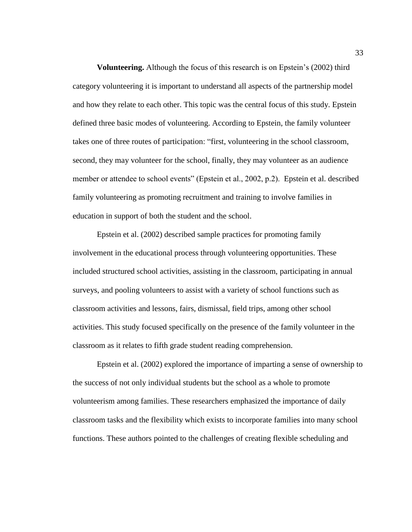**Volunteering.** Although the focus of this research is on Epstein's (2002) third category volunteering it is important to understand all aspects of the partnership model and how they relate to each other. This topic was the central focus of this study. Epstein defined three basic modes of volunteering. According to Epstein, the family volunteer takes one of three routes of participation: "first, volunteering in the school classroom, second, they may volunteer for the school, finally, they may volunteer as an audience member or attendee to school events" (Epstein et al., 2002, p.2). Epstein et al. described family volunteering as promoting recruitment and training to involve families in education in support of both the student and the school.

Epstein et al. (2002) described sample practices for promoting family involvement in the educational process through volunteering opportunities. These included structured school activities, assisting in the classroom, participating in annual surveys, and pooling volunteers to assist with a variety of school functions such as classroom activities and lessons, fairs, dismissal, field trips, among other school activities. This study focused specifically on the presence of the family volunteer in the classroom as it relates to fifth grade student reading comprehension.

Epstein et al. (2002) explored the importance of imparting a sense of ownership to the success of not only individual students but the school as a whole to promote volunteerism among families. These researchers emphasized the importance of daily classroom tasks and the flexibility which exists to incorporate families into many school functions. These authors pointed to the challenges of creating flexible scheduling and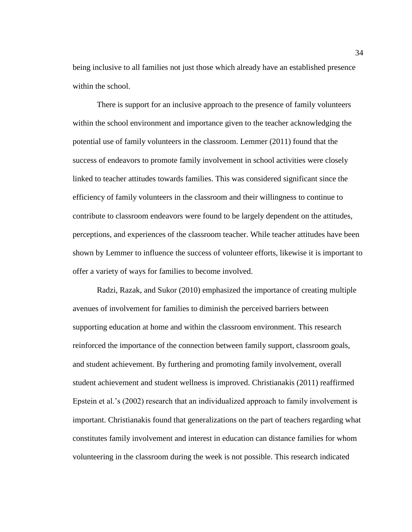being inclusive to all families not just those which already have an established presence within the school.

There is support for an inclusive approach to the presence of family volunteers within the school environment and importance given to the teacher acknowledging the potential use of family volunteers in the classroom. Lemmer (2011) found that the success of endeavors to promote family involvement in school activities were closely linked to teacher attitudes towards families. This was considered significant since the efficiency of family volunteers in the classroom and their willingness to continue to contribute to classroom endeavors were found to be largely dependent on the attitudes, perceptions, and experiences of the classroom teacher. While teacher attitudes have been shown by Lemmer to influence the success of volunteer efforts, likewise it is important to offer a variety of ways for families to become involved.

Radzi, Razak, and Sukor (2010) emphasized the importance of creating multiple avenues of involvement for families to diminish the perceived barriers between supporting education at home and within the classroom environment. This research reinforced the importance of the connection between family support, classroom goals, and student achievement. By furthering and promoting family involvement, overall student achievement and student wellness is improved. Christianakis (2011) reaffirmed Epstein et al.'s (2002) research that an individualized approach to family involvement is important. Christianakis found that generalizations on the part of teachers regarding what constitutes family involvement and interest in education can distance families for whom volunteering in the classroom during the week is not possible. This research indicated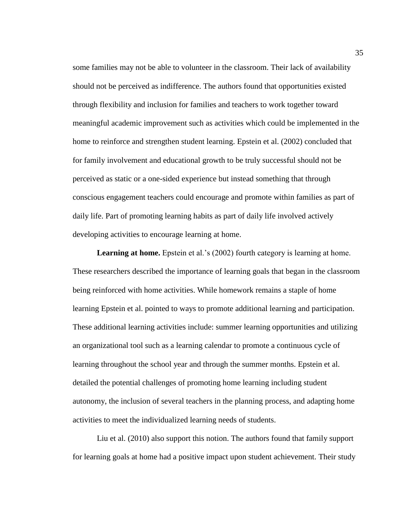some families may not be able to volunteer in the classroom. Their lack of availability should not be perceived as indifference. The authors found that opportunities existed through flexibility and inclusion for families and teachers to work together toward meaningful academic improvement such as activities which could be implemented in the home to reinforce and strengthen student learning. Epstein et al. (2002) concluded that for family involvement and educational growth to be truly successful should not be perceived as static or a one-sided experience but instead something that through conscious engagement teachers could encourage and promote within families as part of daily life. Part of promoting learning habits as part of daily life involved actively developing activities to encourage learning at home.

Learning at home. Epstein et al.'s (2002) fourth category is learning at home. These researchers described the importance of learning goals that began in the classroom being reinforced with home activities. While homework remains a staple of home learning Epstein et al. pointed to ways to promote additional learning and participation. These additional learning activities include: summer learning opportunities and utilizing an organizational tool such as a learning calendar to promote a continuous cycle of learning throughout the school year and through the summer months. Epstein et al. detailed the potential challenges of promoting home learning including student autonomy, the inclusion of several teachers in the planning process, and adapting home activities to meet the individualized learning needs of students.

Liu et al. (2010) also support this notion. The authors found that family support for learning goals at home had a positive impact upon student achievement. Their study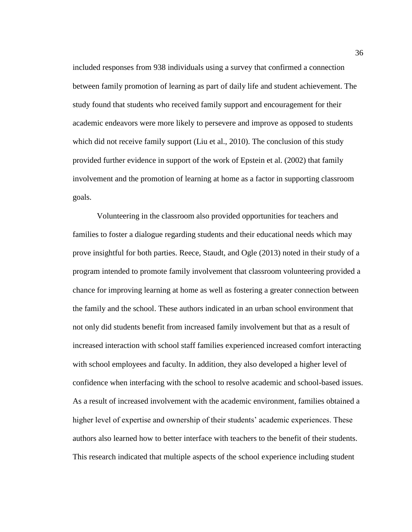included responses from 938 individuals using a survey that confirmed a connection between family promotion of learning as part of daily life and student achievement. The study found that students who received family support and encouragement for their academic endeavors were more likely to persevere and improve as opposed to students which did not receive family support (Liu et al., 2010). The conclusion of this study provided further evidence in support of the work of Epstein et al. (2002) that family involvement and the promotion of learning at home as a factor in supporting classroom goals.

Volunteering in the classroom also provided opportunities for teachers and families to foster a dialogue regarding students and their educational needs which may prove insightful for both parties. Reece, Staudt, and Ogle (2013) noted in their study of a program intended to promote family involvement that classroom volunteering provided a chance for improving learning at home as well as fostering a greater connection between the family and the school. These authors indicated in an urban school environment that not only did students benefit from increased family involvement but that as a result of increased interaction with school staff families experienced increased comfort interacting with school employees and faculty. In addition, they also developed a higher level of confidence when interfacing with the school to resolve academic and school-based issues. As a result of increased involvement with the academic environment, families obtained a higher level of expertise and ownership of their students' academic experiences. These authors also learned how to better interface with teachers to the benefit of their students. This research indicated that multiple aspects of the school experience including student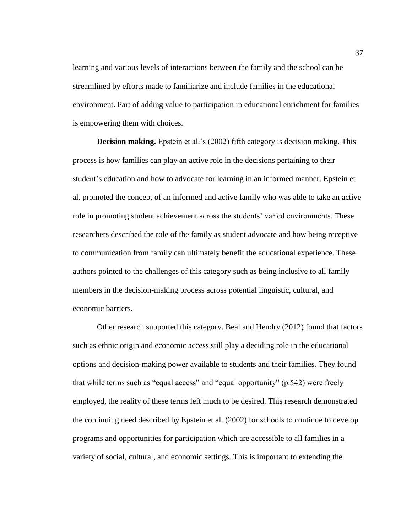learning and various levels of interactions between the family and the school can be streamlined by efforts made to familiarize and include families in the educational environment. Part of adding value to participation in educational enrichment for families is empowering them with choices.

**Decision making.** Epstein et al.'s (2002) fifth category is decision making. This process is how families can play an active role in the decisions pertaining to their student's education and how to advocate for learning in an informed manner. Epstein et al. promoted the concept of an informed and active family who was able to take an active role in promoting student achievement across the students' varied environments. These researchers described the role of the family as student advocate and how being receptive to communication from family can ultimately benefit the educational experience. These authors pointed to the challenges of this category such as being inclusive to all family members in the decision-making process across potential linguistic, cultural, and economic barriers.

Other research supported this category. Beal and Hendry (2012) found that factors such as ethnic origin and economic access still play a deciding role in the educational options and decision-making power available to students and their families. They found that while terms such as "equal access" and "equal opportunity" (p.542) were freely employed, the reality of these terms left much to be desired. This research demonstrated the continuing need described by Epstein et al. (2002) for schools to continue to develop programs and opportunities for participation which are accessible to all families in a variety of social, cultural, and economic settings. This is important to extending the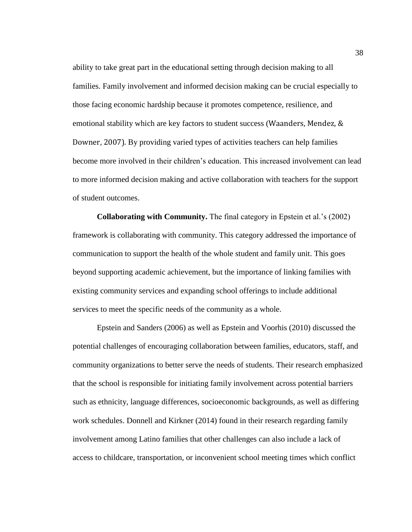ability to take great part in the educational setting through decision making to all families. Family involvement and informed decision making can be crucial especially to those facing economic hardship because it promotes competence, resilience, and emotional stability which are key factors to student success (Waanders, Mendez, & Downer, 2007). By providing varied types of activities teachers can help families become more involved in their children's education. This increased involvement can lead to more informed decision making and active collaboration with teachers for the support of student outcomes.

**Collaborating with Community.** The final category in Epstein et al.'s (2002) framework is collaborating with community. This category addressed the importance of communication to support the health of the whole student and family unit. This goes beyond supporting academic achievement, but the importance of linking families with existing community services and expanding school offerings to include additional services to meet the specific needs of the community as a whole.

Epstein and Sanders (2006) as well as Epstein and Voorhis (2010) discussed the potential challenges of encouraging collaboration between families, educators, staff, and community organizations to better serve the needs of students. Their research emphasized that the school is responsible for initiating family involvement across potential barriers such as ethnicity, language differences, socioeconomic backgrounds, as well as differing work schedules. Donnell and Kirkner (2014) found in their research regarding family involvement among Latino families that other challenges can also include a lack of access to childcare, transportation, or inconvenient school meeting times which conflict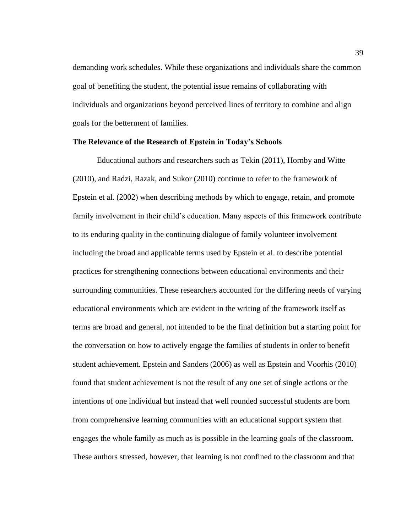demanding work schedules. While these organizations and individuals share the common goal of benefiting the student, the potential issue remains of collaborating with individuals and organizations beyond perceived lines of territory to combine and align goals for the betterment of families.

## **The Relevance of the Research of Epstein in Today's Schools**

Educational authors and researchers such as Tekin (2011), Hornby and Witte (2010), and Radzi, Razak, and Sukor (2010) continue to refer to the framework of Epstein et al. (2002) when describing methods by which to engage, retain, and promote family involvement in their child's education. Many aspects of this framework contribute to its enduring quality in the continuing dialogue of family volunteer involvement including the broad and applicable terms used by Epstein et al. to describe potential practices for strengthening connections between educational environments and their surrounding communities. These researchers accounted for the differing needs of varying educational environments which are evident in the writing of the framework itself as terms are broad and general, not intended to be the final definition but a starting point for the conversation on how to actively engage the families of students in order to benefit student achievement. Epstein and Sanders (2006) as well as Epstein and Voorhis (2010) found that student achievement is not the result of any one set of single actions or the intentions of one individual but instead that well rounded successful students are born from comprehensive learning communities with an educational support system that engages the whole family as much as is possible in the learning goals of the classroom. These authors stressed, however, that learning is not confined to the classroom and that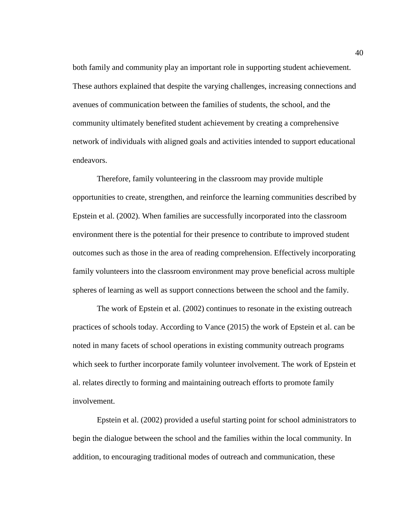both family and community play an important role in supporting student achievement. These authors explained that despite the varying challenges, increasing connections and avenues of communication between the families of students, the school, and the community ultimately benefited student achievement by creating a comprehensive network of individuals with aligned goals and activities intended to support educational endeavors.

Therefore, family volunteering in the classroom may provide multiple opportunities to create, strengthen, and reinforce the learning communities described by Epstein et al. (2002). When families are successfully incorporated into the classroom environment there is the potential for their presence to contribute to improved student outcomes such as those in the area of reading comprehension. Effectively incorporating family volunteers into the classroom environment may prove beneficial across multiple spheres of learning as well as support connections between the school and the family.

The work of Epstein et al. (2002) continues to resonate in the existing outreach practices of schools today. According to Vance (2015) the work of Epstein et al. can be noted in many facets of school operations in existing community outreach programs which seek to further incorporate family volunteer involvement. The work of Epstein et al. relates directly to forming and maintaining outreach efforts to promote family involvement.

Epstein et al. (2002) provided a useful starting point for school administrators to begin the dialogue between the school and the families within the local community. In addition, to encouraging traditional modes of outreach and communication, these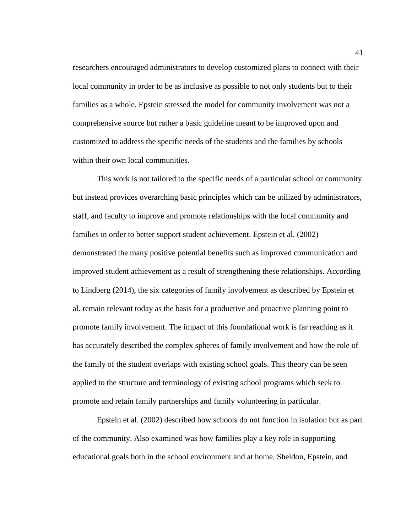researchers encouraged administrators to develop customized plans to connect with their local community in order to be as inclusive as possible to not only students but to their families as a whole. Epstein stressed the model for community involvement was not a comprehensive source but rather a basic guideline meant to be improved upon and customized to address the specific needs of the students and the families by schools within their own local communities.

This work is not tailored to the specific needs of a particular school or community but instead provides overarching basic principles which can be utilized by administrators, staff, and faculty to improve and promote relationships with the local community and families in order to better support student achievement. Epstein et al. (2002) demonstrated the many positive potential benefits such as improved communication and improved student achievement as a result of strengthening these relationships. According to Lindberg (2014), the six categories of family involvement as described by Epstein et al. remain relevant today as the basis for a productive and proactive planning point to promote family involvement. The impact of this foundational work is far reaching as it has accurately described the complex spheres of family involvement and how the role of the family of the student overlaps with existing school goals. This theory can be seen applied to the structure and terminology of existing school programs which seek to promote and retain family partnerships and family volunteering in particular.

Epstein et al. (2002) described how schools do not function in isolation but as part of the community. Also examined was how families play a key role in supporting educational goals both in the school environment and at home. Sheldon, Epstein, and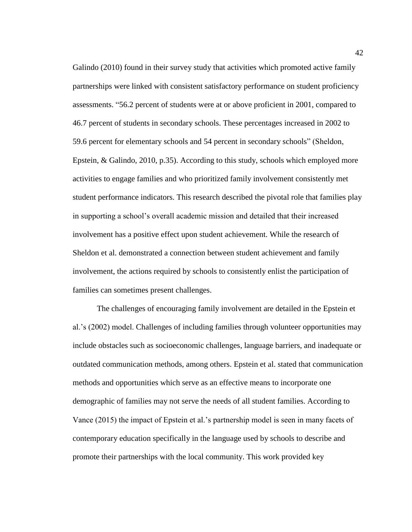Galindo (2010) found in their survey study that activities which promoted active family partnerships were linked with consistent satisfactory performance on student proficiency assessments. "56.2 percent of students were at or above proficient in 2001, compared to 46.7 percent of students in secondary schools. These percentages increased in 2002 to 59.6 percent for elementary schools and 54 percent in secondary schools" (Sheldon, Epstein, & Galindo, 2010, p.35). According to this study, schools which employed more activities to engage families and who prioritized family involvement consistently met student performance indicators. This research described the pivotal role that families play in supporting a school's overall academic mission and detailed that their increased involvement has a positive effect upon student achievement. While the research of Sheldon et al. demonstrated a connection between student achievement and family involvement, the actions required by schools to consistently enlist the participation of families can sometimes present challenges.

The challenges of encouraging family involvement are detailed in the Epstein et al.'s (2002) model. Challenges of including families through volunteer opportunities may include obstacles such as socioeconomic challenges, language barriers, and inadequate or outdated communication methods, among others. Epstein et al. stated that communication methods and opportunities which serve as an effective means to incorporate one demographic of families may not serve the needs of all student families. According to Vance (2015) the impact of Epstein et al.'s partnership model is seen in many facets of contemporary education specifically in the language used by schools to describe and promote their partnerships with the local community. This work provided key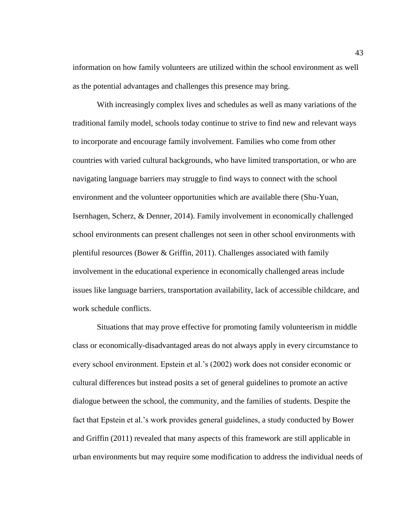information on how family volunteers are utilized within the school environment as well as the potential advantages and challenges this presence may bring.

With increasingly complex lives and schedules as well as many variations of the traditional family model, schools today continue to strive to find new and relevant ways to incorporate and encourage family involvement. Families who come from other countries with varied cultural backgrounds, who have limited transportation, or who are navigating language barriers may struggle to find ways to connect with the school environment and the volunteer opportunities which are available there (Shu-Yuan, Isernhagen, Scherz, & Denner, 2014). Family involvement in economically challenged school environments can present challenges not seen in other school environments with plentiful resources (Bower & Griffin, 2011). Challenges associated with family involvement in the educational experience in economically challenged areas include issues like language barriers, transportation availability, lack of accessible childcare, and work schedule conflicts.

Situations that may prove effective for promoting family volunteerism in middle class or economically-disadvantaged areas do not always apply in every circumstance to every school environment. Epstein et al.'s (2002) work does not consider economic or cultural differences but instead posits a set of general guidelines to promote an active dialogue between the school, the community, and the families of students. Despite the fact that Epstein et al.'s work provides general guidelines, a study conducted by Bower and Griffin (2011) revealed that many aspects of this framework are still applicable in urban environments but may require some modification to address the individual needs of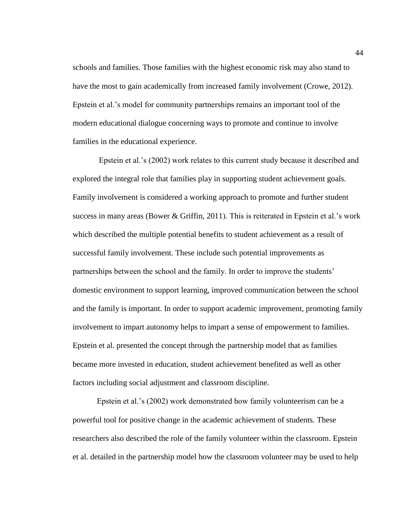schools and families. Those families with the highest economic risk may also stand to have the most to gain academically from increased family involvement (Crowe, 2012). Epstein et al.'s model for community partnerships remains an important tool of the modern educational dialogue concerning ways to promote and continue to involve families in the educational experience.

Epstein et al.'s (2002) work relates to this current study because it described and explored the integral role that families play in supporting student achievement goals. Family involvement is considered a working approach to promote and further student success in many areas (Bower & Griffin, 2011). This is reiterated in Epstein et al.'s work which described the multiple potential benefits to student achievement as a result of successful family involvement. These include such potential improvements as partnerships between the school and the family. In order to improve the students' domestic environment to support learning, improved communication between the school and the family is important. In order to support academic improvement, promoting family involvement to impart autonomy helps to impart a sense of empowerment to families. Epstein et al. presented the concept through the partnership model that as families became more invested in education, student achievement benefited as well as other factors including social adjustment and classroom discipline.

Epstein et al.'s (2002) work demonstrated how family volunteerism can be a powerful tool for positive change in the academic achievement of students. These researchers also described the role of the family volunteer within the classroom. Epstein et al. detailed in the partnership model how the classroom volunteer may be used to help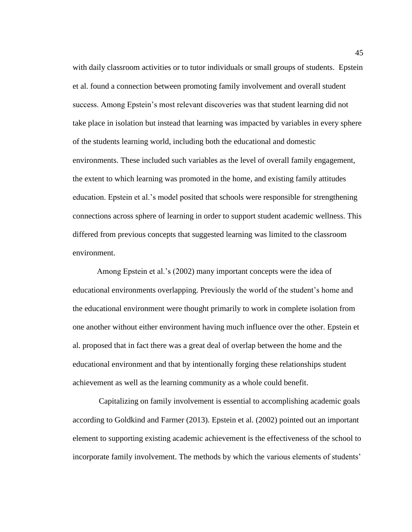with daily classroom activities or to tutor individuals or small groups of students. Epstein et al. found a connection between promoting family involvement and overall student success. Among Epstein's most relevant discoveries was that student learning did not take place in isolation but instead that learning was impacted by variables in every sphere of the students learning world, including both the educational and domestic environments. These included such variables as the level of overall family engagement, the extent to which learning was promoted in the home, and existing family attitudes education. Epstein et al.'s model posited that schools were responsible for strengthening connections across sphere of learning in order to support student academic wellness. This differed from previous concepts that suggested learning was limited to the classroom environment.

Among Epstein et al.'s (2002) many important concepts were the idea of educational environments overlapping. Previously the world of the student's home and the educational environment were thought primarily to work in complete isolation from one another without either environment having much influence over the other. Epstein et al. proposed that in fact there was a great deal of overlap between the home and the educational environment and that by intentionally forging these relationships student achievement as well as the learning community as a whole could benefit.

Capitalizing on family involvement is essential to accomplishing academic goals according to Goldkind and Farmer (2013). Epstein et al. (2002) pointed out an important element to supporting existing academic achievement is the effectiveness of the school to incorporate family involvement. The methods by which the various elements of students'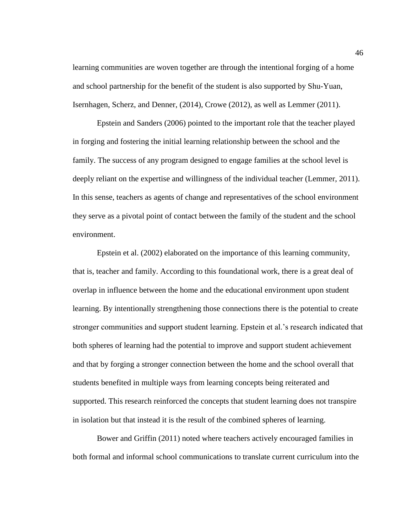learning communities are woven together are through the intentional forging of a home and school partnership for the benefit of the student is also supported by Shu-Yuan, Isernhagen, Scherz, and Denner, (2014), Crowe (2012), as well as Lemmer (2011).

Epstein and Sanders (2006) pointed to the important role that the teacher played in forging and fostering the initial learning relationship between the school and the family. The success of any program designed to engage families at the school level is deeply reliant on the expertise and willingness of the individual teacher (Lemmer, 2011). In this sense, teachers as agents of change and representatives of the school environment they serve as a pivotal point of contact between the family of the student and the school environment.

Epstein et al. (2002) elaborated on the importance of this learning community, that is, teacher and family. According to this foundational work, there is a great deal of overlap in influence between the home and the educational environment upon student learning. By intentionally strengthening those connections there is the potential to create stronger communities and support student learning. Epstein et al.'s research indicated that both spheres of learning had the potential to improve and support student achievement and that by forging a stronger connection between the home and the school overall that students benefited in multiple ways from learning concepts being reiterated and supported. This research reinforced the concepts that student learning does not transpire in isolation but that instead it is the result of the combined spheres of learning.

Bower and Griffin (2011) noted where teachers actively encouraged families in both formal and informal school communications to translate current curriculum into the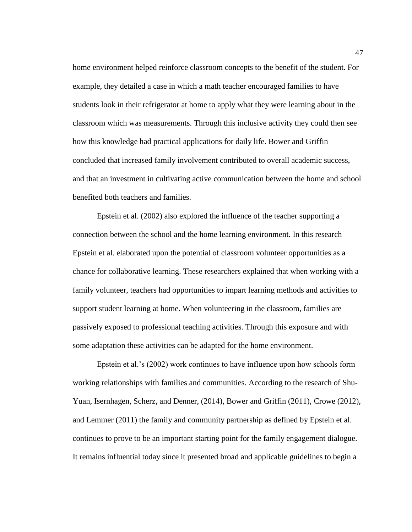home environment helped reinforce classroom concepts to the benefit of the student. For example, they detailed a case in which a math teacher encouraged families to have students look in their refrigerator at home to apply what they were learning about in the classroom which was measurements. Through this inclusive activity they could then see how this knowledge had practical applications for daily life. Bower and Griffin concluded that increased family involvement contributed to overall academic success, and that an investment in cultivating active communication between the home and school benefited both teachers and families.

Epstein et al. (2002) also explored the influence of the teacher supporting a connection between the school and the home learning environment. In this research Epstein et al. elaborated upon the potential of classroom volunteer opportunities as a chance for collaborative learning. These researchers explained that when working with a family volunteer, teachers had opportunities to impart learning methods and activities to support student learning at home. When volunteering in the classroom, families are passively exposed to professional teaching activities. Through this exposure and with some adaptation these activities can be adapted for the home environment.

Epstein et al.'s (2002) work continues to have influence upon how schools form working relationships with families and communities. According to the research of Shu-Yuan, Isernhagen, Scherz, and Denner, (2014), Bower and Griffin (2011), Crowe (2012), and Lemmer (2011) the family and community partnership as defined by Epstein et al. continues to prove to be an important starting point for the family engagement dialogue. It remains influential today since it presented broad and applicable guidelines to begin a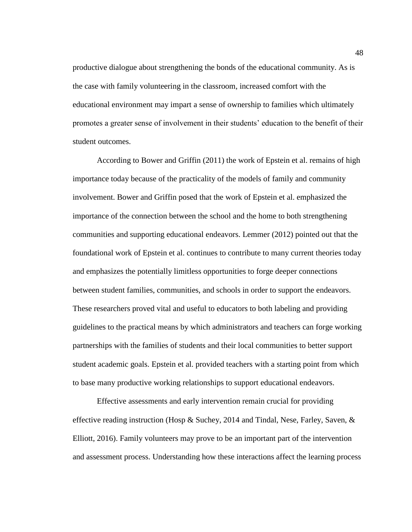productive dialogue about strengthening the bonds of the educational community. As is the case with family volunteering in the classroom, increased comfort with the educational environment may impart a sense of ownership to families which ultimately promotes a greater sense of involvement in their students' education to the benefit of their student outcomes.

According to Bower and Griffin (2011) the work of Epstein et al. remains of high importance today because of the practicality of the models of family and community involvement. Bower and Griffin posed that the work of Epstein et al. emphasized the importance of the connection between the school and the home to both strengthening communities and supporting educational endeavors. Lemmer (2012) pointed out that the foundational work of Epstein et al. continues to contribute to many current theories today and emphasizes the potentially limitless opportunities to forge deeper connections between student families, communities, and schools in order to support the endeavors. These researchers proved vital and useful to educators to both labeling and providing guidelines to the practical means by which administrators and teachers can forge working partnerships with the families of students and their local communities to better support student academic goals. Epstein et al. provided teachers with a starting point from which to base many productive working relationships to support educational endeavors.

Effective assessments and early intervention remain crucial for providing effective reading instruction (Hosp & Suchey, 2014 and Tindal, Nese, Farley, Saven, & Elliott, 2016). Family volunteers may prove to be an important part of the intervention and assessment process. Understanding how these interactions affect the learning process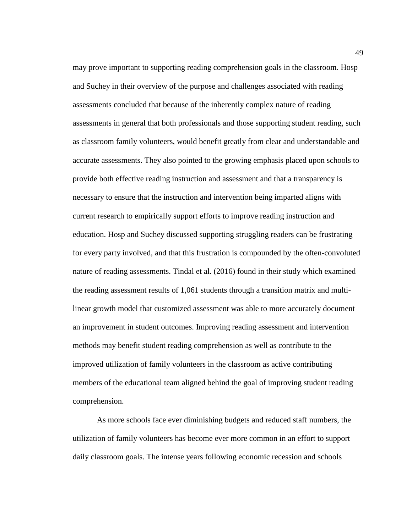may prove important to supporting reading comprehension goals in the classroom. Hosp and Suchey in their overview of the purpose and challenges associated with reading assessments concluded that because of the inherently complex nature of reading assessments in general that both professionals and those supporting student reading, such as classroom family volunteers, would benefit greatly from clear and understandable and accurate assessments. They also pointed to the growing emphasis placed upon schools to provide both effective reading instruction and assessment and that a transparency is necessary to ensure that the instruction and intervention being imparted aligns with current research to empirically support efforts to improve reading instruction and education. Hosp and Suchey discussed supporting struggling readers can be frustrating for every party involved, and that this frustration is compounded by the often-convoluted nature of reading assessments. Tindal et al. (2016) found in their study which examined the reading assessment results of 1,061 students through a transition matrix and multilinear growth model that customized assessment was able to more accurately document an improvement in student outcomes. Improving reading assessment and intervention methods may benefit student reading comprehension as well as contribute to the improved utilization of family volunteers in the classroom as active contributing members of the educational team aligned behind the goal of improving student reading comprehension.

As more schools face ever diminishing budgets and reduced staff numbers, the utilization of family volunteers has become ever more common in an effort to support daily classroom goals. The intense years following economic recession and schools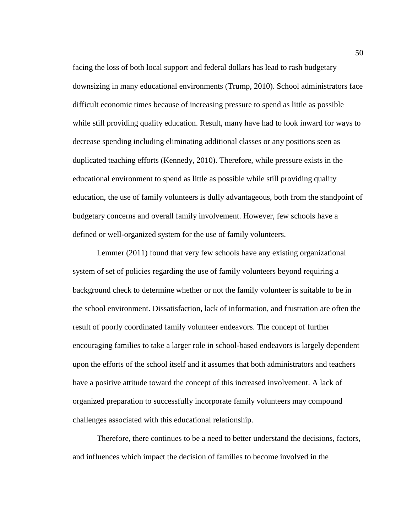facing the loss of both local support and federal dollars has lead to rash budgetary downsizing in many educational environments (Trump, 2010). School administrators face difficult economic times because of increasing pressure to spend as little as possible while still providing quality education. Result, many have had to look inward for ways to decrease spending including eliminating additional classes or any positions seen as duplicated teaching efforts (Kennedy, 2010). Therefore, while pressure exists in the educational environment to spend as little as possible while still providing quality education, the use of family volunteers is dully advantageous, both from the standpoint of budgetary concerns and overall family involvement. However, few schools have a defined or well-organized system for the use of family volunteers.

Lemmer (2011) found that very few schools have any existing organizational system of set of policies regarding the use of family volunteers beyond requiring a background check to determine whether or not the family volunteer is suitable to be in the school environment. Dissatisfaction, lack of information, and frustration are often the result of poorly coordinated family volunteer endeavors. The concept of further encouraging families to take a larger role in school-based endeavors is largely dependent upon the efforts of the school itself and it assumes that both administrators and teachers have a positive attitude toward the concept of this increased involvement. A lack of organized preparation to successfully incorporate family volunteers may compound challenges associated with this educational relationship.

Therefore, there continues to be a need to better understand the decisions, factors, and influences which impact the decision of families to become involved in the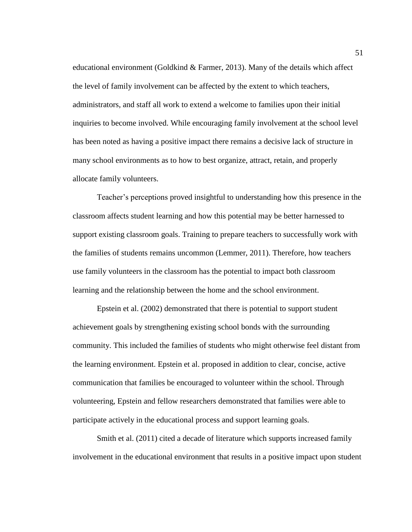educational environment (Goldkind & Farmer, 2013). Many of the details which affect the level of family involvement can be affected by the extent to which teachers, administrators, and staff all work to extend a welcome to families upon their initial inquiries to become involved. While encouraging family involvement at the school level has been noted as having a positive impact there remains a decisive lack of structure in many school environments as to how to best organize, attract, retain, and properly allocate family volunteers.

Teacher's perceptions proved insightful to understanding how this presence in the classroom affects student learning and how this potential may be better harnessed to support existing classroom goals. Training to prepare teachers to successfully work with the families of students remains uncommon (Lemmer, 2011). Therefore, how teachers use family volunteers in the classroom has the potential to impact both classroom learning and the relationship between the home and the school environment.

Epstein et al. (2002) demonstrated that there is potential to support student achievement goals by strengthening existing school bonds with the surrounding community. This included the families of students who might otherwise feel distant from the learning environment. Epstein et al. proposed in addition to clear, concise, active communication that families be encouraged to volunteer within the school. Through volunteering, Epstein and fellow researchers demonstrated that families were able to participate actively in the educational process and support learning goals.

Smith et al. (2011) cited a decade of literature which supports increased family involvement in the educational environment that results in a positive impact upon student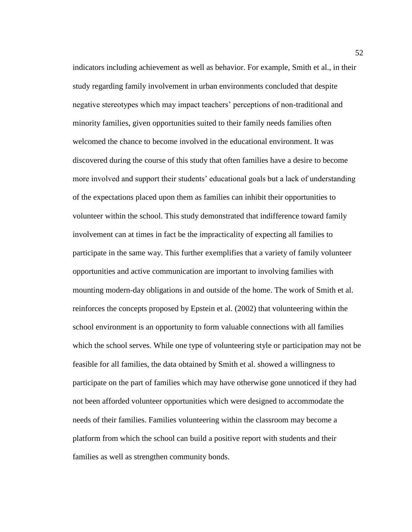indicators including achievement as well as behavior. For example, Smith et al., in their study regarding family involvement in urban environments concluded that despite negative stereotypes which may impact teachers' perceptions of non-traditional and minority families, given opportunities suited to their family needs families often welcomed the chance to become involved in the educational environment. It was discovered during the course of this study that often families have a desire to become more involved and support their students' educational goals but a lack of understanding of the expectations placed upon them as families can inhibit their opportunities to volunteer within the school. This study demonstrated that indifference toward family involvement can at times in fact be the impracticality of expecting all families to participate in the same way. This further exemplifies that a variety of family volunteer opportunities and active communication are important to involving families with mounting modern-day obligations in and outside of the home. The work of Smith et al. reinforces the concepts proposed by Epstein et al. (2002) that volunteering within the school environment is an opportunity to form valuable connections with all families which the school serves. While one type of volunteering style or participation may not be feasible for all families, the data obtained by Smith et al. showed a willingness to participate on the part of families which may have otherwise gone unnoticed if they had not been afforded volunteer opportunities which were designed to accommodate the needs of their families. Families volunteering within the classroom may become a platform from which the school can build a positive report with students and their families as well as strengthen community bonds.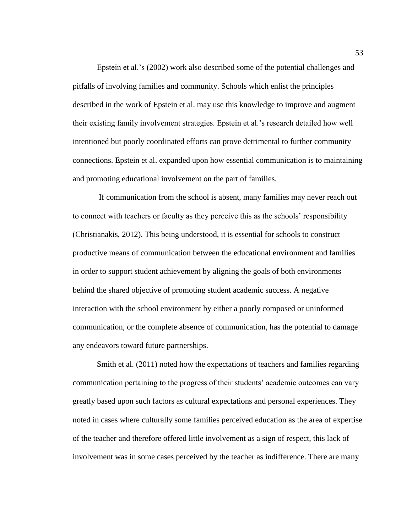Epstein et al.'s (2002) work also described some of the potential challenges and pitfalls of involving families and community. Schools which enlist the principles described in the work of Epstein et al. may use this knowledge to improve and augment their existing family involvement strategies. Epstein et al.'s research detailed how well intentioned but poorly coordinated efforts can prove detrimental to further community connections. Epstein et al. expanded upon how essential communication is to maintaining and promoting educational involvement on the part of families.

If communication from the school is absent, many families may never reach out to connect with teachers or faculty as they perceive this as the schools' responsibility (Christianakis, 2012). This being understood, it is essential for schools to construct productive means of communication between the educational environment and families in order to support student achievement by aligning the goals of both environments behind the shared objective of promoting student academic success. A negative interaction with the school environment by either a poorly composed or uninformed communication, or the complete absence of communication, has the potential to damage any endeavors toward future partnerships.

Smith et al. (2011) noted how the expectations of teachers and families regarding communication pertaining to the progress of their students' academic outcomes can vary greatly based upon such factors as cultural expectations and personal experiences. They noted in cases where culturally some families perceived education as the area of expertise of the teacher and therefore offered little involvement as a sign of respect, this lack of involvement was in some cases perceived by the teacher as indifference. There are many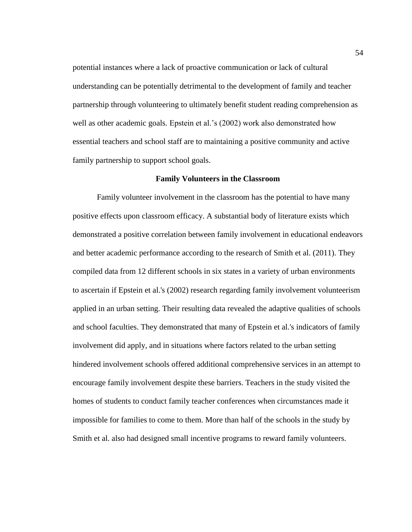potential instances where a lack of proactive communication or lack of cultural understanding can be potentially detrimental to the development of family and teacher partnership through volunteering to ultimately benefit student reading comprehension as well as other academic goals. Epstein et al.'s (2002) work also demonstrated how essential teachers and school staff are to maintaining a positive community and active family partnership to support school goals.

#### **Family Volunteers in the Classroom**

Family volunteer involvement in the classroom has the potential to have many positive effects upon classroom efficacy. A substantial body of literature exists which demonstrated a positive correlation between family involvement in educational endeavors and better academic performance according to the research of Smith et al. (2011). They compiled data from 12 different schools in six states in a variety of urban environments to ascertain if Epstein et al.'s (2002) research regarding family involvement volunteerism applied in an urban setting. Their resulting data revealed the adaptive qualities of schools and school faculties. They demonstrated that many of Epstein et al.'s indicators of family involvement did apply, and in situations where factors related to the urban setting hindered involvement schools offered additional comprehensive services in an attempt to encourage family involvement despite these barriers. Teachers in the study visited the homes of students to conduct family teacher conferences when circumstances made it impossible for families to come to them. More than half of the schools in the study by Smith et al. also had designed small incentive programs to reward family volunteers.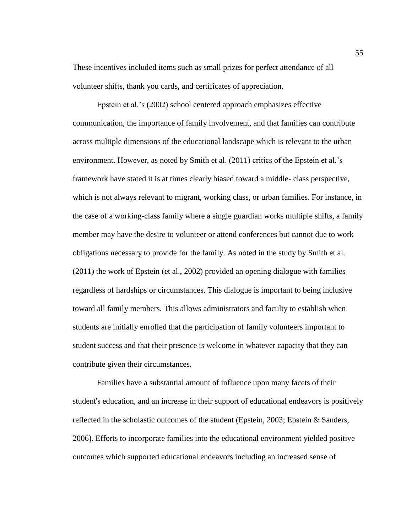These incentives included items such as small prizes for perfect attendance of all volunteer shifts, thank you cards, and certificates of appreciation.

Epstein et al.'s (2002) school centered approach emphasizes effective communication, the importance of family involvement, and that families can contribute across multiple dimensions of the educational landscape which is relevant to the urban environment. However, as noted by Smith et al. (2011) critics of the Epstein et al.'s framework have stated it is at times clearly biased toward a middle- class perspective, which is not always relevant to migrant, working class, or urban families. For instance, in the case of a working-class family where a single guardian works multiple shifts, a family member may have the desire to volunteer or attend conferences but cannot due to work obligations necessary to provide for the family. As noted in the study by Smith et al. (2011) the work of Epstein (et al., 2002) provided an opening dialogue with families regardless of hardships or circumstances. This dialogue is important to being inclusive toward all family members. This allows administrators and faculty to establish when students are initially enrolled that the participation of family volunteers important to student success and that their presence is welcome in whatever capacity that they can contribute given their circumstances.

Families have a substantial amount of influence upon many facets of their student's education, and an increase in their support of educational endeavors is positively reflected in the scholastic outcomes of the student (Epstein, 2003; Epstein & Sanders, 2006). Efforts to incorporate families into the educational environment yielded positive outcomes which supported educational endeavors including an increased sense of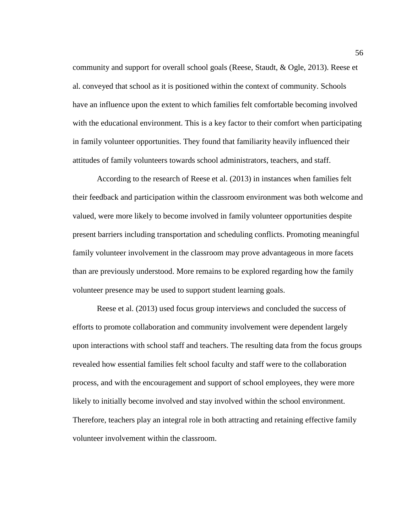community and support for overall school goals (Reese, Staudt, & Ogle, 2013). Reese et al. conveyed that school as it is positioned within the context of community. Schools have an influence upon the extent to which families felt comfortable becoming involved with the educational environment. This is a key factor to their comfort when participating in family volunteer opportunities. They found that familiarity heavily influenced their attitudes of family volunteers towards school administrators, teachers, and staff.

According to the research of Reese et al. (2013) in instances when families felt their feedback and participation within the classroom environment was both welcome and valued, were more likely to become involved in family volunteer opportunities despite present barriers including transportation and scheduling conflicts. Promoting meaningful family volunteer involvement in the classroom may prove advantageous in more facets than are previously understood. More remains to be explored regarding how the family volunteer presence may be used to support student learning goals.

Reese et al. (2013) used focus group interviews and concluded the success of efforts to promote collaboration and community involvement were dependent largely upon interactions with school staff and teachers. The resulting data from the focus groups revealed how essential families felt school faculty and staff were to the collaboration process, and with the encouragement and support of school employees, they were more likely to initially become involved and stay involved within the school environment. Therefore, teachers play an integral role in both attracting and retaining effective family volunteer involvement within the classroom.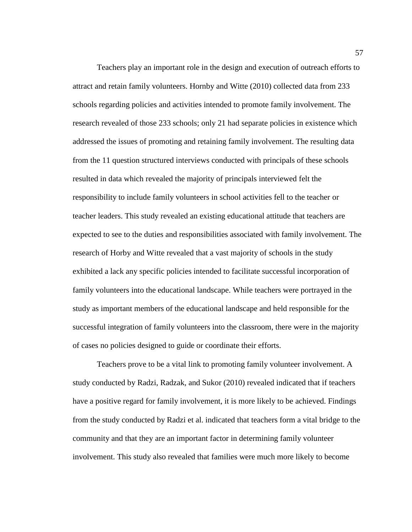Teachers play an important role in the design and execution of outreach efforts to attract and retain family volunteers. Hornby and Witte (2010) collected data from 233 schools regarding policies and activities intended to promote family involvement. The research revealed of those 233 schools; only 21 had separate policies in existence which addressed the issues of promoting and retaining family involvement. The resulting data from the 11 question structured interviews conducted with principals of these schools resulted in data which revealed the majority of principals interviewed felt the responsibility to include family volunteers in school activities fell to the teacher or teacher leaders. This study revealed an existing educational attitude that teachers are expected to see to the duties and responsibilities associated with family involvement. The research of Horby and Witte revealed that a vast majority of schools in the study exhibited a lack any specific policies intended to facilitate successful incorporation of family volunteers into the educational landscape. While teachers were portrayed in the study as important members of the educational landscape and held responsible for the successful integration of family volunteers into the classroom, there were in the majority of cases no policies designed to guide or coordinate their efforts.

Teachers prove to be a vital link to promoting family volunteer involvement. A study conducted by Radzi, Radzak, and Sukor (2010) revealed indicated that if teachers have a positive regard for family involvement, it is more likely to be achieved. Findings from the study conducted by Radzi et al. indicated that teachers form a vital bridge to the community and that they are an important factor in determining family volunteer involvement. This study also revealed that families were much more likely to become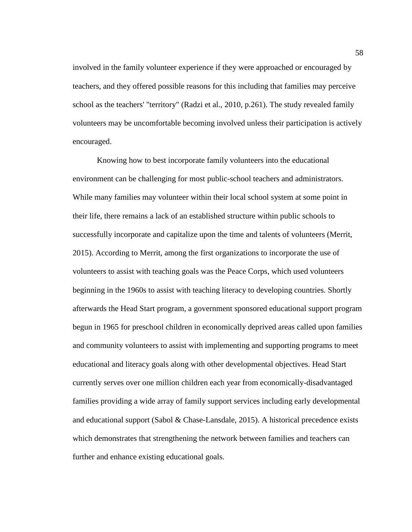involved in the family volunteer experience if they were approached or encouraged by teachers, and they offered possible reasons for this including that families may perceive school as the teachers' "territory" (Radzi et al., 2010, p.261). The study revealed family volunteers may be uncomfortable becoming involved unless their participation is actively encouraged.

Knowing how to best incorporate family volunteers into the educational environment can be challenging for most public-school teachers and administrators. While many families may volunteer within their local school system at some point in their life, there remains a lack of an established structure within public schools to successfully incorporate and capitalize upon the time and talents of volunteers (Merrit, 2015). According to Merrit, among the first organizations to incorporate the use of volunteers to assist with teaching goals was the Peace Corps, which used volunteers beginning in the 1960s to assist with teaching literacy to developing countries. Shortly afterwards the Head Start program, a government sponsored educational support program begun in 1965 for preschool children in economically deprived areas called upon families and community volunteers to assist with implementing and supporting programs to meet educational and literacy goals along with other developmental objectives. Head Start currently serves over one million children each year from economically-disadvantaged families providing a wide array of family support services including early developmental and educational support (Sabol & Chase-Lansdale, 2015). A historical precedence exists which demonstrates that strengthening the network between families and teachers can further and enhance existing educational goals.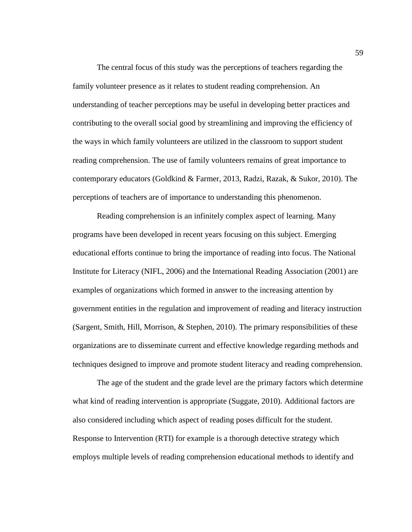The central focus of this study was the perceptions of teachers regarding the family volunteer presence as it relates to student reading comprehension. An understanding of teacher perceptions may be useful in developing better practices and contributing to the overall social good by streamlining and improving the efficiency of the ways in which family volunteers are utilized in the classroom to support student reading comprehension. The use of family volunteers remains of great importance to contemporary educators (Goldkind & Farmer, 2013, Radzi, Razak, & Sukor, 2010). The perceptions of teachers are of importance to understanding this phenomenon.

Reading comprehension is an infinitely complex aspect of learning. Many programs have been developed in recent years focusing on this subject. Emerging educational efforts continue to bring the importance of reading into focus. The National Institute for Literacy (NIFL, 2006) and the International Reading Association (2001) are examples of organizations which formed in answer to the increasing attention by government entities in the regulation and improvement of reading and literacy instruction (Sargent, Smith, Hill, Morrison, & Stephen, 2010). The primary responsibilities of these organizations are to disseminate current and effective knowledge regarding methods and techniques designed to improve and promote student literacy and reading comprehension.

The age of the student and the grade level are the primary factors which determine what kind of reading intervention is appropriate (Suggate, 2010). Additional factors are also considered including which aspect of reading poses difficult for the student. Response to Intervention (RTI) for example is a thorough detective strategy which employs multiple levels of reading comprehension educational methods to identify and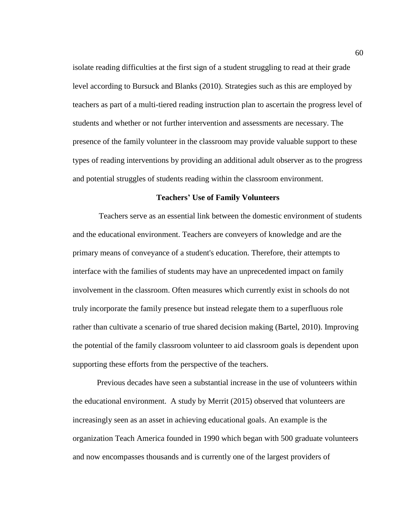isolate reading difficulties at the first sign of a student struggling to read at their grade level according to Bursuck and Blanks (2010). Strategies such as this are employed by teachers as part of a multi-tiered reading instruction plan to ascertain the progress level of students and whether or not further intervention and assessments are necessary. The presence of the family volunteer in the classroom may provide valuable support to these types of reading interventions by providing an additional adult observer as to the progress and potential struggles of students reading within the classroom environment.

#### **Teachers' Use of Family Volunteers**

Teachers serve as an essential link between the domestic environment of students and the educational environment. Teachers are conveyers of knowledge and are the primary means of conveyance of a student's education. Therefore, their attempts to interface with the families of students may have an unprecedented impact on family involvement in the classroom. Often measures which currently exist in schools do not truly incorporate the family presence but instead relegate them to a superfluous role rather than cultivate a scenario of true shared decision making (Bartel, 2010). Improving the potential of the family classroom volunteer to aid classroom goals is dependent upon supporting these efforts from the perspective of the teachers.

Previous decades have seen a substantial increase in the use of volunteers within the educational environment. A study by Merrit (2015) observed that volunteers are increasingly seen as an asset in achieving educational goals. An example is the organization Teach America founded in 1990 which began with 500 graduate volunteers and now encompasses thousands and is currently one of the largest providers of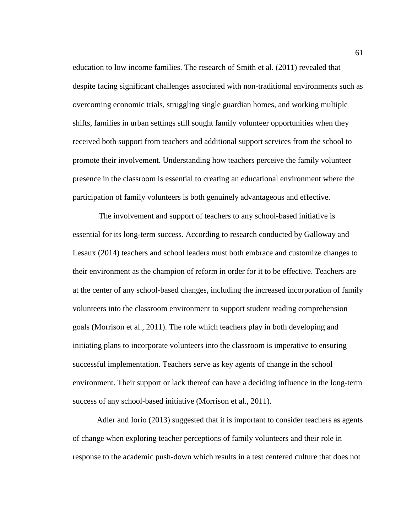education to low income families. The research of Smith et al. (2011) revealed that despite facing significant challenges associated with non-traditional environments such as overcoming economic trials, struggling single guardian homes, and working multiple shifts, families in urban settings still sought family volunteer opportunities when they received both support from teachers and additional support services from the school to promote their involvement. Understanding how teachers perceive the family volunteer presence in the classroom is essential to creating an educational environment where the participation of family volunteers is both genuinely advantageous and effective.

The involvement and support of teachers to any school-based initiative is essential for its long-term success. According to research conducted by Galloway and Lesaux (2014) teachers and school leaders must both embrace and customize changes to their environment as the champion of reform in order for it to be effective. Teachers are at the center of any school-based changes, including the increased incorporation of family volunteers into the classroom environment to support student reading comprehension goals (Morrison et al., 2011). The role which teachers play in both developing and initiating plans to incorporate volunteers into the classroom is imperative to ensuring successful implementation. Teachers serve as key agents of change in the school environment. Their support or lack thereof can have a deciding influence in the long-term success of any school-based initiative (Morrison et al., 2011).

Adler and Iorio (2013) suggested that it is important to consider teachers as agents of change when exploring teacher perceptions of family volunteers and their role in response to the academic push-down which results in a test centered culture that does not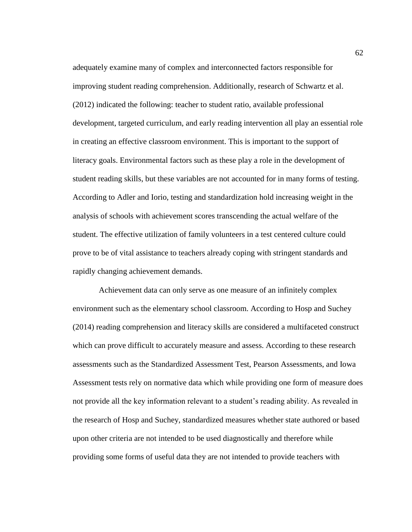adequately examine many of complex and interconnected factors responsible for improving student reading comprehension. Additionally, research of Schwartz et al. (2012) indicated the following: teacher to student ratio, available professional development, targeted curriculum, and early reading intervention all play an essential role in creating an effective classroom environment. This is important to the support of literacy goals. Environmental factors such as these play a role in the development of student reading skills, but these variables are not accounted for in many forms of testing. According to Adler and Iorio, testing and standardization hold increasing weight in the analysis of schools with achievement scores transcending the actual welfare of the student. The effective utilization of family volunteers in a test centered culture could prove to be of vital assistance to teachers already coping with stringent standards and rapidly changing achievement demands.

Achievement data can only serve as one measure of an infinitely complex environment such as the elementary school classroom. According to Hosp and Suchey (2014) reading comprehension and literacy skills are considered a multifaceted construct which can prove difficult to accurately measure and assess. According to these research assessments such as the Standardized Assessment Test, Pearson Assessments, and Iowa Assessment tests rely on normative data which while providing one form of measure does not provide all the key information relevant to a student's reading ability. As revealed in the research of Hosp and Suchey, standardized measures whether state authored or based upon other criteria are not intended to be used diagnostically and therefore while providing some forms of useful data they are not intended to provide teachers with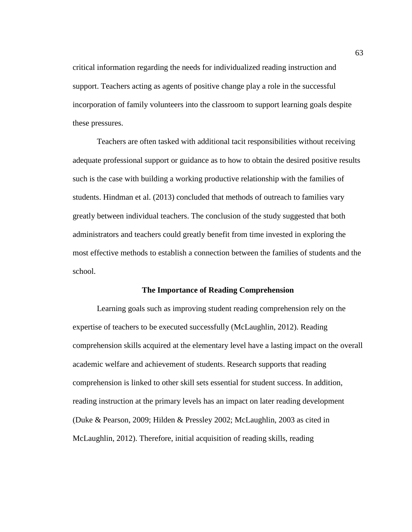critical information regarding the needs for individualized reading instruction and support. Teachers acting as agents of positive change play a role in the successful incorporation of family volunteers into the classroom to support learning goals despite these pressures.

Teachers are often tasked with additional tacit responsibilities without receiving adequate professional support or guidance as to how to obtain the desired positive results such is the case with building a working productive relationship with the families of students. Hindman et al. (2013) concluded that methods of outreach to families vary greatly between individual teachers. The conclusion of the study suggested that both administrators and teachers could greatly benefit from time invested in exploring the most effective methods to establish a connection between the families of students and the school.

## **The Importance of Reading Comprehension**

Learning goals such as improving student reading comprehension rely on the expertise of teachers to be executed successfully (McLaughlin, 2012). Reading comprehension skills acquired at the elementary level have a lasting impact on the overall academic welfare and achievement of students. Research supports that reading comprehension is linked to other skill sets essential for student success. In addition, reading instruction at the primary levels has an impact on later reading development (Duke & Pearson, 2009; Hilden & Pressley 2002; McLaughlin, 2003 as cited in McLaughlin, 2012). Therefore, initial acquisition of reading skills, reading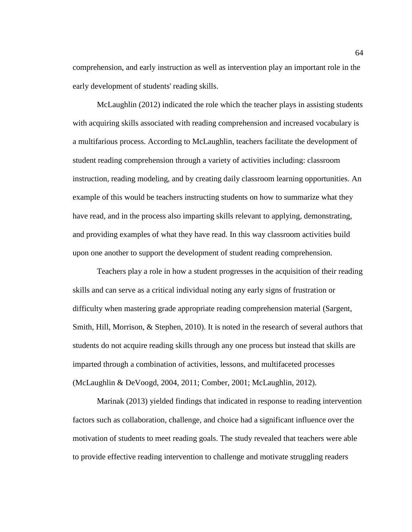comprehension, and early instruction as well as intervention play an important role in the early development of students' reading skills.

McLaughlin (2012) indicated the role which the teacher plays in assisting students with acquiring skills associated with reading comprehension and increased vocabulary is a multifarious process. According to McLaughlin, teachers facilitate the development of student reading comprehension through a variety of activities including: classroom instruction, reading modeling, and by creating daily classroom learning opportunities. An example of this would be teachers instructing students on how to summarize what they have read, and in the process also imparting skills relevant to applying, demonstrating, and providing examples of what they have read. In this way classroom activities build upon one another to support the development of student reading comprehension.

Teachers play a role in how a student progresses in the acquisition of their reading skills and can serve as a critical individual noting any early signs of frustration or difficulty when mastering grade appropriate reading comprehension material (Sargent, Smith, Hill, Morrison, & Stephen, 2010). It is noted in the research of several authors that students do not acquire reading skills through any one process but instead that skills are imparted through a combination of activities, lessons, and multifaceted processes (McLaughlin & DeVoogd, 2004, 2011; Comber, 2001; McLaughlin, 2012).

Marinak (2013) yielded findings that indicated in response to reading intervention factors such as collaboration, challenge, and choice had a significant influence over the motivation of students to meet reading goals. The study revealed that teachers were able to provide effective reading intervention to challenge and motivate struggling readers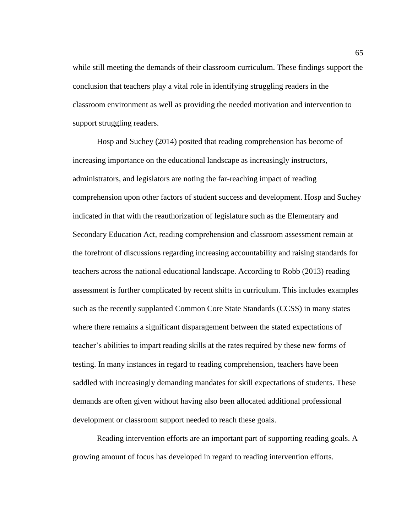while still meeting the demands of their classroom curriculum. These findings support the conclusion that teachers play a vital role in identifying struggling readers in the classroom environment as well as providing the needed motivation and intervention to support struggling readers.

Hosp and Suchey (2014) posited that reading comprehension has become of increasing importance on the educational landscape as increasingly instructors, administrators, and legislators are noting the far-reaching impact of reading comprehension upon other factors of student success and development. Hosp and Suchey indicated in that with the reauthorization of legislature such as the Elementary and Secondary Education Act, reading comprehension and classroom assessment remain at the forefront of discussions regarding increasing accountability and raising standards for teachers across the national educational landscape. According to Robb (2013) reading assessment is further complicated by recent shifts in curriculum. This includes examples such as the recently supplanted Common Core State Standards (CCSS) in many states where there remains a significant disparagement between the stated expectations of teacher's abilities to impart reading skills at the rates required by these new forms of testing. In many instances in regard to reading comprehension, teachers have been saddled with increasingly demanding mandates for skill expectations of students. These demands are often given without having also been allocated additional professional development or classroom support needed to reach these goals.

Reading intervention efforts are an important part of supporting reading goals. A growing amount of focus has developed in regard to reading intervention efforts.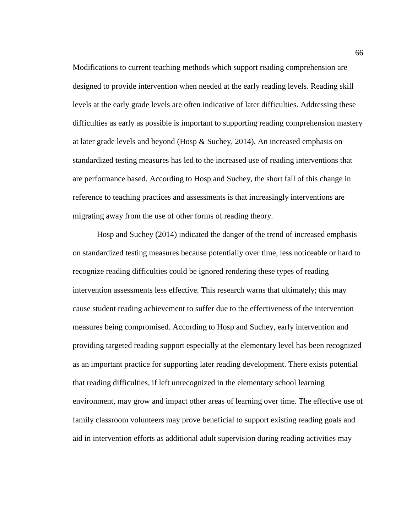Modifications to current teaching methods which support reading comprehension are designed to provide intervention when needed at the early reading levels. Reading skill levels at the early grade levels are often indicative of later difficulties. Addressing these difficulties as early as possible is important to supporting reading comprehension mastery at later grade levels and beyond (Hosp & Suchey, 2014). An increased emphasis on standardized testing measures has led to the increased use of reading interventions that are performance based. According to Hosp and Suchey, the short fall of this change in reference to teaching practices and assessments is that increasingly interventions are migrating away from the use of other forms of reading theory.

Hosp and Suchey (2014) indicated the danger of the trend of increased emphasis on standardized testing measures because potentially over time, less noticeable or hard to recognize reading difficulties could be ignored rendering these types of reading intervention assessments less effective. This research warns that ultimately; this may cause student reading achievement to suffer due to the effectiveness of the intervention measures being compromised. According to Hosp and Suchey, early intervention and providing targeted reading support especially at the elementary level has been recognized as an important practice for supporting later reading development. There exists potential that reading difficulties, if left unrecognized in the elementary school learning environment, may grow and impact other areas of learning over time. The effective use of family classroom volunteers may prove beneficial to support existing reading goals and aid in intervention efforts as additional adult supervision during reading activities may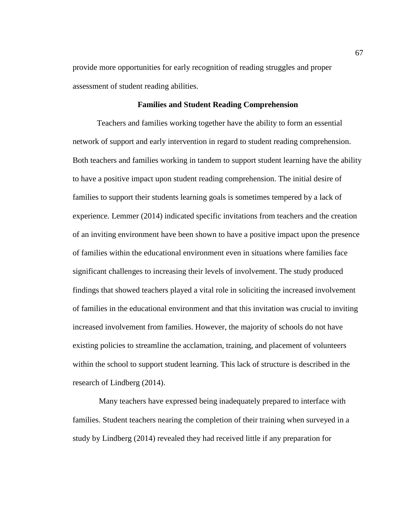provide more opportunities for early recognition of reading struggles and proper assessment of student reading abilities.

# **Families and Student Reading Comprehension**

Teachers and families working together have the ability to form an essential network of support and early intervention in regard to student reading comprehension. Both teachers and families working in tandem to support student learning have the ability to have a positive impact upon student reading comprehension. The initial desire of families to support their students learning goals is sometimes tempered by a lack of experience. Lemmer (2014) indicated specific invitations from teachers and the creation of an inviting environment have been shown to have a positive impact upon the presence of families within the educational environment even in situations where families face significant challenges to increasing their levels of involvement. The study produced findings that showed teachers played a vital role in soliciting the increased involvement of families in the educational environment and that this invitation was crucial to inviting increased involvement from families. However, the majority of schools do not have existing policies to streamline the acclamation, training, and placement of volunteers within the school to support student learning. This lack of structure is described in the research of Lindberg (2014).

Many teachers have expressed being inadequately prepared to interface with families. Student teachers nearing the completion of their training when surveyed in a study by Lindberg (2014) revealed they had received little if any preparation for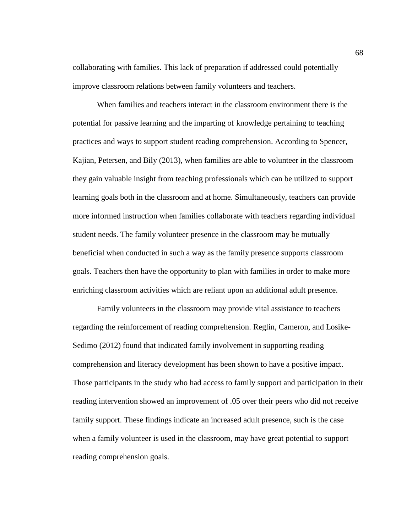collaborating with families. This lack of preparation if addressed could potentially improve classroom relations between family volunteers and teachers.

When families and teachers interact in the classroom environment there is the potential for passive learning and the imparting of knowledge pertaining to teaching practices and ways to support student reading comprehension. According to Spencer, Kajian, Petersen, and Bily (2013), when families are able to volunteer in the classroom they gain valuable insight from teaching professionals which can be utilized to support learning goals both in the classroom and at home. Simultaneously, teachers can provide more informed instruction when families collaborate with teachers regarding individual student needs. The family volunteer presence in the classroom may be mutually beneficial when conducted in such a way as the family presence supports classroom goals. Teachers then have the opportunity to plan with families in order to make more enriching classroom activities which are reliant upon an additional adult presence.

Family volunteers in the classroom may provide vital assistance to teachers regarding the reinforcement of reading comprehension. Reglin, Cameron, and Losike-Sedimo (2012) found that indicated family involvement in supporting reading comprehension and literacy development has been shown to have a positive impact. Those participants in the study who had access to family support and participation in their reading intervention showed an improvement of .05 over their peers who did not receive family support. These findings indicate an increased adult presence, such is the case when a family volunteer is used in the classroom, may have great potential to support reading comprehension goals.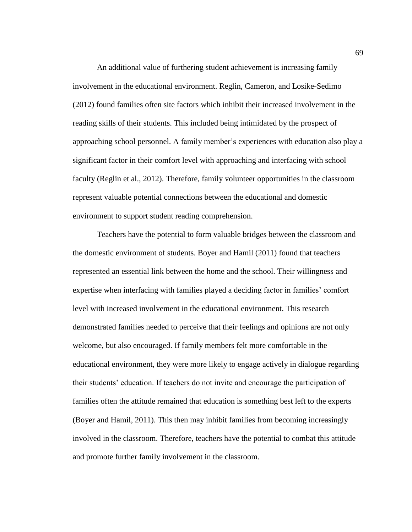An additional value of furthering student achievement is increasing family involvement in the educational environment. Reglin, Cameron, and Losike-Sedimo (2012) found families often site factors which inhibit their increased involvement in the reading skills of their students. This included being intimidated by the prospect of approaching school personnel. A family member's experiences with education also play a significant factor in their comfort level with approaching and interfacing with school faculty (Reglin et al., 2012). Therefore, family volunteer opportunities in the classroom represent valuable potential connections between the educational and domestic environment to support student reading comprehension.

Teachers have the potential to form valuable bridges between the classroom and the domestic environment of students. Boyer and Hamil (2011) found that teachers represented an essential link between the home and the school. Their willingness and expertise when interfacing with families played a deciding factor in families' comfort level with increased involvement in the educational environment. This research demonstrated families needed to perceive that their feelings and opinions are not only welcome, but also encouraged. If family members felt more comfortable in the educational environment, they were more likely to engage actively in dialogue regarding their students' education. If teachers do not invite and encourage the participation of families often the attitude remained that education is something best left to the experts (Boyer and Hamil, 2011). This then may inhibit families from becoming increasingly involved in the classroom. Therefore, teachers have the potential to combat this attitude and promote further family involvement in the classroom.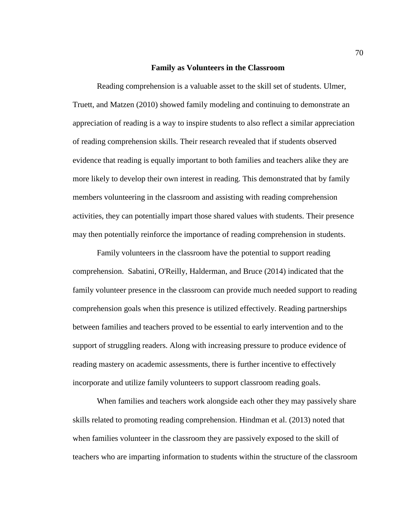#### **Family as Volunteers in the Classroom**

Reading comprehension is a valuable asset to the skill set of students. Ulmer, Truett, and Matzen (2010) showed family modeling and continuing to demonstrate an appreciation of reading is a way to inspire students to also reflect a similar appreciation of reading comprehension skills. Their research revealed that if students observed evidence that reading is equally important to both families and teachers alike they are more likely to develop their own interest in reading. This demonstrated that by family members volunteering in the classroom and assisting with reading comprehension activities, they can potentially impart those shared values with students. Their presence may then potentially reinforce the importance of reading comprehension in students.

Family volunteers in the classroom have the potential to support reading comprehension. Sabatini, O'Reilly, Halderman, and Bruce (2014) indicated that the family volunteer presence in the classroom can provide much needed support to reading comprehension goals when this presence is utilized effectively. Reading partnerships between families and teachers proved to be essential to early intervention and to the support of struggling readers. Along with increasing pressure to produce evidence of reading mastery on academic assessments, there is further incentive to effectively incorporate and utilize family volunteers to support classroom reading goals.

When families and teachers work alongside each other they may passively share skills related to promoting reading comprehension. Hindman et al. (2013) noted that when families volunteer in the classroom they are passively exposed to the skill of teachers who are imparting information to students within the structure of the classroom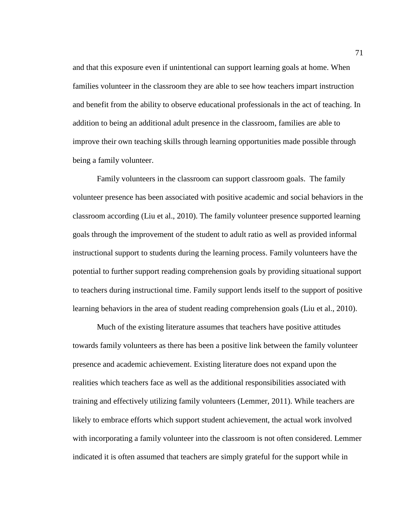and that this exposure even if unintentional can support learning goals at home. When families volunteer in the classroom they are able to see how teachers impart instruction and benefit from the ability to observe educational professionals in the act of teaching. In addition to being an additional adult presence in the classroom, families are able to improve their own teaching skills through learning opportunities made possible through being a family volunteer.

Family volunteers in the classroom can support classroom goals. The family volunteer presence has been associated with positive academic and social behaviors in the classroom according (Liu et al., 2010). The family volunteer presence supported learning goals through the improvement of the student to adult ratio as well as provided informal instructional support to students during the learning process. Family volunteers have the potential to further support reading comprehension goals by providing situational support to teachers during instructional time. Family support lends itself to the support of positive learning behaviors in the area of student reading comprehension goals (Liu et al., 2010).

Much of the existing literature assumes that teachers have positive attitudes towards family volunteers as there has been a positive link between the family volunteer presence and academic achievement. Existing literature does not expand upon the realities which teachers face as well as the additional responsibilities associated with training and effectively utilizing family volunteers (Lemmer, 2011). While teachers are likely to embrace efforts which support student achievement, the actual work involved with incorporating a family volunteer into the classroom is not often considered. Lemmer indicated it is often assumed that teachers are simply grateful for the support while in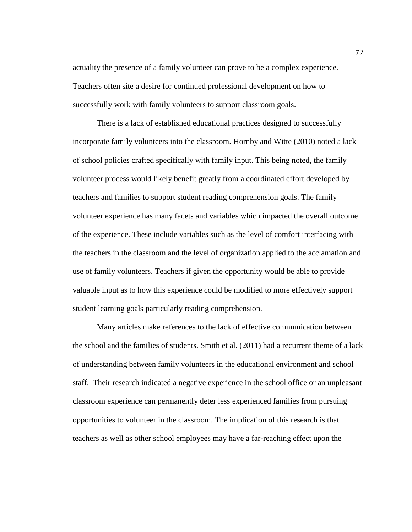actuality the presence of a family volunteer can prove to be a complex experience. Teachers often site a desire for continued professional development on how to successfully work with family volunteers to support classroom goals.

There is a lack of established educational practices designed to successfully incorporate family volunteers into the classroom. Hornby and Witte (2010) noted a lack of school policies crafted specifically with family input. This being noted, the family volunteer process would likely benefit greatly from a coordinated effort developed by teachers and families to support student reading comprehension goals. The family volunteer experience has many facets and variables which impacted the overall outcome of the experience. These include variables such as the level of comfort interfacing with the teachers in the classroom and the level of organization applied to the acclamation and use of family volunteers. Teachers if given the opportunity would be able to provide valuable input as to how this experience could be modified to more effectively support student learning goals particularly reading comprehension.

Many articles make references to the lack of effective communication between the school and the families of students. Smith et al. (2011) had a recurrent theme of a lack of understanding between family volunteers in the educational environment and school staff. Their research indicated a negative experience in the school office or an unpleasant classroom experience can permanently deter less experienced families from pursuing opportunities to volunteer in the classroom. The implication of this research is that teachers as well as other school employees may have a far-reaching effect upon the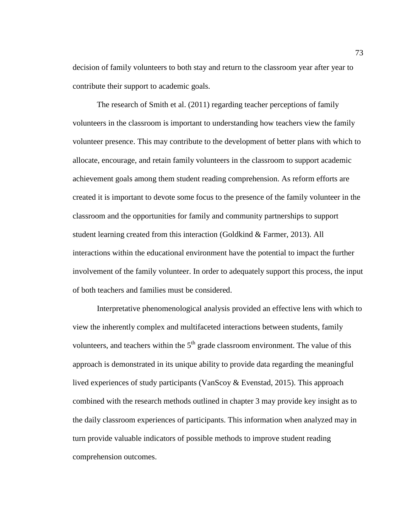decision of family volunteers to both stay and return to the classroom year after year to contribute their support to academic goals.

The research of Smith et al. (2011) regarding teacher perceptions of family volunteers in the classroom is important to understanding how teachers view the family volunteer presence. This may contribute to the development of better plans with which to allocate, encourage, and retain family volunteers in the classroom to support academic achievement goals among them student reading comprehension. As reform efforts are created it is important to devote some focus to the presence of the family volunteer in the classroom and the opportunities for family and community partnerships to support student learning created from this interaction (Goldkind & Farmer, 2013). All interactions within the educational environment have the potential to impact the further involvement of the family volunteer. In order to adequately support this process, the input of both teachers and families must be considered.

Interpretative phenomenological analysis provided an effective lens with which to view the inherently complex and multifaceted interactions between students, family volunteers, and teachers within the  $5<sup>th</sup>$  grade classroom environment. The value of this approach is demonstrated in its unique ability to provide data regarding the meaningful lived experiences of study participants (VanScoy & Evenstad, 2015). This approach combined with the research methods outlined in chapter 3 may provide key insight as to the daily classroom experiences of participants. This information when analyzed may in turn provide valuable indicators of possible methods to improve student reading comprehension outcomes.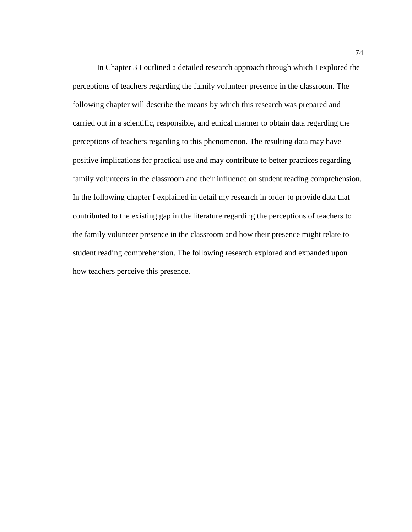In Chapter 3 I outlined a detailed research approach through which I explored the perceptions of teachers regarding the family volunteer presence in the classroom. The following chapter will describe the means by which this research was prepared and carried out in a scientific, responsible, and ethical manner to obtain data regarding the perceptions of teachers regarding to this phenomenon. The resulting data may have positive implications for practical use and may contribute to better practices regarding family volunteers in the classroom and their influence on student reading comprehension. In the following chapter I explained in detail my research in order to provide data that contributed to the existing gap in the literature regarding the perceptions of teachers to the family volunteer presence in the classroom and how their presence might relate to student reading comprehension. The following research explored and expanded upon how teachers perceive this presence.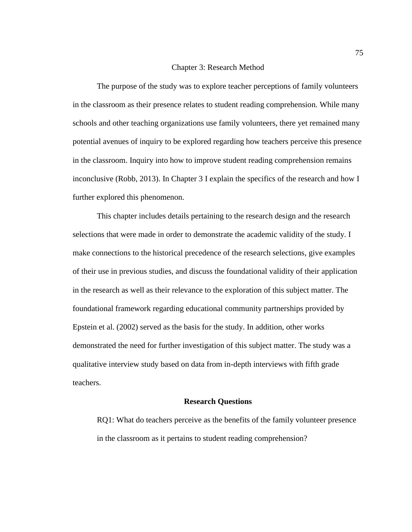#### Chapter 3: Research Method

The purpose of the study was to explore teacher perceptions of family volunteers in the classroom as their presence relates to student reading comprehension. While many schools and other teaching organizations use family volunteers, there yet remained many potential avenues of inquiry to be explored regarding how teachers perceive this presence in the classroom. Inquiry into how to improve student reading comprehension remains inconclusive (Robb, 2013). In Chapter 3 I explain the specifics of the research and how I further explored this phenomenon.

This chapter includes details pertaining to the research design and the research selections that were made in order to demonstrate the academic validity of the study. I make connections to the historical precedence of the research selections, give examples of their use in previous studies, and discuss the foundational validity of their application in the research as well as their relevance to the exploration of this subject matter. The foundational framework regarding educational community partnerships provided by Epstein et al. (2002) served as the basis for the study. In addition, other works demonstrated the need for further investigation of this subject matter. The study was a qualitative interview study based on data from in-depth interviews with fifth grade teachers.

#### **Research Questions**

RQ1: What do teachers perceive as the benefits of the family volunteer presence in the classroom as it pertains to student reading comprehension?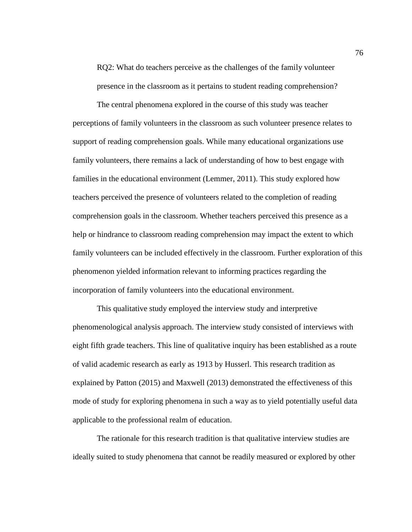RQ2: What do teachers perceive as the challenges of the family volunteer presence in the classroom as it pertains to student reading comprehension?

The central phenomena explored in the course of this study was teacher perceptions of family volunteers in the classroom as such volunteer presence relates to support of reading comprehension goals. While many educational organizations use family volunteers, there remains a lack of understanding of how to best engage with families in the educational environment (Lemmer, 2011). This study explored how teachers perceived the presence of volunteers related to the completion of reading comprehension goals in the classroom. Whether teachers perceived this presence as a help or hindrance to classroom reading comprehension may impact the extent to which family volunteers can be included effectively in the classroom. Further exploration of this phenomenon yielded information relevant to informing practices regarding the incorporation of family volunteers into the educational environment.

This qualitative study employed the interview study and interpretive phenomenological analysis approach. The interview study consisted of interviews with eight fifth grade teachers. This line of qualitative inquiry has been established as a route of valid academic research as early as 1913 by Husserl. This research tradition as explained by Patton (2015) and Maxwell (2013) demonstrated the effectiveness of this mode of study for exploring phenomena in such a way as to yield potentially useful data applicable to the professional realm of education.

The rationale for this research tradition is that qualitative interview studies are ideally suited to study phenomena that cannot be readily measured or explored by other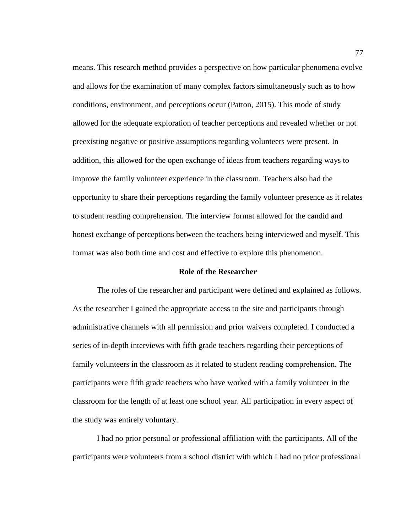means. This research method provides a perspective on how particular phenomena evolve and allows for the examination of many complex factors simultaneously such as to how conditions, environment, and perceptions occur (Patton, 2015). This mode of study allowed for the adequate exploration of teacher perceptions and revealed whether or not preexisting negative or positive assumptions regarding volunteers were present. In addition, this allowed for the open exchange of ideas from teachers regarding ways to improve the family volunteer experience in the classroom. Teachers also had the opportunity to share their perceptions regarding the family volunteer presence as it relates to student reading comprehension. The interview format allowed for the candid and honest exchange of perceptions between the teachers being interviewed and myself. This format was also both time and cost and effective to explore this phenomenon.

## **Role of the Researcher**

The roles of the researcher and participant were defined and explained as follows. As the researcher I gained the appropriate access to the site and participants through administrative channels with all permission and prior waivers completed. I conducted a series of in-depth interviews with fifth grade teachers regarding their perceptions of family volunteers in the classroom as it related to student reading comprehension. The participants were fifth grade teachers who have worked with a family volunteer in the classroom for the length of at least one school year. All participation in every aspect of the study was entirely voluntary.

I had no prior personal or professional affiliation with the participants. All of the participants were volunteers from a school district with which I had no prior professional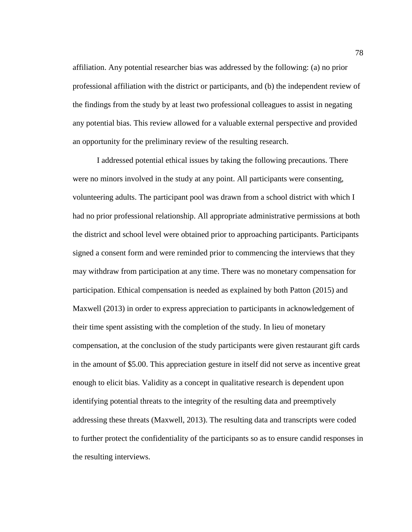affiliation. Any potential researcher bias was addressed by the following: (a) no prior professional affiliation with the district or participants, and (b) the independent review of the findings from the study by at least two professional colleagues to assist in negating any potential bias. This review allowed for a valuable external perspective and provided an opportunity for the preliminary review of the resulting research.

I addressed potential ethical issues by taking the following precautions. There were no minors involved in the study at any point. All participants were consenting, volunteering adults. The participant pool was drawn from a school district with which I had no prior professional relationship. All appropriate administrative permissions at both the district and school level were obtained prior to approaching participants. Participants signed a consent form and were reminded prior to commencing the interviews that they may withdraw from participation at any time. There was no monetary compensation for participation. Ethical compensation is needed as explained by both Patton (2015) and Maxwell (2013) in order to express appreciation to participants in acknowledgement of their time spent assisting with the completion of the study. In lieu of monetary compensation, at the conclusion of the study participants were given restaurant gift cards in the amount of \$5.00. This appreciation gesture in itself did not serve as incentive great enough to elicit bias. Validity as a concept in qualitative research is dependent upon identifying potential threats to the integrity of the resulting data and preemptively addressing these threats (Maxwell, 2013). The resulting data and transcripts were coded to further protect the confidentiality of the participants so as to ensure candid responses in the resulting interviews.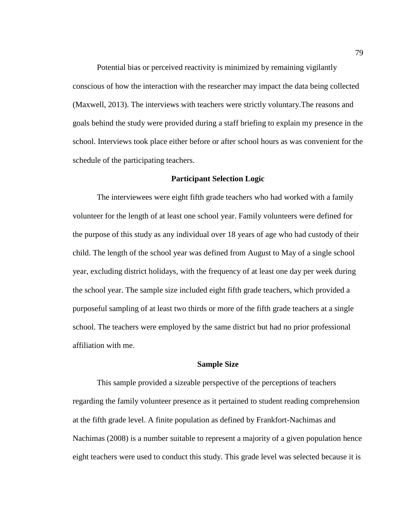Potential bias or perceived reactivity is minimized by remaining vigilantly conscious of how the interaction with the researcher may impact the data being collected (Maxwell, 2013). The interviews with teachers were strictly voluntary.The reasons and goals behind the study were provided during a staff briefing to explain my presence in the school. Interviews took place either before or after school hours as was convenient for the schedule of the participating teachers.

# **Participant Selection Logic**

The interviewees were eight fifth grade teachers who had worked with a family volunteer for the length of at least one school year. Family volunteers were defined for the purpose of this study as any individual over 18 years of age who had custody of their child. The length of the school year was defined from August to May of a single school year, excluding district holidays, with the frequency of at least one day per week during the school year. The sample size included eight fifth grade teachers, which provided a purposeful sampling of at least two thirds or more of the fifth grade teachers at a single school. The teachers were employed by the same district but had no prior professional affiliation with me.

## **Sample Size**

This sample provided a sizeable perspective of the perceptions of teachers regarding the family volunteer presence as it pertained to student reading comprehension at the fifth grade level. A finite population as defined by Frankfort-Nachimas and Nachimas (2008) is a number suitable to represent a majority of a given population hence eight teachers were used to conduct this study. This grade level was selected because it is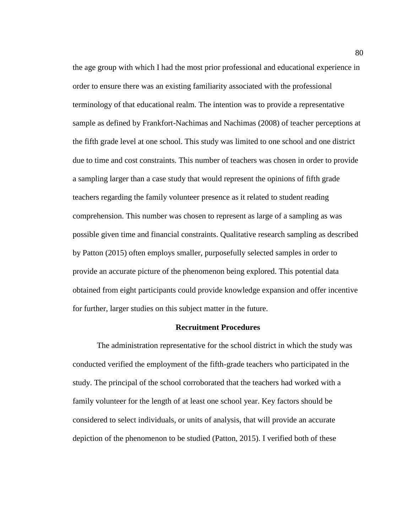the age group with which I had the most prior professional and educational experience in order to ensure there was an existing familiarity associated with the professional terminology of that educational realm. The intention was to provide a representative sample as defined by Frankfort-Nachimas and Nachimas (2008) of teacher perceptions at the fifth grade level at one school. This study was limited to one school and one district due to time and cost constraints. This number of teachers was chosen in order to provide a sampling larger than a case study that would represent the opinions of fifth grade teachers regarding the family volunteer presence as it related to student reading comprehension. This number was chosen to represent as large of a sampling as was possible given time and financial constraints. Qualitative research sampling as described by Patton (2015) often employs smaller, purposefully selected samples in order to provide an accurate picture of the phenomenon being explored. This potential data obtained from eight participants could provide knowledge expansion and offer incentive for further, larger studies on this subject matter in the future.

# **Recruitment Procedures**

The administration representative for the school district in which the study was conducted verified the employment of the fifth-grade teachers who participated in the study. The principal of the school corroborated that the teachers had worked with a family volunteer for the length of at least one school year. Key factors should be considered to select individuals, or units of analysis, that will provide an accurate depiction of the phenomenon to be studied (Patton, 2015). I verified both of these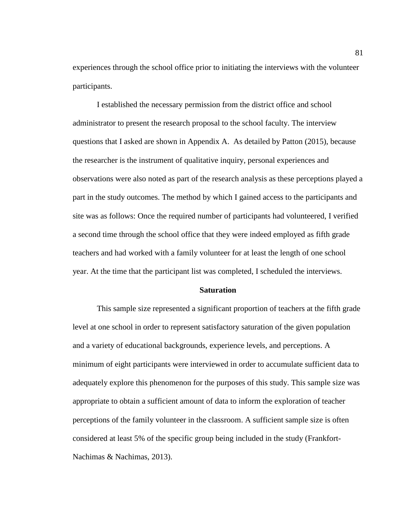experiences through the school office prior to initiating the interviews with the volunteer participants.

I established the necessary permission from the district office and school administrator to present the research proposal to the school faculty. The interview questions that I asked are shown in Appendix A. As detailed by Patton (2015), because the researcher is the instrument of qualitative inquiry, personal experiences and observations were also noted as part of the research analysis as these perceptions played a part in the study outcomes. The method by which I gained access to the participants and site was as follows: Once the required number of participants had volunteered, I verified a second time through the school office that they were indeed employed as fifth grade teachers and had worked with a family volunteer for at least the length of one school year. At the time that the participant list was completed, I scheduled the interviews.

## **Saturation**

This sample size represented a significant proportion of teachers at the fifth grade level at one school in order to represent satisfactory saturation of the given population and a variety of educational backgrounds, experience levels, and perceptions. A minimum of eight participants were interviewed in order to accumulate sufficient data to adequately explore this phenomenon for the purposes of this study. This sample size was appropriate to obtain a sufficient amount of data to inform the exploration of teacher perceptions of the family volunteer in the classroom. A sufficient sample size is often considered at least 5% of the specific group being included in the study (Frankfort-Nachimas & Nachimas, 2013).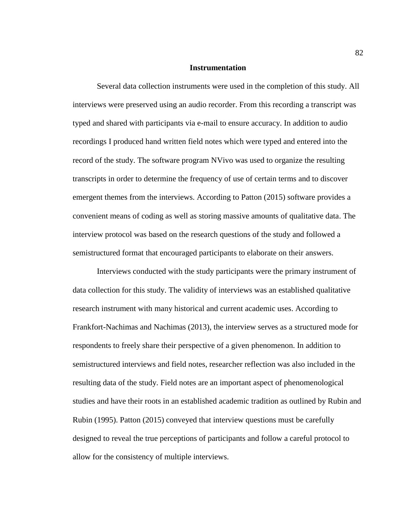## **Instrumentation**

Several data collection instruments were used in the completion of this study. All interviews were preserved using an audio recorder. From this recording a transcript was typed and shared with participants via e-mail to ensure accuracy. In addition to audio recordings I produced hand written field notes which were typed and entered into the record of the study. The software program NVivo was used to organize the resulting transcripts in order to determine the frequency of use of certain terms and to discover emergent themes from the interviews. According to Patton (2015) software provides a convenient means of coding as well as storing massive amounts of qualitative data. The interview protocol was based on the research questions of the study and followed a semistructured format that encouraged participants to elaborate on their answers.

Interviews conducted with the study participants were the primary instrument of data collection for this study. The validity of interviews was an established qualitative research instrument with many historical and current academic uses. According to Frankfort-Nachimas and Nachimas (2013), the interview serves as a structured mode for respondents to freely share their perspective of a given phenomenon. In addition to semistructured interviews and field notes, researcher reflection was also included in the resulting data of the study. Field notes are an important aspect of phenomenological studies and have their roots in an established academic tradition as outlined by Rubin and Rubin (1995). Patton (2015) conveyed that interview questions must be carefully designed to reveal the true perceptions of participants and follow a careful protocol to allow for the consistency of multiple interviews.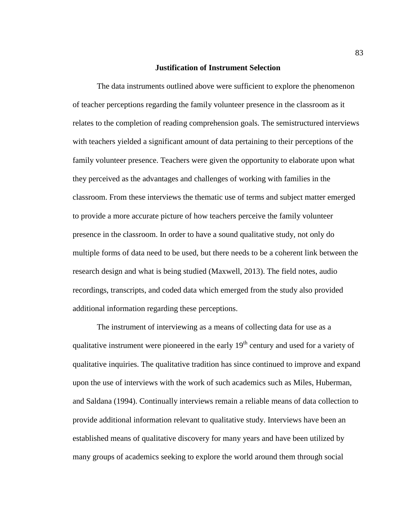## **Justification of Instrument Selection**

The data instruments outlined above were sufficient to explore the phenomenon of teacher perceptions regarding the family volunteer presence in the classroom as it relates to the completion of reading comprehension goals. The semistructured interviews with teachers yielded a significant amount of data pertaining to their perceptions of the family volunteer presence. Teachers were given the opportunity to elaborate upon what they perceived as the advantages and challenges of working with families in the classroom. From these interviews the thematic use of terms and subject matter emerged to provide a more accurate picture of how teachers perceive the family volunteer presence in the classroom. In order to have a sound qualitative study, not only do multiple forms of data need to be used, but there needs to be a coherent link between the research design and what is being studied (Maxwell, 2013). The field notes, audio recordings, transcripts, and coded data which emerged from the study also provided additional information regarding these perceptions.

The instrument of interviewing as a means of collecting data for use as a qualitative instrument were pioneered in the early  $19<sup>th</sup>$  century and used for a variety of qualitative inquiries. The qualitative tradition has since continued to improve and expand upon the use of interviews with the work of such academics such as Miles, Huberman, and Saldana (1994). Continually interviews remain a reliable means of data collection to provide additional information relevant to qualitative study. Interviews have been an established means of qualitative discovery for many years and have been utilized by many groups of academics seeking to explore the world around them through social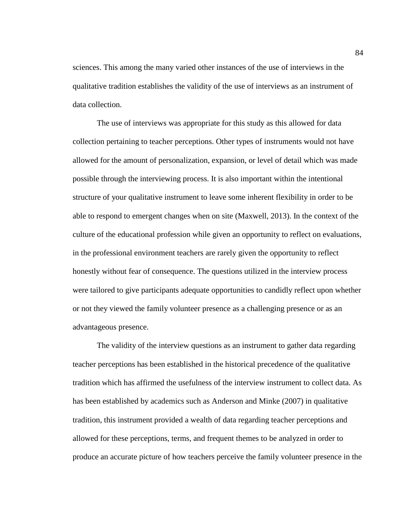sciences. This among the many varied other instances of the use of interviews in the qualitative tradition establishes the validity of the use of interviews as an instrument of data collection.

The use of interviews was appropriate for this study as this allowed for data collection pertaining to teacher perceptions. Other types of instruments would not have allowed for the amount of personalization, expansion, or level of detail which was made possible through the interviewing process. It is also important within the intentional structure of your qualitative instrument to leave some inherent flexibility in order to be able to respond to emergent changes when on site (Maxwell, 2013). In the context of the culture of the educational profession while given an opportunity to reflect on evaluations, in the professional environment teachers are rarely given the opportunity to reflect honestly without fear of consequence. The questions utilized in the interview process were tailored to give participants adequate opportunities to candidly reflect upon whether or not they viewed the family volunteer presence as a challenging presence or as an advantageous presence.

The validity of the interview questions as an instrument to gather data regarding teacher perceptions has been established in the historical precedence of the qualitative tradition which has affirmed the usefulness of the interview instrument to collect data. As has been established by academics such as Anderson and Minke (2007) in qualitative tradition, this instrument provided a wealth of data regarding teacher perceptions and allowed for these perceptions, terms, and frequent themes to be analyzed in order to produce an accurate picture of how teachers perceive the family volunteer presence in the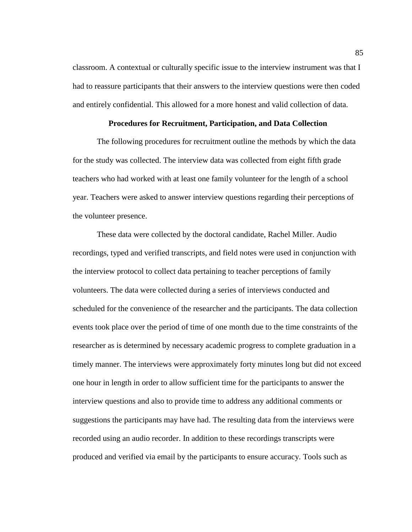classroom. A contextual or culturally specific issue to the interview instrument was that I had to reassure participants that their answers to the interview questions were then coded and entirely confidential. This allowed for a more honest and valid collection of data.

# **Procedures for Recruitment, Participation, and Data Collection**

The following procedures for recruitment outline the methods by which the data for the study was collected. The interview data was collected from eight fifth grade teachers who had worked with at least one family volunteer for the length of a school year. Teachers were asked to answer interview questions regarding their perceptions of the volunteer presence.

These data were collected by the doctoral candidate, Rachel Miller. Audio recordings, typed and verified transcripts, and field notes were used in conjunction with the interview protocol to collect data pertaining to teacher perceptions of family volunteers. The data were collected during a series of interviews conducted and scheduled for the convenience of the researcher and the participants. The data collection events took place over the period of time of one month due to the time constraints of the researcher as is determined by necessary academic progress to complete graduation in a timely manner. The interviews were approximately forty minutes long but did not exceed one hour in length in order to allow sufficient time for the participants to answer the interview questions and also to provide time to address any additional comments or suggestions the participants may have had. The resulting data from the interviews were recorded using an audio recorder. In addition to these recordings transcripts were produced and verified via email by the participants to ensure accuracy. Tools such as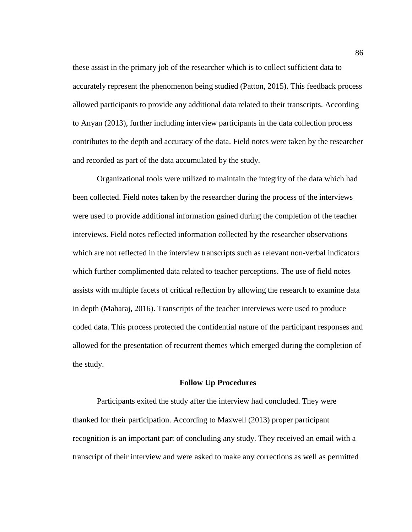these assist in the primary job of the researcher which is to collect sufficient data to accurately represent the phenomenon being studied (Patton, 2015). This feedback process allowed participants to provide any additional data related to their transcripts. According to Anyan (2013), further including interview participants in the data collection process contributes to the depth and accuracy of the data. Field notes were taken by the researcher and recorded as part of the data accumulated by the study.

Organizational tools were utilized to maintain the integrity of the data which had been collected. Field notes taken by the researcher during the process of the interviews were used to provide additional information gained during the completion of the teacher interviews. Field notes reflected information collected by the researcher observations which are not reflected in the interview transcripts such as relevant non-verbal indicators which further complimented data related to teacher perceptions. The use of field notes assists with multiple facets of critical reflection by allowing the research to examine data in depth (Maharaj, 2016). Transcripts of the teacher interviews were used to produce coded data. This process protected the confidential nature of the participant responses and allowed for the presentation of recurrent themes which emerged during the completion of the study.

#### **Follow Up Procedures**

Participants exited the study after the interview had concluded. They were thanked for their participation. According to Maxwell (2013) proper participant recognition is an important part of concluding any study. They received an email with a transcript of their interview and were asked to make any corrections as well as permitted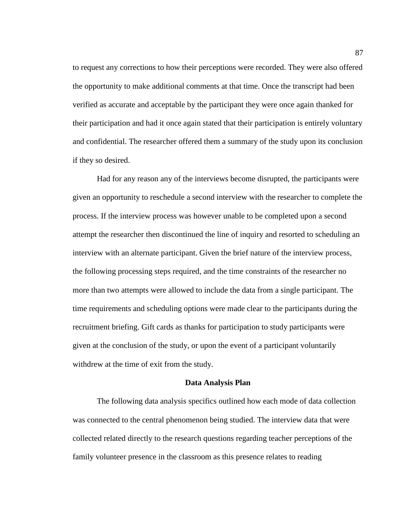to request any corrections to how their perceptions were recorded. They were also offered the opportunity to make additional comments at that time. Once the transcript had been verified as accurate and acceptable by the participant they were once again thanked for their participation and had it once again stated that their participation is entirely voluntary and confidential. The researcher offered them a summary of the study upon its conclusion if they so desired.

Had for any reason any of the interviews become disrupted, the participants were given an opportunity to reschedule a second interview with the researcher to complete the process. If the interview process was however unable to be completed upon a second attempt the researcher then discontinued the line of inquiry and resorted to scheduling an interview with an alternate participant. Given the brief nature of the interview process, the following processing steps required, and the time constraints of the researcher no more than two attempts were allowed to include the data from a single participant. The time requirements and scheduling options were made clear to the participants during the recruitment briefing. Gift cards as thanks for participation to study participants were given at the conclusion of the study, or upon the event of a participant voluntarily withdrew at the time of exit from the study.

#### **Data Analysis Plan**

The following data analysis specifics outlined how each mode of data collection was connected to the central phenomenon being studied. The interview data that were collected related directly to the research questions regarding teacher perceptions of the family volunteer presence in the classroom as this presence relates to reading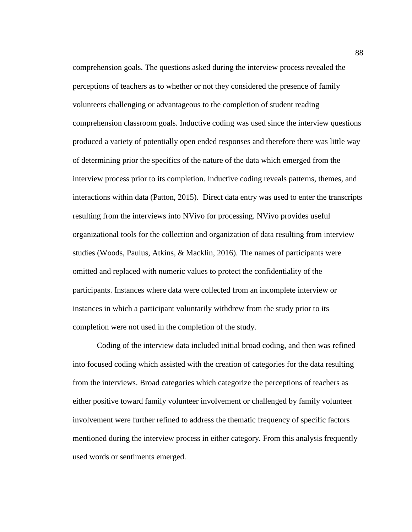comprehension goals. The questions asked during the interview process revealed the perceptions of teachers as to whether or not they considered the presence of family volunteers challenging or advantageous to the completion of student reading comprehension classroom goals. Inductive coding was used since the interview questions produced a variety of potentially open ended responses and therefore there was little way of determining prior the specifics of the nature of the data which emerged from the interview process prior to its completion. Inductive coding reveals patterns, themes, and interactions within data (Patton, 2015). Direct data entry was used to enter the transcripts resulting from the interviews into NVivo for processing. NVivo provides useful organizational tools for the collection and organization of data resulting from interview studies (Woods, Paulus, Atkins, & Macklin, 2016). The names of participants were omitted and replaced with numeric values to protect the confidentiality of the participants. Instances where data were collected from an incomplete interview or instances in which a participant voluntarily withdrew from the study prior to its completion were not used in the completion of the study.

Coding of the interview data included initial broad coding, and then was refined into focused coding which assisted with the creation of categories for the data resulting from the interviews. Broad categories which categorize the perceptions of teachers as either positive toward family volunteer involvement or challenged by family volunteer involvement were further refined to address the thematic frequency of specific factors mentioned during the interview process in either category. From this analysis frequently used words or sentiments emerged.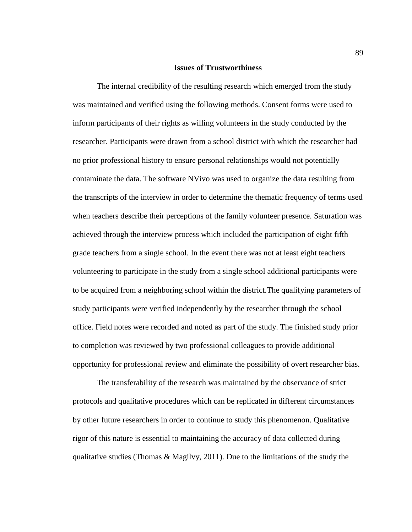#### **Issues of Trustworthiness**

The internal credibility of the resulting research which emerged from the study was maintained and verified using the following methods. Consent forms were used to inform participants of their rights as willing volunteers in the study conducted by the researcher. Participants were drawn from a school district with which the researcher had no prior professional history to ensure personal relationships would not potentially contaminate the data. The software NVivo was used to organize the data resulting from the transcripts of the interview in order to determine the thematic frequency of terms used when teachers describe their perceptions of the family volunteer presence. Saturation was achieved through the interview process which included the participation of eight fifth grade teachers from a single school. In the event there was not at least eight teachers volunteering to participate in the study from a single school additional participants were to be acquired from a neighboring school within the district.The qualifying parameters of study participants were verified independently by the researcher through the school office. Field notes were recorded and noted as part of the study. The finished study prior to completion was reviewed by two professional colleagues to provide additional opportunity for professional review and eliminate the possibility of overt researcher bias.

The transferability of the research was maintained by the observance of strict protocols and qualitative procedures which can be replicated in different circumstances by other future researchers in order to continue to study this phenomenon. Qualitative rigor of this nature is essential to maintaining the accuracy of data collected during qualitative studies (Thomas  $\&$  Magilvy, 2011). Due to the limitations of the study the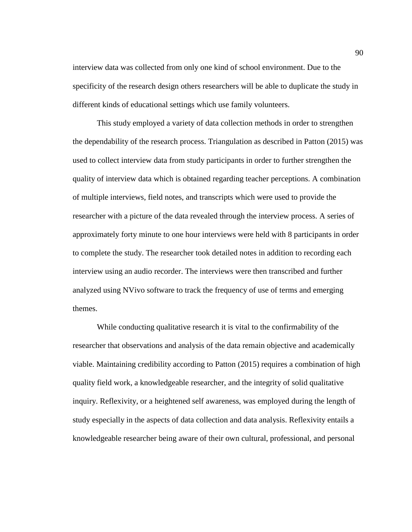interview data was collected from only one kind of school environment. Due to the specificity of the research design others researchers will be able to duplicate the study in different kinds of educational settings which use family volunteers.

This study employed a variety of data collection methods in order to strengthen the dependability of the research process. Triangulation as described in Patton (2015) was used to collect interview data from study participants in order to further strengthen the quality of interview data which is obtained regarding teacher perceptions. A combination of multiple interviews, field notes, and transcripts which were used to provide the researcher with a picture of the data revealed through the interview process. A series of approximately forty minute to one hour interviews were held with 8 participants in order to complete the study. The researcher took detailed notes in addition to recording each interview using an audio recorder. The interviews were then transcribed and further analyzed using NVivo software to track the frequency of use of terms and emerging themes.

While conducting qualitative research it is vital to the confirmability of the researcher that observations and analysis of the data remain objective and academically viable. Maintaining credibility according to Patton (2015) requires a combination of high quality field work, a knowledgeable researcher, and the integrity of solid qualitative inquiry. Reflexivity, or a heightened self awareness, was employed during the length of study especially in the aspects of data collection and data analysis. Reflexivity entails a knowledgeable researcher being aware of their own cultural, professional, and personal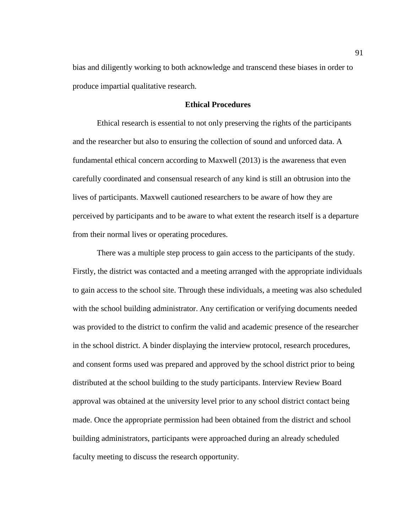bias and diligently working to both acknowledge and transcend these biases in order to produce impartial qualitative research.

# **Ethical Procedures**

Ethical research is essential to not only preserving the rights of the participants and the researcher but also to ensuring the collection of sound and unforced data. A fundamental ethical concern according to Maxwell (2013) is the awareness that even carefully coordinated and consensual research of any kind is still an obtrusion into the lives of participants. Maxwell cautioned researchers to be aware of how they are perceived by participants and to be aware to what extent the research itself is a departure from their normal lives or operating procedures.

There was a multiple step process to gain access to the participants of the study. Firstly, the district was contacted and a meeting arranged with the appropriate individuals to gain access to the school site. Through these individuals, a meeting was also scheduled with the school building administrator. Any certification or verifying documents needed was provided to the district to confirm the valid and academic presence of the researcher in the school district. A binder displaying the interview protocol, research procedures, and consent forms used was prepared and approved by the school district prior to being distributed at the school building to the study participants. Interview Review Board approval was obtained at the university level prior to any school district contact being made. Once the appropriate permission had been obtained from the district and school building administrators, participants were approached during an already scheduled faculty meeting to discuss the research opportunity.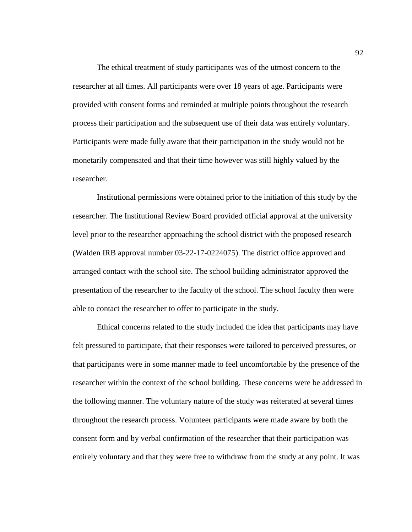The ethical treatment of study participants was of the utmost concern to the researcher at all times. All participants were over 18 years of age. Participants were provided with consent forms and reminded at multiple points throughout the research process their participation and the subsequent use of their data was entirely voluntary. Participants were made fully aware that their participation in the study would not be monetarily compensated and that their time however was still highly valued by the researcher.

Institutional permissions were obtained prior to the initiation of this study by the researcher. The Institutional Review Board provided official approval at the university level prior to the researcher approaching the school district with the proposed research (Walden IRB approval number 03-22-17-0224075). The district office approved and arranged contact with the school site. The school building administrator approved the presentation of the researcher to the faculty of the school. The school faculty then were able to contact the researcher to offer to participate in the study.

Ethical concerns related to the study included the idea that participants may have felt pressured to participate, that their responses were tailored to perceived pressures, or that participants were in some manner made to feel uncomfortable by the presence of the researcher within the context of the school building. These concerns were be addressed in the following manner. The voluntary nature of the study was reiterated at several times throughout the research process. Volunteer participants were made aware by both the consent form and by verbal confirmation of the researcher that their participation was entirely voluntary and that they were free to withdraw from the study at any point. It was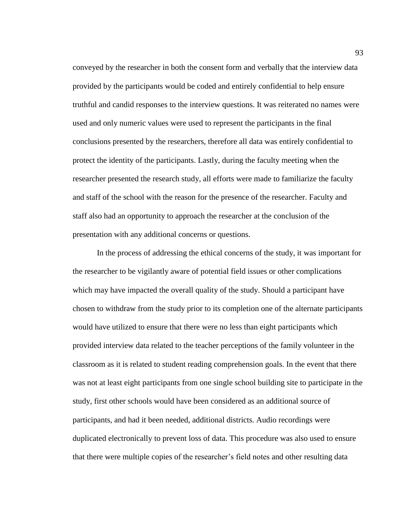conveyed by the researcher in both the consent form and verbally that the interview data provided by the participants would be coded and entirely confidential to help ensure truthful and candid responses to the interview questions. It was reiterated no names were used and only numeric values were used to represent the participants in the final conclusions presented by the researchers, therefore all data was entirely confidential to protect the identity of the participants. Lastly, during the faculty meeting when the researcher presented the research study, all efforts were made to familiarize the faculty and staff of the school with the reason for the presence of the researcher. Faculty and staff also had an opportunity to approach the researcher at the conclusion of the presentation with any additional concerns or questions.

In the process of addressing the ethical concerns of the study, it was important for the researcher to be vigilantly aware of potential field issues or other complications which may have impacted the overall quality of the study. Should a participant have chosen to withdraw from the study prior to its completion one of the alternate participants would have utilized to ensure that there were no less than eight participants which provided interview data related to the teacher perceptions of the family volunteer in the classroom as it is related to student reading comprehension goals. In the event that there was not at least eight participants from one single school building site to participate in the study, first other schools would have been considered as an additional source of participants, and had it been needed, additional districts. Audio recordings were duplicated electronically to prevent loss of data. This procedure was also used to ensure that there were multiple copies of the researcher's field notes and other resulting data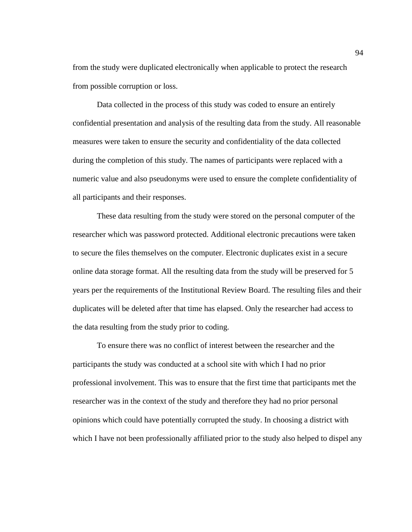from the study were duplicated electronically when applicable to protect the research from possible corruption or loss.

Data collected in the process of this study was coded to ensure an entirely confidential presentation and analysis of the resulting data from the study. All reasonable measures were taken to ensure the security and confidentiality of the data collected during the completion of this study. The names of participants were replaced with a numeric value and also pseudonyms were used to ensure the complete confidentiality of all participants and their responses.

These data resulting from the study were stored on the personal computer of the researcher which was password protected. Additional electronic precautions were taken to secure the files themselves on the computer. Electronic duplicates exist in a secure online data storage format. All the resulting data from the study will be preserved for 5 years per the requirements of the Institutional Review Board. The resulting files and their duplicates will be deleted after that time has elapsed. Only the researcher had access to the data resulting from the study prior to coding.

To ensure there was no conflict of interest between the researcher and the participants the study was conducted at a school site with which I had no prior professional involvement. This was to ensure that the first time that participants met the researcher was in the context of the study and therefore they had no prior personal opinions which could have potentially corrupted the study. In choosing a district with which I have not been professionally affiliated prior to the study also helped to dispel any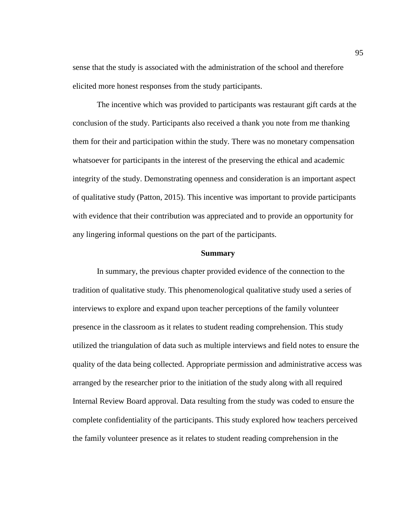sense that the study is associated with the administration of the school and therefore elicited more honest responses from the study participants.

The incentive which was provided to participants was restaurant gift cards at the conclusion of the study. Participants also received a thank you note from me thanking them for their and participation within the study. There was no monetary compensation whatsoever for participants in the interest of the preserving the ethical and academic integrity of the study. Demonstrating openness and consideration is an important aspect of qualitative study (Patton, 2015). This incentive was important to provide participants with evidence that their contribution was appreciated and to provide an opportunity for any lingering informal questions on the part of the participants.

#### **Summary**

In summary, the previous chapter provided evidence of the connection to the tradition of qualitative study. This phenomenological qualitative study used a series of interviews to explore and expand upon teacher perceptions of the family volunteer presence in the classroom as it relates to student reading comprehension. This study utilized the triangulation of data such as multiple interviews and field notes to ensure the quality of the data being collected. Appropriate permission and administrative access was arranged by the researcher prior to the initiation of the study along with all required Internal Review Board approval. Data resulting from the study was coded to ensure the complete confidentiality of the participants. This study explored how teachers perceived the family volunteer presence as it relates to student reading comprehension in the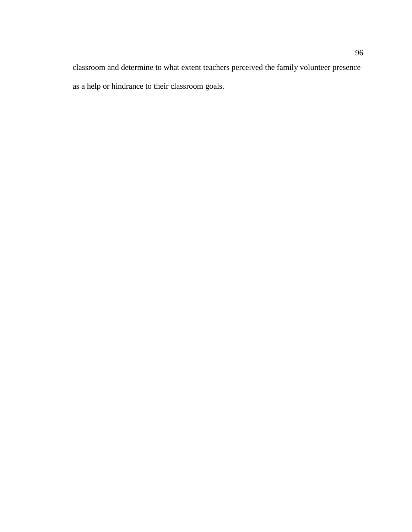classroom and determine to what extent teachers perceived the family volunteer presence as a help or hindrance to their classroom goals.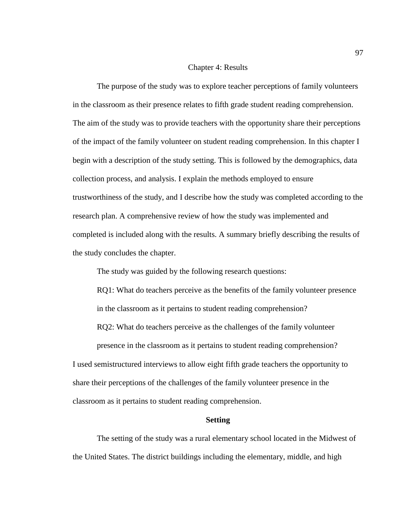#### Chapter 4: Results

The purpose of the study was to explore teacher perceptions of family volunteers in the classroom as their presence relates to fifth grade student reading comprehension. The aim of the study was to provide teachers with the opportunity share their perceptions of the impact of the family volunteer on student reading comprehension. In this chapter I begin with a description of the study setting. This is followed by the demographics, data collection process, and analysis. I explain the methods employed to ensure trustworthiness of the study, and I describe how the study was completed according to the research plan. A comprehensive review of how the study was implemented and completed is included along with the results. A summary briefly describing the results of the study concludes the chapter.

The study was guided by the following research questions:

RQ1: What do teachers perceive as the benefits of the family volunteer presence in the classroom as it pertains to student reading comprehension?

RQ2: What do teachers perceive as the challenges of the family volunteer

presence in the classroom as it pertains to student reading comprehension? I used semistructured interviews to allow eight fifth grade teachers the opportunity to share their perceptions of the challenges of the family volunteer presence in the classroom as it pertains to student reading comprehension.

## **Setting**

The setting of the study was a rural elementary school located in the Midwest of the United States. The district buildings including the elementary, middle, and high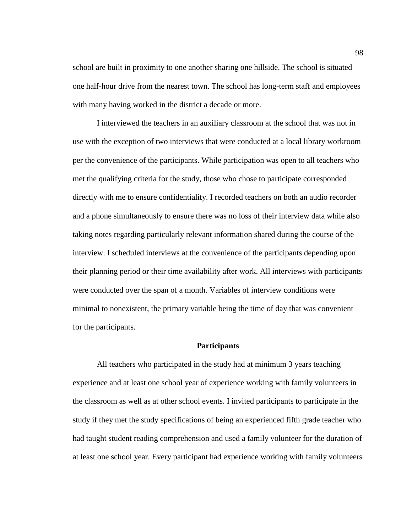school are built in proximity to one another sharing one hillside. The school is situated one half-hour drive from the nearest town. The school has long-term staff and employees with many having worked in the district a decade or more.

I interviewed the teachers in an auxiliary classroom at the school that was not in use with the exception of two interviews that were conducted at a local library workroom per the convenience of the participants. While participation was open to all teachers who met the qualifying criteria for the study, those who chose to participate corresponded directly with me to ensure confidentiality. I recorded teachers on both an audio recorder and a phone simultaneously to ensure there was no loss of their interview data while also taking notes regarding particularly relevant information shared during the course of the interview. I scheduled interviews at the convenience of the participants depending upon their planning period or their time availability after work. All interviews with participants were conducted over the span of a month. Variables of interview conditions were minimal to nonexistent, the primary variable being the time of day that was convenient for the participants.

#### **Participants**

All teachers who participated in the study had at minimum 3 years teaching experience and at least one school year of experience working with family volunteers in the classroom as well as at other school events. I invited participants to participate in the study if they met the study specifications of being an experienced fifth grade teacher who had taught student reading comprehension and used a family volunteer for the duration of at least one school year. Every participant had experience working with family volunteers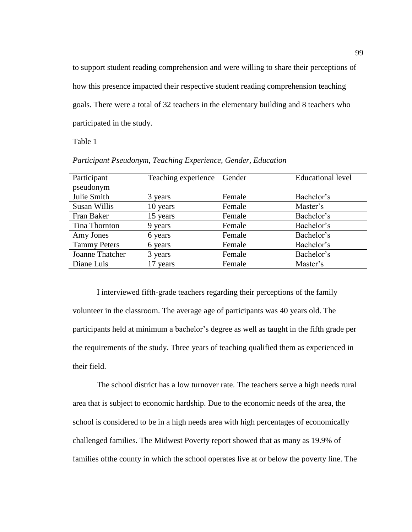to support student reading comprehension and were willing to share their perceptions of how this presence impacted their respective student reading comprehension teaching goals. There were a total of 32 teachers in the elementary building and 8 teachers who participated in the study.

Table 1

| Participant         | Teaching experience Gender |        | <b>Educational level</b> |
|---------------------|----------------------------|--------|--------------------------|
| pseudonym           |                            |        |                          |
| Julie Smith         | 3 years                    | Female | Bachelor's               |
| <b>Susan Willis</b> | 10 years                   | Female | Master's                 |
| Fran Baker          | 15 years                   | Female | Bachelor's               |
| Tina Thornton       | 9 years                    | Female | Bachelor's               |
| Amy Jones           | 6 years                    | Female | Bachelor's               |
| <b>Tammy Peters</b> | 6 years                    | Female | Bachelor's               |
| Joanne Thatcher     | 3 years                    | Female | Bachelor's               |
| Diane Luis          | 17 years                   | Female | Master's                 |
|                     |                            |        |                          |

*Participant Pseudonym, Teaching Experience, Gender, Education*

I interviewed fifth-grade teachers regarding their perceptions of the family volunteer in the classroom. The average age of participants was 40 years old. The participants held at minimum a bachelor's degree as well as taught in the fifth grade per the requirements of the study. Three years of teaching qualified them as experienced in their field.

The school district has a low turnover rate. The teachers serve a high needs rural area that is subject to economic hardship. Due to the economic needs of the area, the school is considered to be in a high needs area with high percentages of economically challenged families. The Midwest Poverty report showed that as many as 19.9% of families ofthe county in which the school operates live at or below the poverty line. The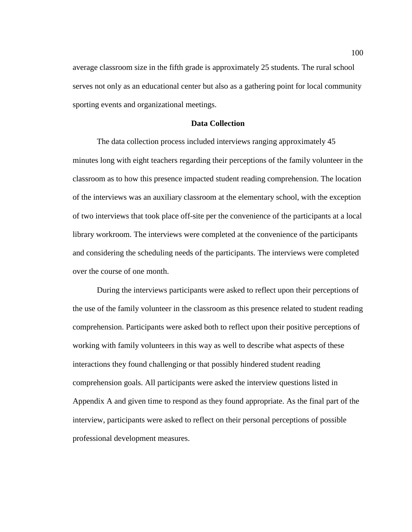average classroom size in the fifth grade is approximately 25 students. The rural school serves not only as an educational center but also as a gathering point for local community sporting events and organizational meetings.

# **Data Collection**

The data collection process included interviews ranging approximately 45 minutes long with eight teachers regarding their perceptions of the family volunteer in the classroom as to how this presence impacted student reading comprehension. The location of the interviews was an auxiliary classroom at the elementary school, with the exception of two interviews that took place off-site per the convenience of the participants at a local library workroom. The interviews were completed at the convenience of the participants and considering the scheduling needs of the participants. The interviews were completed over the course of one month.

During the interviews participants were asked to reflect upon their perceptions of the use of the family volunteer in the classroom as this presence related to student reading comprehension. Participants were asked both to reflect upon their positive perceptions of working with family volunteers in this way as well to describe what aspects of these interactions they found challenging or that possibly hindered student reading comprehension goals. All participants were asked the interview questions listed in Appendix A and given time to respond as they found appropriate. As the final part of the interview, participants were asked to reflect on their personal perceptions of possible professional development measures.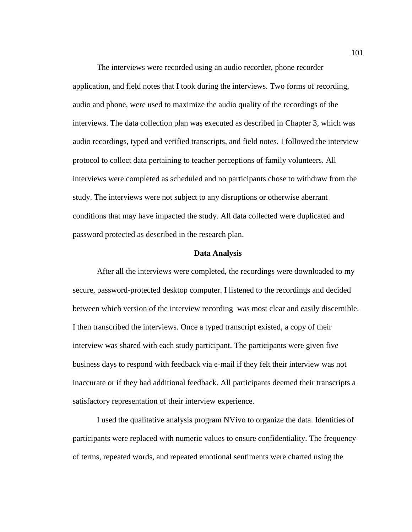The interviews were recorded using an audio recorder, phone recorder application, and field notes that I took during the interviews. Two forms of recording, audio and phone, were used to maximize the audio quality of the recordings of the interviews. The data collection plan was executed as described in Chapter 3, which was audio recordings, typed and verified transcripts, and field notes. I followed the interview protocol to collect data pertaining to teacher perceptions of family volunteers. All interviews were completed as scheduled and no participants chose to withdraw from the study. The interviews were not subject to any disruptions or otherwise aberrant conditions that may have impacted the study. All data collected were duplicated and password protected as described in the research plan.

#### **Data Analysis**

After all the interviews were completed, the recordings were downloaded to my secure, password-protected desktop computer. I listened to the recordings and decided between which version of the interview recording was most clear and easily discernible. I then transcribed the interviews. Once a typed transcript existed, a copy of their interview was shared with each study participant. The participants were given five business days to respond with feedback via e-mail if they felt their interview was not inaccurate or if they had additional feedback. All participants deemed their transcripts a satisfactory representation of their interview experience.

I used the qualitative analysis program NVivo to organize the data. Identities of participants were replaced with numeric values to ensure confidentiality. The frequency of terms, repeated words, and repeated emotional sentiments were charted using the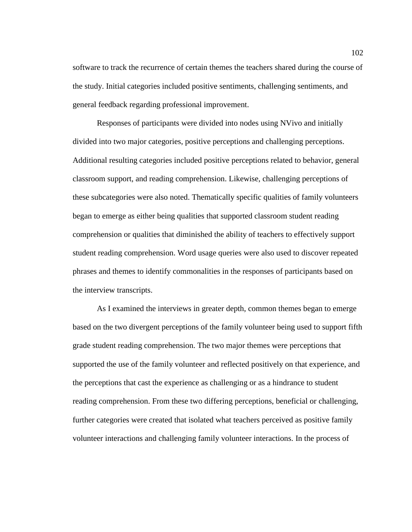software to track the recurrence of certain themes the teachers shared during the course of the study. Initial categories included positive sentiments, challenging sentiments, and general feedback regarding professional improvement.

Responses of participants were divided into nodes using NVivo and initially divided into two major categories, positive perceptions and challenging perceptions. Additional resulting categories included positive perceptions related to behavior, general classroom support, and reading comprehension. Likewise, challenging perceptions of these subcategories were also noted. Thematically specific qualities of family volunteers began to emerge as either being qualities that supported classroom student reading comprehension or qualities that diminished the ability of teachers to effectively support student reading comprehension. Word usage queries were also used to discover repeated phrases and themes to identify commonalities in the responses of participants based on the interview transcripts.

As I examined the interviews in greater depth, common themes began to emerge based on the two divergent perceptions of the family volunteer being used to support fifth grade student reading comprehension. The two major themes were perceptions that supported the use of the family volunteer and reflected positively on that experience, and the perceptions that cast the experience as challenging or as a hindrance to student reading comprehension. From these two differing perceptions, beneficial or challenging, further categories were created that isolated what teachers perceived as positive family volunteer interactions and challenging family volunteer interactions. In the process of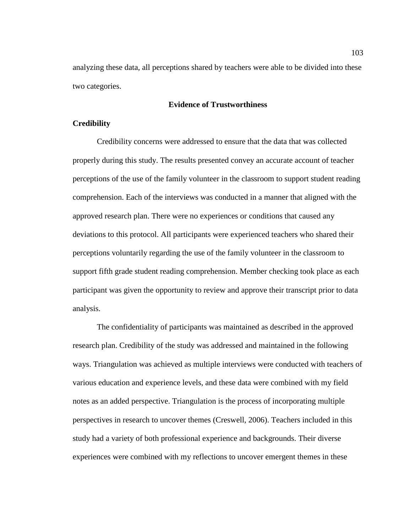analyzing these data, all perceptions shared by teachers were able to be divided into these two categories.

# **Evidence of Trustworthiness**

# **Credibility**

Credibility concerns were addressed to ensure that the data that was collected properly during this study. The results presented convey an accurate account of teacher perceptions of the use of the family volunteer in the classroom to support student reading comprehension. Each of the interviews was conducted in a manner that aligned with the approved research plan. There were no experiences or conditions that caused any deviations to this protocol. All participants were experienced teachers who shared their perceptions voluntarily regarding the use of the family volunteer in the classroom to support fifth grade student reading comprehension. Member checking took place as each participant was given the opportunity to review and approve their transcript prior to data analysis.

The confidentiality of participants was maintained as described in the approved research plan. Credibility of the study was addressed and maintained in the following ways. Triangulation was achieved as multiple interviews were conducted with teachers of various education and experience levels, and these data were combined with my field notes as an added perspective. Triangulation is the process of incorporating multiple perspectives in research to uncover themes (Creswell, 2006). Teachers included in this study had a variety of both professional experience and backgrounds. Their diverse experiences were combined with my reflections to uncover emergent themes in these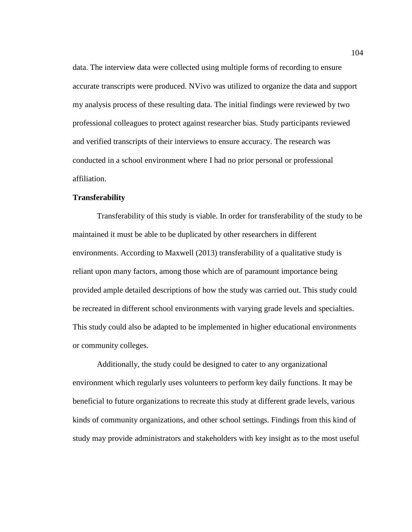data. The interview data were collected using multiple forms of recording to ensure accurate transcripts were produced. NVivo was utilized to organize the data and support my analysis process of these resulting data. The initial findings were reviewed by two professional colleagues to protect against researcher bias. Study participants reviewed and verified transcripts of their interviews to ensure accuracy. The research was conducted in a school environment where I had no prior personal or professional affiliation.

# **Transferability**

Transferability of this study is viable. In order for transferability of the study to be maintained it must be able to be duplicated by other researchers in different environments. According to Maxwell (2013) transferability of a qualitative study is reliant upon many factors, among those which are of paramount importance being provided ample detailed descriptions of how the study was carried out. This study could be recreated in different school environments with varying grade levels and specialties. This study could also be adapted to be implemented in higher educational environments or community colleges.

Additionally, the study could be designed to cater to any organizational environment which regularly uses volunteers to perform key daily functions. It may be beneficial to future organizations to recreate this study at different grade levels, various kinds of community organizations, and other school settings. Findings from this kind of study may provide administrators and stakeholders with key insight as to the most useful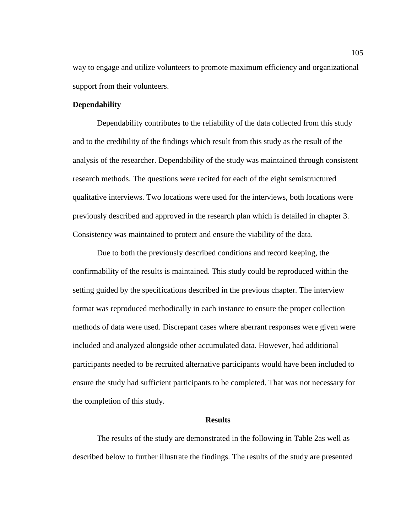way to engage and utilize volunteers to promote maximum efficiency and organizational support from their volunteers.

# **Dependability**

Dependability contributes to the reliability of the data collected from this study and to the credibility of the findings which result from this study as the result of the analysis of the researcher. Dependability of the study was maintained through consistent research methods. The questions were recited for each of the eight semistructured qualitative interviews. Two locations were used for the interviews, both locations were previously described and approved in the research plan which is detailed in chapter 3. Consistency was maintained to protect and ensure the viability of the data.

Due to both the previously described conditions and record keeping, the confirmability of the results is maintained. This study could be reproduced within the setting guided by the specifications described in the previous chapter. The interview format was reproduced methodically in each instance to ensure the proper collection methods of data were used. Discrepant cases where aberrant responses were given were included and analyzed alongside other accumulated data. However, had additional participants needed to be recruited alternative participants would have been included to ensure the study had sufficient participants to be completed. That was not necessary for the completion of this study.

### **Results**

The results of the study are demonstrated in the following in Table 2as well as described below to further illustrate the findings. The results of the study are presented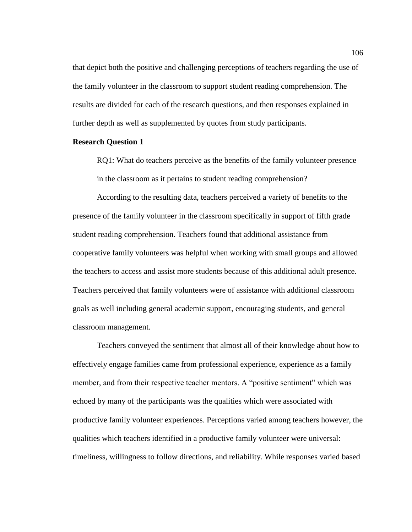that depict both the positive and challenging perceptions of teachers regarding the use of the family volunteer in the classroom to support student reading comprehension. The results are divided for each of the research questions, and then responses explained in further depth as well as supplemented by quotes from study participants.

# **Research Question 1**

RQ1: What do teachers perceive as the benefits of the family volunteer presence in the classroom as it pertains to student reading comprehension?

According to the resulting data, teachers perceived a variety of benefits to the presence of the family volunteer in the classroom specifically in support of fifth grade student reading comprehension. Teachers found that additional assistance from cooperative family volunteers was helpful when working with small groups and allowed the teachers to access and assist more students because of this additional adult presence. Teachers perceived that family volunteers were of assistance with additional classroom goals as well including general academic support, encouraging students, and general classroom management.

Teachers conveyed the sentiment that almost all of their knowledge about how to effectively engage families came from professional experience, experience as a family member, and from their respective teacher mentors. A "positive sentiment" which was echoed by many of the participants was the qualities which were associated with productive family volunteer experiences. Perceptions varied among teachers however, the qualities which teachers identified in a productive family volunteer were universal: timeliness, willingness to follow directions, and reliability. While responses varied based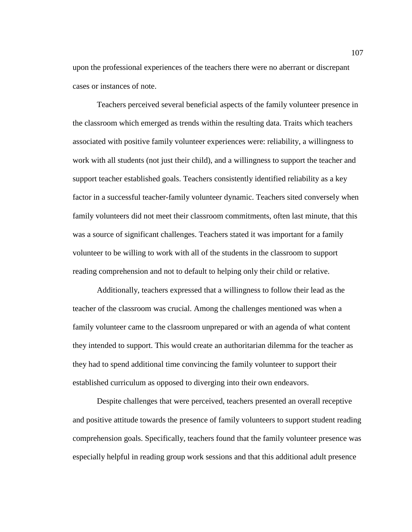upon the professional experiences of the teachers there were no aberrant or discrepant cases or instances of note.

Teachers perceived several beneficial aspects of the family volunteer presence in the classroom which emerged as trends within the resulting data. Traits which teachers associated with positive family volunteer experiences were: reliability, a willingness to work with all students (not just their child), and a willingness to support the teacher and support teacher established goals. Teachers consistently identified reliability as a key factor in a successful teacher-family volunteer dynamic. Teachers sited conversely when family volunteers did not meet their classroom commitments, often last minute, that this was a source of significant challenges. Teachers stated it was important for a family volunteer to be willing to work with all of the students in the classroom to support reading comprehension and not to default to helping only their child or relative.

Additionally, teachers expressed that a willingness to follow their lead as the teacher of the classroom was crucial. Among the challenges mentioned was when a family volunteer came to the classroom unprepared or with an agenda of what content they intended to support. This would create an authoritarian dilemma for the teacher as they had to spend additional time convincing the family volunteer to support their established curriculum as opposed to diverging into their own endeavors.

Despite challenges that were perceived, teachers presented an overall receptive and positive attitude towards the presence of family volunteers to support student reading comprehension goals. Specifically, teachers found that the family volunteer presence was especially helpful in reading group work sessions and that this additional adult presence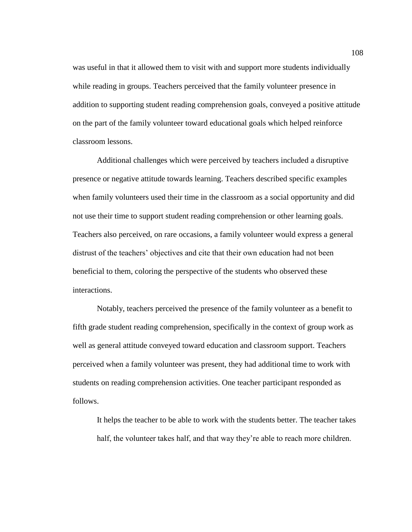was useful in that it allowed them to visit with and support more students individually while reading in groups. Teachers perceived that the family volunteer presence in addition to supporting student reading comprehension goals, conveyed a positive attitude on the part of the family volunteer toward educational goals which helped reinforce classroom lessons.

Additional challenges which were perceived by teachers included a disruptive presence or negative attitude towards learning. Teachers described specific examples when family volunteers used their time in the classroom as a social opportunity and did not use their time to support student reading comprehension or other learning goals. Teachers also perceived, on rare occasions, a family volunteer would express a general distrust of the teachers' objectives and cite that their own education had not been beneficial to them, coloring the perspective of the students who observed these interactions.

Notably, teachers perceived the presence of the family volunteer as a benefit to fifth grade student reading comprehension, specifically in the context of group work as well as general attitude conveyed toward education and classroom support. Teachers perceived when a family volunteer was present, they had additional time to work with students on reading comprehension activities. One teacher participant responded as follows.

It helps the teacher to be able to work with the students better. The teacher takes half, the volunteer takes half, and that way they're able to reach more children.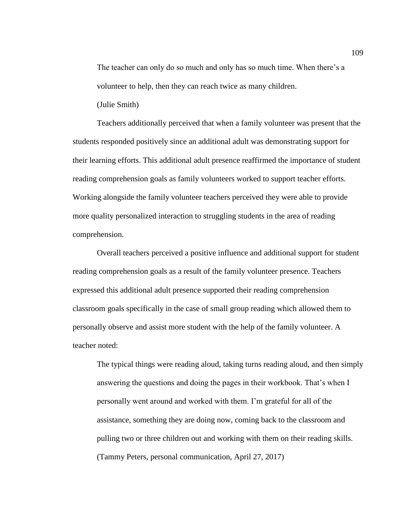The teacher can only do so much and only has so much time. When there's a volunteer to help, then they can reach twice as many children.

(Julie Smith)

Teachers additionally perceived that when a family volunteer was present that the students responded positively since an additional adult was demonstrating support for their learning efforts. This additional adult presence reaffirmed the importance of student reading comprehension goals as family volunteers worked to support teacher efforts. Working alongside the family volunteer teachers perceived they were able to provide more quality personalized interaction to struggling students in the area of reading comprehension.

Overall teachers perceived a positive influence and additional support for student reading comprehension goals as a result of the family volunteer presence. Teachers expressed this additional adult presence supported their reading comprehension classroom goals specifically in the case of small group reading which allowed them to personally observe and assist more student with the help of the family volunteer. A teacher noted:

The typical things were reading aloud, taking turns reading aloud, and then simply answering the questions and doing the pages in their workbook. That's when I personally went around and worked with them. I'm grateful for all of the assistance, something they are doing now, coming back to the classroom and pulling two or three children out and working with them on their reading skills. (Tammy Peters, personal communication, April 27, 2017)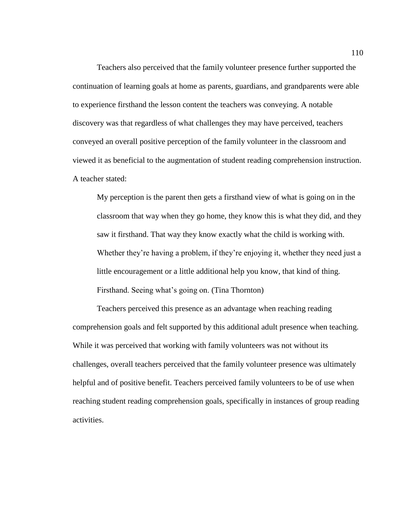Teachers also perceived that the family volunteer presence further supported the continuation of learning goals at home as parents, guardians, and grandparents were able to experience firsthand the lesson content the teachers was conveying. A notable discovery was that regardless of what challenges they may have perceived, teachers conveyed an overall positive perception of the family volunteer in the classroom and viewed it as beneficial to the augmentation of student reading comprehension instruction. A teacher stated:

My perception is the parent then gets a firsthand view of what is going on in the classroom that way when they go home, they know this is what they did, and they saw it firsthand. That way they know exactly what the child is working with. Whether they're having a problem, if they're enjoying it, whether they need just a little encouragement or a little additional help you know, that kind of thing. Firsthand. Seeing what's going on. (Tina Thornton)

Teachers perceived this presence as an advantage when reaching reading comprehension goals and felt supported by this additional adult presence when teaching. While it was perceived that working with family volunteers was not without its challenges, overall teachers perceived that the family volunteer presence was ultimately helpful and of positive benefit. Teachers perceived family volunteers to be of use when reaching student reading comprehension goals, specifically in instances of group reading activities.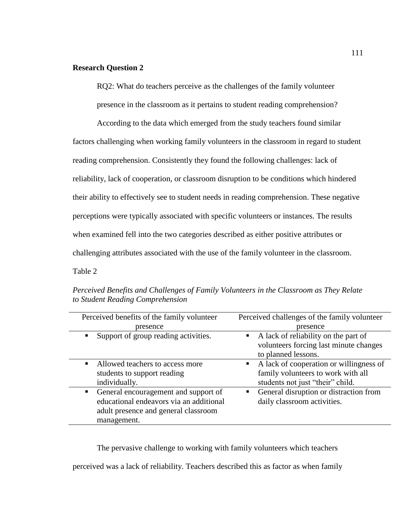# **Research Question 2**

RQ2: What do teachers perceive as the challenges of the family volunteer

presence in the classroom as it pertains to student reading comprehension?

According to the data which emerged from the study teachers found similar

factors challenging when working family volunteers in the classroom in regard to student

reading comprehension. Consistently they found the following challenges: lack of

reliability, lack of cooperation, or classroom disruption to be conditions which hindered

their ability to effectively see to student needs in reading comprehension. These negative

perceptions were typically associated with specific volunteers or instances. The results

when examined fell into the two categories described as either positive attributes or

challenging attributes associated with the use of the family volunteer in the classroom.

Table 2

Perceived benefits of the family volunteer presence Perceived challenges of the family volunteer presence Support of group reading activities.  $\blacksquare$  A lack of reliability on the part of volunteers forcing last minute changes to planned lessons. Allowed teachers to access more students to support reading individually. A lack of cooperation or willingness of family volunteers to work with all students not just "their" child. General encouragement and support of educational endeavors via an additional adult presence and general classroom management. General disruption or distraction from daily classroom activities.

*Perceived Benefits and Challenges of Family Volunteers in the Classroom as They Relate to Student Reading Comprehension*

The pervasive challenge to working with family volunteers which teachers

perceived was a lack of reliability. Teachers described this as factor as when family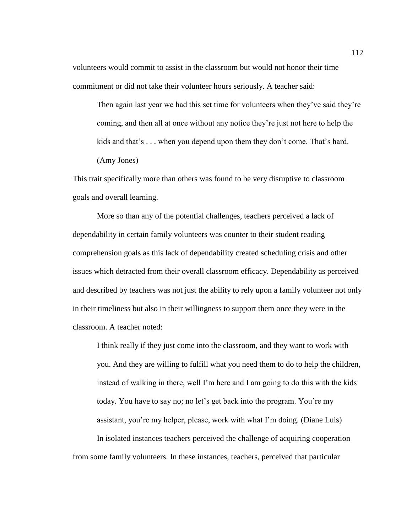volunteers would commit to assist in the classroom but would not honor their time commitment or did not take their volunteer hours seriously. A teacher said:

Then again last year we had this set time for volunteers when they've said they're coming, and then all at once without any notice they're just not here to help the kids and that's . . . when you depend upon them they don't come. That's hard. (Amy Jones)

This trait specifically more than others was found to be very disruptive to classroom goals and overall learning.

More so than any of the potential challenges, teachers perceived a lack of dependability in certain family volunteers was counter to their student reading comprehension goals as this lack of dependability created scheduling crisis and other issues which detracted from their overall classroom efficacy. Dependability as perceived and described by teachers was not just the ability to rely upon a family volunteer not only in their timeliness but also in their willingness to support them once they were in the classroom. A teacher noted:

I think really if they just come into the classroom, and they want to work with you. And they are willing to fulfill what you need them to do to help the children, instead of walking in there, well I'm here and I am going to do this with the kids today. You have to say no; no let's get back into the program. You're my assistant, you're my helper, please, work with what I'm doing. (Diane Luis) In isolated instances teachers perceived the challenge of acquiring cooperation from some family volunteers. In these instances, teachers, perceived that particular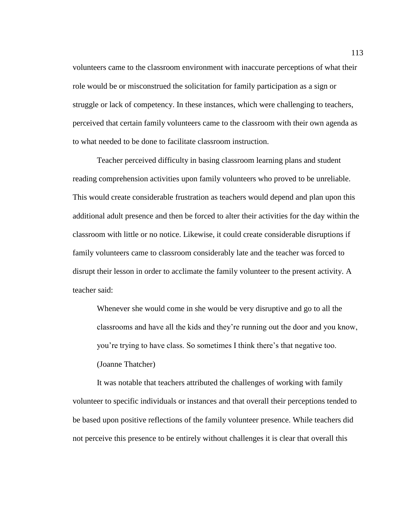volunteers came to the classroom environment with inaccurate perceptions of what their role would be or misconstrued the solicitation for family participation as a sign or struggle or lack of competency. In these instances, which were challenging to teachers, perceived that certain family volunteers came to the classroom with their own agenda as to what needed to be done to facilitate classroom instruction.

Teacher perceived difficulty in basing classroom learning plans and student reading comprehension activities upon family volunteers who proved to be unreliable. This would create considerable frustration as teachers would depend and plan upon this additional adult presence and then be forced to alter their activities for the day within the classroom with little or no notice. Likewise, it could create considerable disruptions if family volunteers came to classroom considerably late and the teacher was forced to disrupt their lesson in order to acclimate the family volunteer to the present activity. A teacher said:

Whenever she would come in she would be very disruptive and go to all the classrooms and have all the kids and they're running out the door and you know, you're trying to have class. So sometimes I think there's that negative too. (Joanne Thatcher)

It was notable that teachers attributed the challenges of working with family volunteer to specific individuals or instances and that overall their perceptions tended to be based upon positive reflections of the family volunteer presence. While teachers did not perceive this presence to be entirely without challenges it is clear that overall this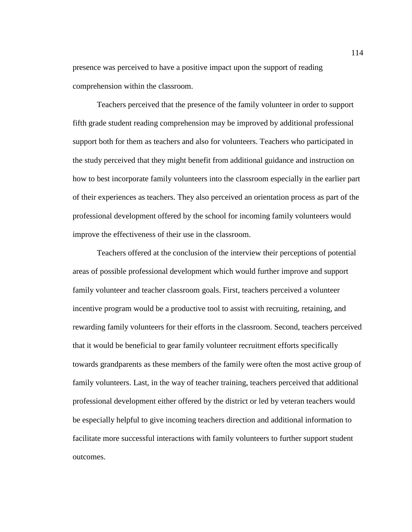presence was perceived to have a positive impact upon the support of reading comprehension within the classroom.

Teachers perceived that the presence of the family volunteer in order to support fifth grade student reading comprehension may be improved by additional professional support both for them as teachers and also for volunteers. Teachers who participated in the study perceived that they might benefit from additional guidance and instruction on how to best incorporate family volunteers into the classroom especially in the earlier part of their experiences as teachers. They also perceived an orientation process as part of the professional development offered by the school for incoming family volunteers would improve the effectiveness of their use in the classroom.

Teachers offered at the conclusion of the interview their perceptions of potential areas of possible professional development which would further improve and support family volunteer and teacher classroom goals. First, teachers perceived a volunteer incentive program would be a productive tool to assist with recruiting, retaining, and rewarding family volunteers for their efforts in the classroom. Second, teachers perceived that it would be beneficial to gear family volunteer recruitment efforts specifically towards grandparents as these members of the family were often the most active group of family volunteers. Last, in the way of teacher training, teachers perceived that additional professional development either offered by the district or led by veteran teachers would be especially helpful to give incoming teachers direction and additional information to facilitate more successful interactions with family volunteers to further support student outcomes.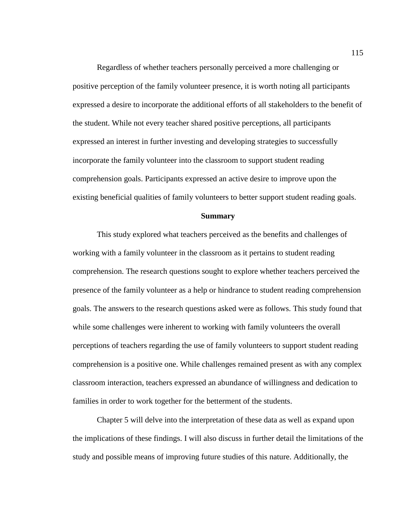Regardless of whether teachers personally perceived a more challenging or positive perception of the family volunteer presence, it is worth noting all participants expressed a desire to incorporate the additional efforts of all stakeholders to the benefit of the student. While not every teacher shared positive perceptions, all participants expressed an interest in further investing and developing strategies to successfully incorporate the family volunteer into the classroom to support student reading comprehension goals. Participants expressed an active desire to improve upon the existing beneficial qualities of family volunteers to better support student reading goals.

#### **Summary**

This study explored what teachers perceived as the benefits and challenges of working with a family volunteer in the classroom as it pertains to student reading comprehension. The research questions sought to explore whether teachers perceived the presence of the family volunteer as a help or hindrance to student reading comprehension goals. The answers to the research questions asked were as follows. This study found that while some challenges were inherent to working with family volunteers the overall perceptions of teachers regarding the use of family volunteers to support student reading comprehension is a positive one. While challenges remained present as with any complex classroom interaction, teachers expressed an abundance of willingness and dedication to families in order to work together for the betterment of the students.

Chapter 5 will delve into the interpretation of these data as well as expand upon the implications of these findings. I will also discuss in further detail the limitations of the study and possible means of improving future studies of this nature. Additionally, the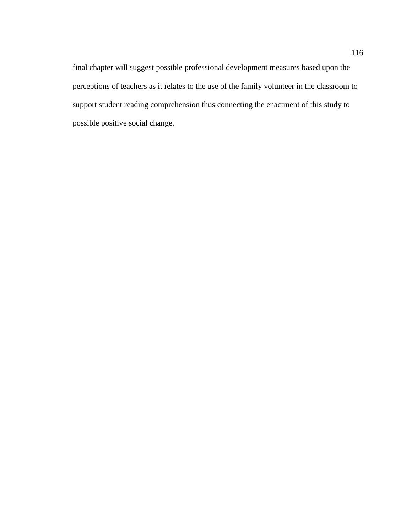final chapter will suggest possible professional development measures based upon the perceptions of teachers as it relates to the use of the family volunteer in the classroom to support student reading comprehension thus connecting the enactment of this study to possible positive social change.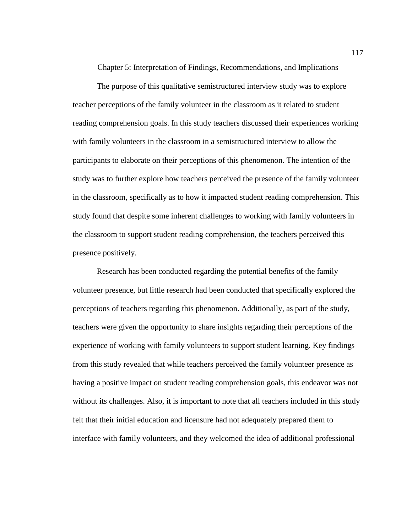Chapter 5: Interpretation of Findings, Recommendations, and Implications

The purpose of this qualitative semistructured interview study was to explore teacher perceptions of the family volunteer in the classroom as it related to student reading comprehension goals. In this study teachers discussed their experiences working with family volunteers in the classroom in a semistructured interview to allow the participants to elaborate on their perceptions of this phenomenon. The intention of the study was to further explore how teachers perceived the presence of the family volunteer in the classroom, specifically as to how it impacted student reading comprehension. This study found that despite some inherent challenges to working with family volunteers in the classroom to support student reading comprehension, the teachers perceived this presence positively.

Research has been conducted regarding the potential benefits of the family volunteer presence, but little research had been conducted that specifically explored the perceptions of teachers regarding this phenomenon. Additionally, as part of the study, teachers were given the opportunity to share insights regarding their perceptions of the experience of working with family volunteers to support student learning. Key findings from this study revealed that while teachers perceived the family volunteer presence as having a positive impact on student reading comprehension goals, this endeavor was not without its challenges. Also, it is important to note that all teachers included in this study felt that their initial education and licensure had not adequately prepared them to interface with family volunteers, and they welcomed the idea of additional professional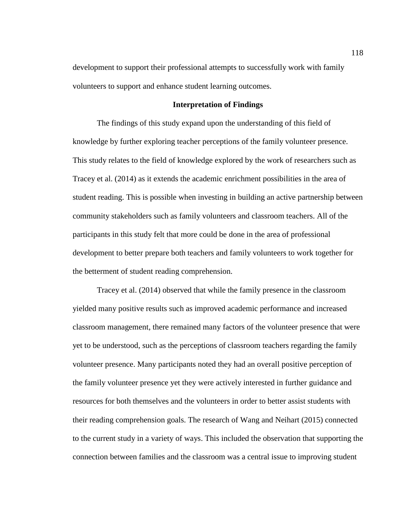development to support their professional attempts to successfully work with family volunteers to support and enhance student learning outcomes.

### **Interpretation of Findings**

The findings of this study expand upon the understanding of this field of knowledge by further exploring teacher perceptions of the family volunteer presence. This study relates to the field of knowledge explored by the work of researchers such as Tracey et al. (2014) as it extends the academic enrichment possibilities in the area of student reading. This is possible when investing in building an active partnership between community stakeholders such as family volunteers and classroom teachers. All of the participants in this study felt that more could be done in the area of professional development to better prepare both teachers and family volunteers to work together for the betterment of student reading comprehension.

Tracey et al. (2014) observed that while the family presence in the classroom yielded many positive results such as improved academic performance and increased classroom management, there remained many factors of the volunteer presence that were yet to be understood, such as the perceptions of classroom teachers regarding the family volunteer presence. Many participants noted they had an overall positive perception of the family volunteer presence yet they were actively interested in further guidance and resources for both themselves and the volunteers in order to better assist students with their reading comprehension goals. The research of Wang and Neihart (2015) connected to the current study in a variety of ways. This included the observation that supporting the connection between families and the classroom was a central issue to improving student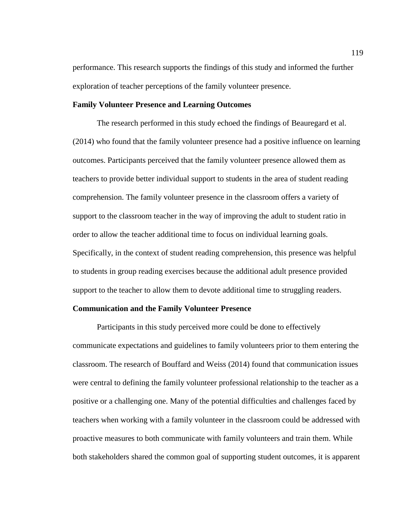performance. This research supports the findings of this study and informed the further exploration of teacher perceptions of the family volunteer presence.

### **Family Volunteer Presence and Learning Outcomes**

The research performed in this study echoed the findings of Beauregard et al. (2014) who found that the family volunteer presence had a positive influence on learning outcomes. Participants perceived that the family volunteer presence allowed them as teachers to provide better individual support to students in the area of student reading comprehension. The family volunteer presence in the classroom offers a variety of support to the classroom teacher in the way of improving the adult to student ratio in order to allow the teacher additional time to focus on individual learning goals. Specifically, in the context of student reading comprehension, this presence was helpful to students in group reading exercises because the additional adult presence provided support to the teacher to allow them to devote additional time to struggling readers.

# **Communication and the Family Volunteer Presence**

Participants in this study perceived more could be done to effectively communicate expectations and guidelines to family volunteers prior to them entering the classroom. The research of Bouffard and Weiss (2014) found that communication issues were central to defining the family volunteer professional relationship to the teacher as a positive or a challenging one. Many of the potential difficulties and challenges faced by teachers when working with a family volunteer in the classroom could be addressed with proactive measures to both communicate with family volunteers and train them. While both stakeholders shared the common goal of supporting student outcomes, it is apparent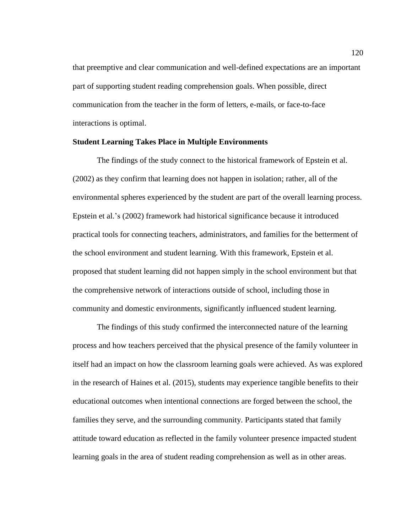that preemptive and clear communication and well-defined expectations are an important part of supporting student reading comprehension goals. When possible, direct communication from the teacher in the form of letters, e-mails, or face-to-face interactions is optimal.

# **Student Learning Takes Place in Multiple Environments**

The findings of the study connect to the historical framework of Epstein et al. (2002) as they confirm that learning does not happen in isolation; rather, all of the environmental spheres experienced by the student are part of the overall learning process. Epstein et al.'s (2002) framework had historical significance because it introduced practical tools for connecting teachers, administrators, and families for the betterment of the school environment and student learning. With this framework, Epstein et al. proposed that student learning did not happen simply in the school environment but that the comprehensive network of interactions outside of school, including those in community and domestic environments, significantly influenced student learning.

The findings of this study confirmed the interconnected nature of the learning process and how teachers perceived that the physical presence of the family volunteer in itself had an impact on how the classroom learning goals were achieved. As was explored in the research of Haines et al. (2015), students may experience tangible benefits to their educational outcomes when intentional connections are forged between the school, the families they serve, and the surrounding community. Participants stated that family attitude toward education as reflected in the family volunteer presence impacted student learning goals in the area of student reading comprehension as well as in other areas.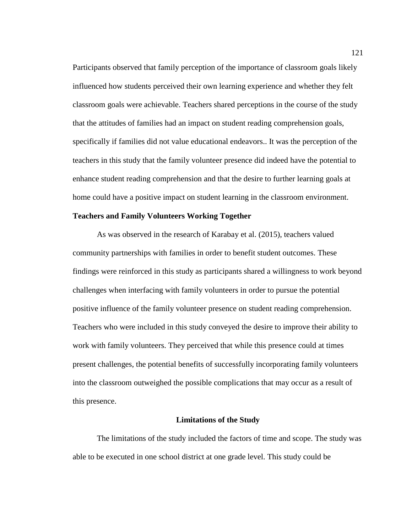Participants observed that family perception of the importance of classroom goals likely influenced how students perceived their own learning experience and whether they felt classroom goals were achievable. Teachers shared perceptions in the course of the study that the attitudes of families had an impact on student reading comprehension goals, specifically if families did not value educational endeavors.. It was the perception of the teachers in this study that the family volunteer presence did indeed have the potential to enhance student reading comprehension and that the desire to further learning goals at home could have a positive impact on student learning in the classroom environment.

#### **Teachers and Family Volunteers Working Together**

As was observed in the research of Karabay et al. (2015), teachers valued community partnerships with families in order to benefit student outcomes. These findings were reinforced in this study as participants shared a willingness to work beyond challenges when interfacing with family volunteers in order to pursue the potential positive influence of the family volunteer presence on student reading comprehension. Teachers who were included in this study conveyed the desire to improve their ability to work with family volunteers. They perceived that while this presence could at times present challenges, the potential benefits of successfully incorporating family volunteers into the classroom outweighed the possible complications that may occur as a result of this presence.

#### **Limitations of the Study**

The limitations of the study included the factors of time and scope. The study was able to be executed in one school district at one grade level. This study could be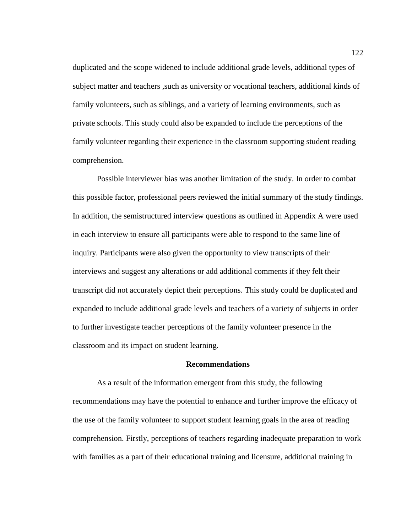duplicated and the scope widened to include additional grade levels, additional types of subject matter and teachers ,such as university or vocational teachers, additional kinds of family volunteers, such as siblings, and a variety of learning environments, such as private schools. This study could also be expanded to include the perceptions of the family volunteer regarding their experience in the classroom supporting student reading comprehension.

Possible interviewer bias was another limitation of the study. In order to combat this possible factor, professional peers reviewed the initial summary of the study findings. In addition, the semistructured interview questions as outlined in Appendix A were used in each interview to ensure all participants were able to respond to the same line of inquiry. Participants were also given the opportunity to view transcripts of their interviews and suggest any alterations or add additional comments if they felt their transcript did not accurately depict their perceptions. This study could be duplicated and expanded to include additional grade levels and teachers of a variety of subjects in order to further investigate teacher perceptions of the family volunteer presence in the classroom and its impact on student learning.

### **Recommendations**

As a result of the information emergent from this study, the following recommendations may have the potential to enhance and further improve the efficacy of the use of the family volunteer to support student learning goals in the area of reading comprehension. Firstly, perceptions of teachers regarding inadequate preparation to work with families as a part of their educational training and licensure, additional training in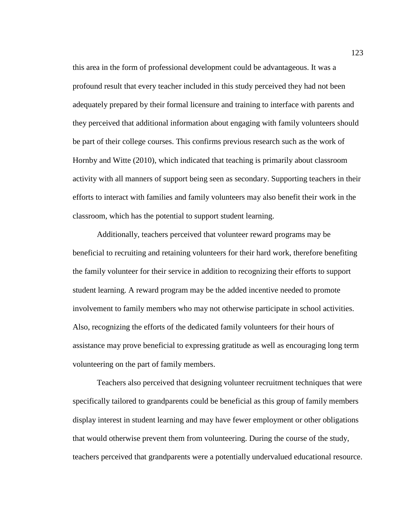this area in the form of professional development could be advantageous. It was a profound result that every teacher included in this study perceived they had not been adequately prepared by their formal licensure and training to interface with parents and they perceived that additional information about engaging with family volunteers should be part of their college courses. This confirms previous research such as the work of Hornby and Witte (2010), which indicated that teaching is primarily about classroom activity with all manners of support being seen as secondary. Supporting teachers in their efforts to interact with families and family volunteers may also benefit their work in the classroom, which has the potential to support student learning.

Additionally, teachers perceived that volunteer reward programs may be beneficial to recruiting and retaining volunteers for their hard work, therefore benefiting the family volunteer for their service in addition to recognizing their efforts to support student learning. A reward program may be the added incentive needed to promote involvement to family members who may not otherwise participate in school activities. Also, recognizing the efforts of the dedicated family volunteers for their hours of assistance may prove beneficial to expressing gratitude as well as encouraging long term volunteering on the part of family members.

Teachers also perceived that designing volunteer recruitment techniques that were specifically tailored to grandparents could be beneficial as this group of family members display interest in student learning and may have fewer employment or other obligations that would otherwise prevent them from volunteering. During the course of the study, teachers perceived that grandparents were a potentially undervalued educational resource.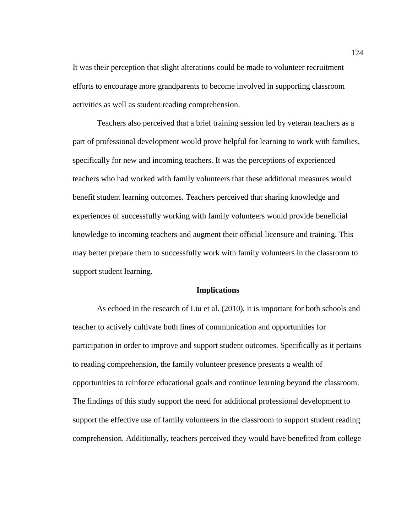It was their perception that slight alterations could be made to volunteer recruitment efforts to encourage more grandparents to become involved in supporting classroom activities as well as student reading comprehension.

Teachers also perceived that a brief training session led by veteran teachers as a part of professional development would prove helpful for learning to work with families, specifically for new and incoming teachers. It was the perceptions of experienced teachers who had worked with family volunteers that these additional measures would benefit student learning outcomes. Teachers perceived that sharing knowledge and experiences of successfully working with family volunteers would provide beneficial knowledge to incoming teachers and augment their official licensure and training. This may better prepare them to successfully work with family volunteers in the classroom to support student learning.

### **Implications**

As echoed in the research of Liu et al. (2010), it is important for both schools and teacher to actively cultivate both lines of communication and opportunities for participation in order to improve and support student outcomes. Specifically as it pertains to reading comprehension, the family volunteer presence presents a wealth of opportunities to reinforce educational goals and continue learning beyond the classroom. The findings of this study support the need for additional professional development to support the effective use of family volunteers in the classroom to support student reading comprehension. Additionally, teachers perceived they would have benefited from college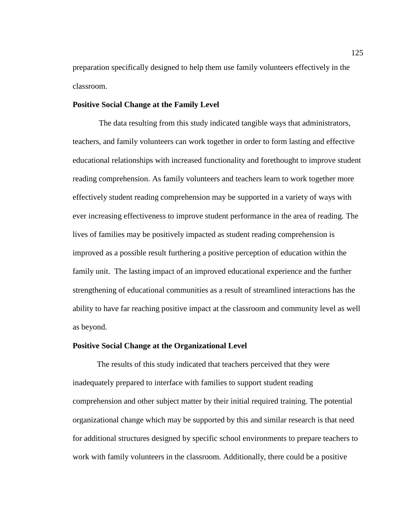preparation specifically designed to help them use family volunteers effectively in the classroom.

# **Positive Social Change at the Family Level**

The data resulting from this study indicated tangible ways that administrators, teachers, and family volunteers can work together in order to form lasting and effective educational relationships with increased functionality and forethought to improve student reading comprehension. As family volunteers and teachers learn to work together more effectively student reading comprehension may be supported in a variety of ways with ever increasing effectiveness to improve student performance in the area of reading. The lives of families may be positively impacted as student reading comprehension is improved as a possible result furthering a positive perception of education within the family unit. The lasting impact of an improved educational experience and the further strengthening of educational communities as a result of streamlined interactions has the ability to have far reaching positive impact at the classroom and community level as well as beyond.

# **Positive Social Change at the Organizational Level**

The results of this study indicated that teachers perceived that they were inadequately prepared to interface with families to support student reading comprehension and other subject matter by their initial required training. The potential organizational change which may be supported by this and similar research is that need for additional structures designed by specific school environments to prepare teachers to work with family volunteers in the classroom. Additionally, there could be a positive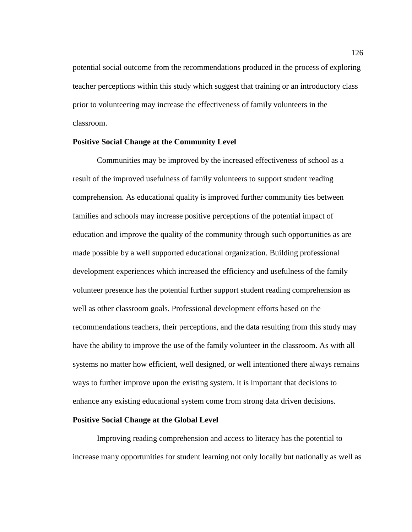potential social outcome from the recommendations produced in the process of exploring teacher perceptions within this study which suggest that training or an introductory class prior to volunteering may increase the effectiveness of family volunteers in the classroom.

# **Positive Social Change at the Community Level**

Communities may be improved by the increased effectiveness of school as a result of the improved usefulness of family volunteers to support student reading comprehension. As educational quality is improved further community ties between families and schools may increase positive perceptions of the potential impact of education and improve the quality of the community through such opportunities as are made possible by a well supported educational organization. Building professional development experiences which increased the efficiency and usefulness of the family volunteer presence has the potential further support student reading comprehension as well as other classroom goals. Professional development efforts based on the recommendations teachers, their perceptions, and the data resulting from this study may have the ability to improve the use of the family volunteer in the classroom. As with all systems no matter how efficient, well designed, or well intentioned there always remains ways to further improve upon the existing system. It is important that decisions to enhance any existing educational system come from strong data driven decisions.

### **Positive Social Change at the Global Level**

Improving reading comprehension and access to literacy has the potential to increase many opportunities for student learning not only locally but nationally as well as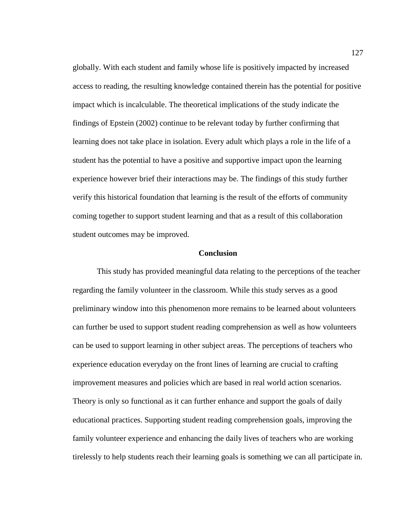globally. With each student and family whose life is positively impacted by increased access to reading, the resulting knowledge contained therein has the potential for positive impact which is incalculable. The theoretical implications of the study indicate the findings of Epstein (2002) continue to be relevant today by further confirming that learning does not take place in isolation. Every adult which plays a role in the life of a student has the potential to have a positive and supportive impact upon the learning experience however brief their interactions may be. The findings of this study further verify this historical foundation that learning is the result of the efforts of community coming together to support student learning and that as a result of this collaboration student outcomes may be improved.

# **Conclusion**

This study has provided meaningful data relating to the perceptions of the teacher regarding the family volunteer in the classroom. While this study serves as a good preliminary window into this phenomenon more remains to be learned about volunteers can further be used to support student reading comprehension as well as how volunteers can be used to support learning in other subject areas. The perceptions of teachers who experience education everyday on the front lines of learning are crucial to crafting improvement measures and policies which are based in real world action scenarios. Theory is only so functional as it can further enhance and support the goals of daily educational practices. Supporting student reading comprehension goals, improving the family volunteer experience and enhancing the daily lives of teachers who are working tirelessly to help students reach their learning goals is something we can all participate in.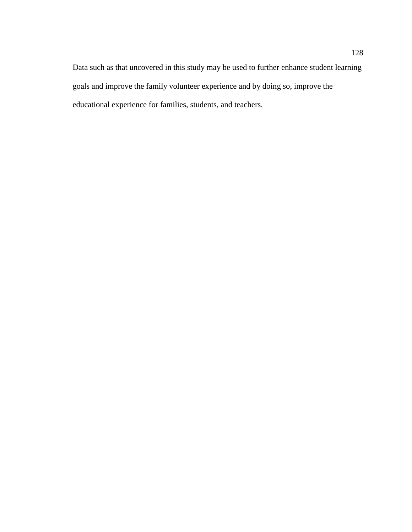Data such as that uncovered in this study may be used to further enhance student learning goals and improve the family volunteer experience and by doing so, improve the educational experience for families, students, and teachers.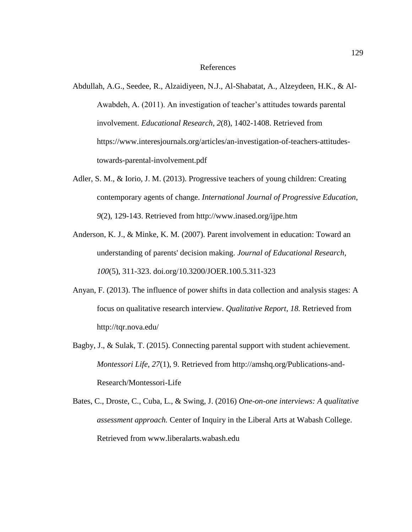#### References

- Abdullah, A.G., Seedee, R., Alzaidiyeen, N.J., Al-Shabatat, A., Alzeydeen, H.K., & Al-Awabdeh, A. (2011). An investigation of teacher's attitudes towards parental involvement. *Educational Research, 2*(8), 1402-1408. Retrieved from https://www.interesjournals.org/articles/an-investigation-of-teachers-attitudestowards-parental-involvement.pdf
- Adler, S. M., & Iorio, J. M. (2013). Progressive teachers of young children: Creating contemporary agents of change. *International Journal of Progressive Education*, *9*(2), 129-143. Retrieved from http://www.inased.org/ijpe.htm
- Anderson, K. J., & Minke, K. M. (2007). Parent involvement in education: Toward an understanding of parents' decision making. *Journal of Educational Research*, *100*(5), 311-323. [doi.org/10.3200/JOER.100.5.311-323](http://dx.doi.org/10.3200/JOER.100.5.311-323)
- Anyan, F. (2013). The influence of power shifts in data collection and analysis stages: A focus on qualitative research interview. *Qualitative Report*, *18.* Retrieved from http://tqr.nova.edu/
- Bagby, J., & Sulak, T. (2015). Connecting parental support with student achievement. *Montessori Life*, *27*(1), 9. Retrieved from http://amshq.org/Publications-and-Research/Montessori-Life
- Bates, C., Droste, C., Cuba, L., & Swing, J. (2016) *One-on-one interviews: A qualitative assessment approach.* Center of Inquiry in the Liberal Arts at Wabash College. Retrieved from www.liberalarts.wabash.edu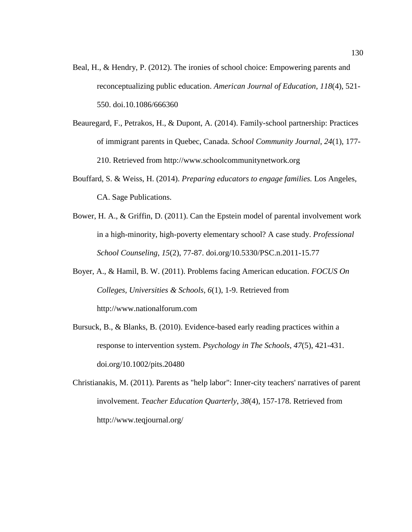- Beal, H., & Hendry, P. (2012). The ironies of school choice: Empowering parents and reconceptualizing public education. *American Journal of Education*, *118*(4), 521- 550. doi.10.1086/666360
- Beauregard, F., Petrakos, H., & Dupont, A. (2014). Family-school partnership: Practices of immigrant parents in Quebec, Canada. *School Community Journal*, *24*(1), 177- 210. Retrieved from http://www.schoolcommunitynetwork.org
- Bouffard, S. & Weiss, H. (2014). *Preparing educators to engage families.* Los Angeles, CA. Sage Publications.
- Bower, H. A., & Griffin, D. (2011). Can the Epstein model of parental involvement work in a high-minority, high-poverty elementary school? A case study. *Professional School Counseling*, *15*(2), 77-87. [doi.org/10.5330/PSC.n.2011-15.77](http://dx.doi.org/10.5330/PSC.n.2011-15.77)
- Boyer, A., & Hamil, B. W. (2011). Problems facing American education. *FOCUS On Colleges, Universities & Schools*, *6*(1), 1-9. Retrieved from http://www.nationalforum.com
- Bursuck, B., & Blanks, B. (2010). Evidence-based early reading practices within a response to intervention system. *Psychology in The Schools*, *47*(5), 421-431. [doi.org/10.1002/pits.20480](http://dx.doi.org/10.1002/pits.20480)
- Christianakis, M. (2011). Parents as "help labor": Inner-city teachers' narratives of parent involvement. *Teacher Education Quarterly*, *38*(4), 157-178. Retrieved from http://www.teqjournal.org/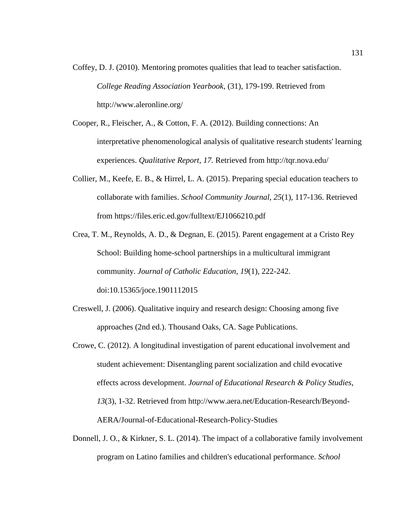- Coffey, D. J. (2010). Mentoring promotes qualities that lead to teacher satisfaction. *College Reading Association Yearbook*, (31), 179-199. Retrieved from http://www.aleronline.org/
- Cooper, R., Fleischer, A., & Cotton, F. A. (2012). Building connections: An interpretative phenomenological analysis of qualitative research students' learning experiences. *Qualitative Report*, *17.* Retrieved from http://tqr.nova.edu/
- Collier, M., Keefe, E. B., & Hirrel, L. A. (2015). Preparing special education teachers to collaborate with families. *School Community Journal*, *25*(1), 117-136. Retrieved from<https://files.eric.ed.gov/fulltext/EJ1066210.pdf>
- Crea, T. M., Reynolds, A. D., & Degnan, E. (2015). Parent engagement at a Cristo Rey School: Building home-school partnerships in a multicultural immigrant community. *Journal of Catholic Education*, *19*(1), 222-242. doi:10.15365/joce.1901112015
- Creswell, J. (2006). Qualitative inquiry and research design: Choosing among five approaches (2nd ed.). Thousand Oaks, CA. Sage Publications.
- Crowe, C. (2012). A longitudinal investigation of parent educational involvement and student achievement: Disentangling parent socialization and child evocative effects across development. *Journal of Educational Research & Policy Studies*, *13*(3), 1-32. Retrieved from http://www.aera.net/Education-Research/Beyond-AERA/Journal-of-Educational-Research-Policy-Studies
- Donnell, J. O., & Kirkner, S. L. (2014). The impact of a collaborative family involvement program on Latino families and children's educational performance. *School*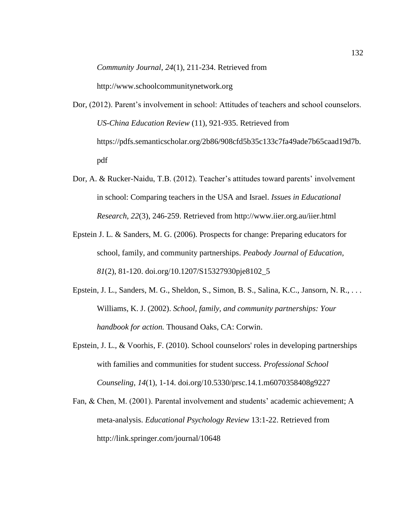*Community Journal*, *24*(1), 211-234. Retrieved from

http://www.schoolcommunitynetwork.org

- Dor, (2012). Parent's involvement in school: Attitudes of teachers and school counselors. *US-China Education Review* (11), 921-935. Retrieved from https://pdfs.semanticscholar.org/2b86/908cfd5b35c133c7fa49ade7b65caad19d7b. pdf
- Dor, A. & Rucker-Naidu, T.B. (2012). Teacher's attitudes toward parents' involvement in school: Comparing teachers in the USA and Israel. *Issues in Educational Research, 22*(3), 246-259. Retrieved from<http://www.iier.org.au/iier.html>
- Epstein J. L. & Sanders, M. G. (2006). Prospects for change: Preparing educators for school, family, and community partnerships. *Peabody Journal of Education, 81*(2), 81-120. [doi.org/10.1207/S15327930pje8102\\_5](http://dx.doi.org/10.1207/S15327930pje8102_5)
- Epstein, J. L., Sanders, M. G., Sheldon, S., Simon, B. S., Salina, K.C., Jansorn, N. R., . . . Williams, K. J. (2002). *School, family, and community partnerships: Your handbook for action.* Thousand Oaks, CA: Corwin.
- Epstein, J. L., & Voorhis, F. (2010). School counselors' roles in developing partnerships with families and communities for student success. *Professional School Counseling*, *14*(1), 1-14. [doi.org/10.5330/prsc.14.1.m6070358408g9227](http://dx.doi.org/10.5330/prsc.14.1.m6070358408g9227)
- Fan, & Chen, M. (2001). Parental involvement and students' academic achievement; A meta-analysis. *Educational Psychology Review* 13:1-22. Retrieved from http://link.springer.com/journal/10648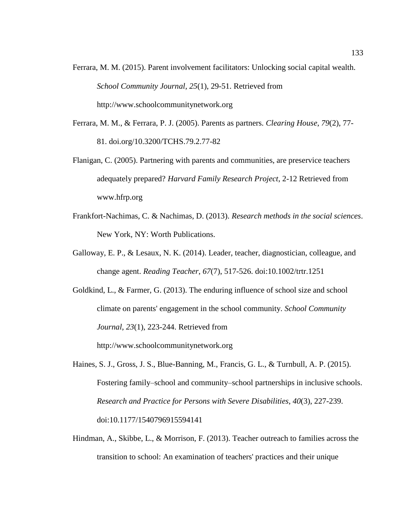- Ferrara, M. M. (2015). Parent involvement facilitators: Unlocking social capital wealth. *School Community Journal*, *25*(1), 29-51. Retrieved from http://www.schoolcommunitynetwork.org
- Ferrara, M. M., & Ferrara, P. J. (2005). Parents as partners. *Clearing House*, *79*(2), 77- 81. [doi.org/10.3200/TCHS.79.2.77-82](http://dx.doi.org/10.3200/TCHS.79.2.77-82)
- Flanigan, C. (2005). Partnering with parents and communities, are preservice teachers adequately prepared? *Harvard Family Research Project*, 2-12 Retrieved from www.hfrp.org
- Frankfort-Nachimas, C. & Nachimas, D. (2013). *Research methods in the social sciences*. New York, NY: Worth Publications.
- Galloway, E. P., & Lesaux, N. K. (2014). Leader, teacher, diagnostician, colleague, and change agent. *Reading Teacher*, *67*(7), 517-526. doi:10.1002/trtr.1251
- Goldkind, L., & Farmer, G. (2013). The enduring influence of school size and school climate on parents' engagement in the school community. *School Community Journal*, *23*(1), 223-244. Retrieved from

http://www.schoolcommunitynetwork.org

- Haines, S. J., Gross, J. S., Blue-Banning, M., Francis, G. L., & Turnbull, A. P. (2015). Fostering family–school and community–school partnerships in inclusive schools. *Research and Practice for Persons with Severe Disabilities*, *40*(3), 227-239. doi:10.1177/1540796915594141
- Hindman, A., Skibbe, L., & Morrison, F. (2013). Teacher outreach to families across the transition to school: An examination of teachers' practices and their unique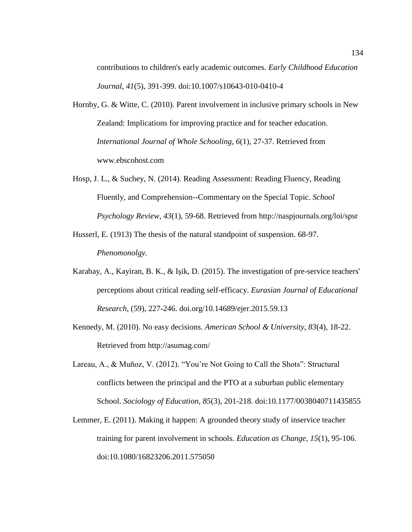contributions to children's early academic outcomes. *Early Childhood Education Journal*, *41*(5), 391-399. doi:10.1007/s10643-010-0410-4

- Hornby, G. & Witte, C. (2010). Parent involvement in inclusive primary schools in New Zealand: Implications for improving practice and for teacher education. *International Journal of Whole Schooling, 6*(1), 27-37. Retrieved from www.ebscohost.com
- Hosp, J. L., & Suchey, N. (2014). Reading Assessment: Reading Fluency, Reading Fluently, and Comprehension--Commentary on the Special Topic. *School Psychology Review*, *43*(1), 59-68. Retrieved from http://naspjournals.org/loi/spsr
- Husserl, E. (1913) The thesis of the natural standpoint of suspension. 68-97. *Phenomonolgy.*
- Karabay, A., Kayiran, B. K., & Işik, D. (2015). The investigation of pre-service teachers' perceptions about critical reading self-efficacy. *Eurasian Journal of Educational Research*, (59), 227-246. [doi.org/10.14689/ejer.2015.59.13](http://dx.doi.org/10.14689/ejer.2015.59.13)
- Kennedy, M. (2010). No easy decisions. *American School & University*, *83*(4), 18-22. Retrieved from http://asumag.com/
- Lareau, A., & Muñoz, V. (2012). "You're Not Going to Call the Shots": Structural conflicts between the principal and the PTO at a suburban public elementary School. *Sociology of Education*, *85*(3), 201-218. doi:10.1177/0038040711435855
- Lemmer, E. (2011). Making it happen: A grounded theory study of inservice teacher training for parent involvement in schools. *Education as Change*, *15*(1), 95-106. doi:10.1080/16823206.2011.575050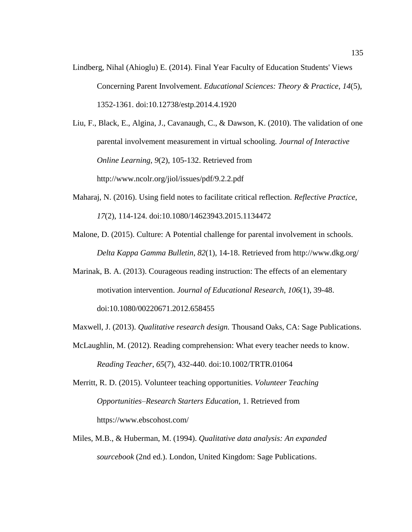Lindberg, Nihal (Ahioglu) E. (2014). Final Year Faculty of Education Students' Views Concerning Parent Involvement. *Educational Sciences: Theory & Practice*, *14*(5), 1352-1361. doi:10.12738/estp.2014.4.1920

Liu, F., Black, E., Algina, J., Cavanaugh, C., & Dawson, K. (2010). The validation of one parental involvement measurement in virtual schooling. *Journal of Interactive Online Learning*, *9*(2), 105-132. Retrieved from [http://www.ncolr.org/j](http://www.ncolr.org/)iol/issues/pdf/9.2.2.pdf

- Maharaj, N. (2016). Using field notes to facilitate critical reflection. *Reflective Practice*, *17*(2), 114-124. doi:10.1080/14623943.2015.1134472
- Malone, D. (2015). Culture: A Potential challenge for parental involvement in schools. *Delta Kappa Gamma Bulletin*, *82*(1), 14-18. Retrieved from http://www.dkg.org/
- Marinak, B. A. (2013). Courageous reading instruction: The effects of an elementary motivation intervention. *Journal of Educational Research*, *106*(1), 39-48. doi:10.1080/00220671.2012.658455
- Maxwell, J. (2013). *Qualitative research design.* Thousand Oaks, CA: Sage Publications.
- McLaughlin, M. (2012). Reading comprehension: What every teacher needs to know. *Reading Teacher*, *65*(7), 432-440. doi:10.1002/TRTR.01064
- Merritt, R. D. (2015). Volunteer teaching opportunities. *Volunteer Teaching Opportunities–Research Starters Education*, 1. Retrieved from https://www.ebscohost.com/
- Miles, M.B., & Huberman, M. (1994). *Qualitative data analysis: An expanded sourcebook* (2nd ed.). London, United Kingdom: Sage Publications.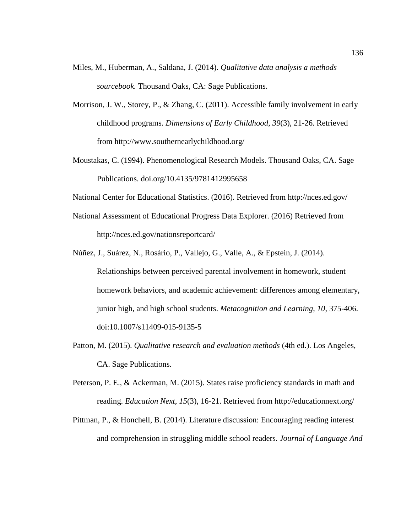- Miles, M., Huberman, A., Saldana, J. (2014). *Qualitative data analysis a methods sourcebook.* Thousand Oaks, CA: Sage Publications.
- Morrison, J. W., Storey, P., & Zhang, C. (2011). Accessible family involvement in early childhood programs. *Dimensions of Early Childhood*, *39*(3), 21-26. Retrieved from http://www.southernearlychildhood.org/
- Moustakas, C. (1994). Phenomenological Research Models. Thousand Oaks, CA. Sage Publications. [doi.org/10.4135/9781412995658](http://dx.doi.org/10.4135/9781412995658)

National Center for Educational Statistics. (2016). Retrieved from http://nces.ed.gov/

- National Assessment of Educational Progress Data Explorer. (2016) Retrieved from http://nces.ed.gov/nationsreportcard/
- Núñez, J., Suárez, N., Rosário, P., Vallejo, G., Valle, A., & Epstein, J. (2014). Relationships between perceived parental involvement in homework, student homework behaviors, and academic achievement: differences among elementary, junior high, and high school students. *Metacognition and Learning, 10*, 375-406. doi:10.1007/s11409-015-9135-5
- Patton, M. (2015). *Qualitative research and evaluation methods* (4th ed.). Los Angeles, CA. Sage Publications.
- Peterson, P. E., & Ackerman, M. (2015). States raise proficiency standards in math and reading. *Education Next*, *15*(3), 16-21. Retrieved from http://educationnext.org/
- Pittman, P., & Honchell, B. (2014). Literature discussion: Encouraging reading interest and comprehension in struggling middle school readers. *Journal of Language And*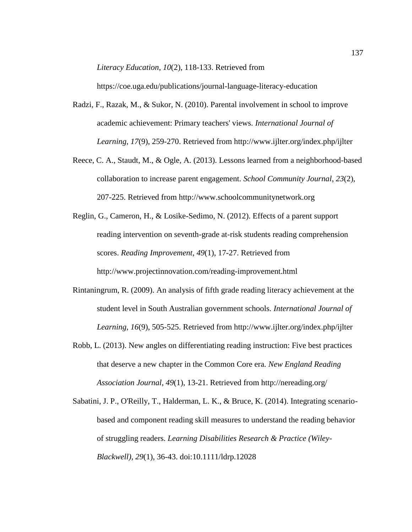*Literacy Education*, *10*(2), 118-133. Retrieved from

https://coe.uga.edu/publications/journal-language-literacy-education

- Radzi, F., Razak, M., & Sukor, N. (2010). Parental involvement in school to improve academic achievement: Primary teachers' views. *International Journal of Learning*, *17*(9), 259-270. Retrieved from http://www.ijlter.org/index.php/ijlter
- Reece, C. A., Staudt, M., & Ogle, A. (2013). Lessons learned from a neighborhood-based collaboration to increase parent engagement. *School Community Journal*, *23*(2), 207-225. Retrieved from http://www.schoolcommunitynetwork.org
- Reglin, G., Cameron, H., & Losike-Sedimo, N. (2012). Effects of a parent support reading intervention on seventh-grade at-risk students reading comprehension scores. *Reading Improvement*, *49*(1), 17-27. Retrieved from http://www.projectinnovation.com/reading-improvement.html
- Rintaningrum, R. (2009). An analysis of fifth grade reading literacy achievement at the student level in South Australian government schools. *International Journal of Learning*, *16*(9), 505-525. Retrieved from http://www.ijlter.org/index.php/ijlter
- Robb, L. (2013). New angles on differentiating reading instruction: Five best practices that deserve a new chapter in the Common Core era. *New England Reading Association Journal*, *49*(1), 13-21. Retrieved from http://nereading.org/
- Sabatini, J. P., O'Reilly, T., Halderman, L. K., & Bruce, K. (2014). Integrating scenariobased and component reading skill measures to understand the reading behavior of struggling readers. *Learning Disabilities Research & Practice (Wiley-Blackwell)*, *29*(1), 36-43. doi:10.1111/ldrp.12028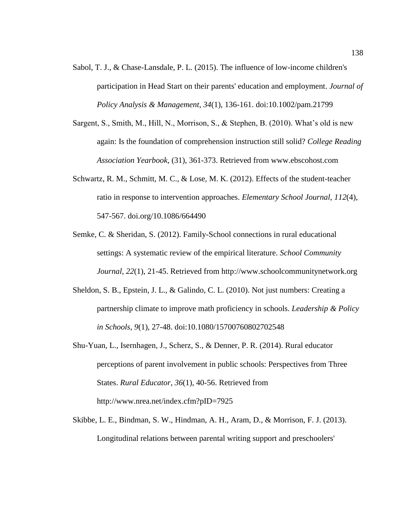- Sabol, T. J., & Chase-Lansdale, P. L. (2015). The influence of low-income children's participation in Head Start on their parents' education and employment. *Journal of Policy Analysis & Management*, *34*(1), 136-161. doi:10.1002/pam.21799
- Sargent, S., Smith, M., Hill, N., Morrison, S., & Stephen, B. (2010). What's old is new again: Is the foundation of comprehension instruction still solid? *College Reading Association Yearbook*, (31), 361-373. Retrieved from www.ebscohost.com
- Schwartz, R. M., Schmitt, M. C., & Lose, M. K. (2012). Effects of the student-teacher ratio in response to intervention approaches. *Elementary School Journal*, *112*(4), 547-567. [doi.org/10.1086/664490](http://dx.doi.org/10.1086/664490)
- Semke, C. & Sheridan, S. (2012). Family-School connections in rural educational settings: A systematic review of the empirical literature. *School Community Journal, 22*(1), 21-45. Retrieved from http://www.schoolcommunitynetwork.org
- Sheldon, S. B., Epstein, J. L., & Galindo, C. L. (2010). Not just numbers: Creating a partnership climate to improve math proficiency in schools. *Leadership & Policy in Schools*, *9*(1), 27-48. doi:10.1080/15700760802702548
- Shu-Yuan, L., Isernhagen, J., Scherz, S., & Denner, P. R. (2014). Rural educator perceptions of parent involvement in public schools: Perspectives from Three States. *Rural Educator*, *36*(1), 40-56. Retrieved from http://www.nrea.net/index.cfm?pID=7925
- Skibbe, L. E., Bindman, S. W., Hindman, A. H., Aram, D., & Morrison, F. J. (2013). Longitudinal relations between parental writing support and preschoolers'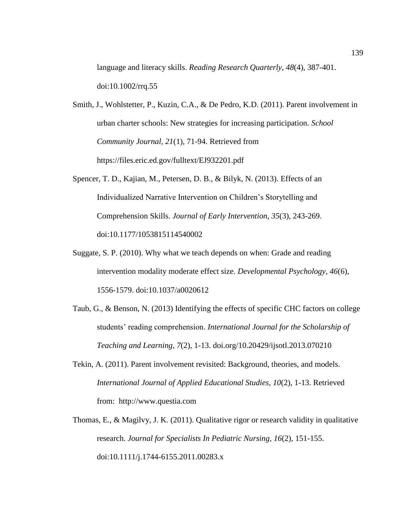language and literacy skills. *Reading Research Quarterly*, *48*(4), 387-401. doi:10.1002/rrq.55

- Smith, J., Wohlstetter, P., Kuzin, C.A., & De Pedro, K.D. (2011). Parent involvement in urban charter schools: New strategies for increasing participation. *School Community Journal, 21*(1), 71-94. Retrieved from https://files.eric.ed.gov/fulltext/EJ932201.pdf
- Spencer, T. D., Kajian, M., Petersen, D. B., & Bilyk, N. (2013). Effects of an Individualized Narrative Intervention on Children's Storytelling and Comprehension Skills. *Journal of Early Intervention*, *35*(3), 243-269. doi:10.1177/1053815114540002
- Suggate, S. P. (2010). Why what we teach depends on when: Grade and reading intervention modality moderate effect size. *Developmental Psychology*, *46*(6), 1556-1579. doi:10.1037/a0020612
- Taub, G., & Benson, N. (2013) Identifying the effects of specific CHC factors on college students' reading comprehension. *International Journal for the Scholarship of Teaching and Learning*, *7*(2), 1-13. [doi.org/10.20429/ijsotl.2013.070210](http://dx.doi.org/10.20429/ijsotl.2013.070210)
- Tekin, A. (2011). Parent involvement revisited: Background, theories, and models. *International Journal of Applied Educational Studies*, *10*(2), 1-13. Retrieved from: [http://www.questia.com](http://www.questia.com/)
- Thomas, E., & Magilvy, J. K. (2011). Qualitative rigor or research validity in qualitative research. *Journal for Specialists In Pediatric Nursing*, *16*(2), 151-155. doi:10.1111/j.1744-6155.2011.00283.x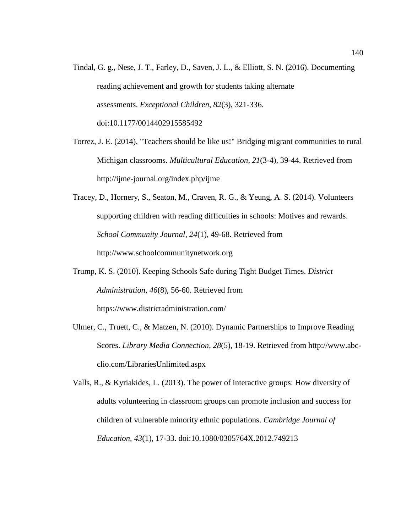- Tindal, G. g., Nese, J. T., Farley, D., Saven, J. L., & Elliott, S. N. (2016). Documenting reading achievement and growth for students taking alternate assessments. *Exceptional Children*, *82*(3), 321-336. doi:10.1177/0014402915585492
- Torrez, J. E. (2014). "Teachers should be like us!" Bridging migrant communities to rural Michigan classrooms. *Multicultural Education*, *21*(3-4), 39-44. Retrieved from http://ijme-journal.org/index.php/ijme
- Tracey, D., Hornery, S., Seaton, M., Craven, R. G., & Yeung, A. S. (2014). Volunteers supporting children with reading difficulties in schools: Motives and rewards. *School Community Journal*, *24*(1), 49-68. Retrieved from http://www.schoolcommunitynetwork.org
- Trump, K. S. (2010). Keeping Schools Safe during Tight Budget Times. *District Administration*, *46*(8), 56-60. Retrieved from https://www.districtadministration.com/
- Ulmer, C., Truett, C., & Matzen, N. (2010). Dynamic Partnerships to Improve Reading Scores. *Library Media Connection*, *28*(5), 18-19. Retrieved from http://www.abcclio.com/LibrariesUnlimited.aspx
- Valls, R., & Kyriakides, L. (2013). The power of interactive groups: How diversity of adults volunteering in classroom groups can promote inclusion and success for children of vulnerable minority ethnic populations. *Cambridge Journal of Education*, *43*(1), 17-33. doi:10.1080/0305764X.2012.749213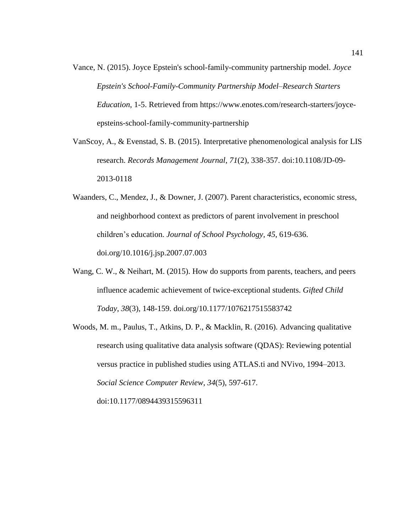- Vance, N. (2015). Joyce Epstein's school-family-community partnership model. *Joyce Epstein's School-Family-Community Partnership Model–Research Starters Education*, 1-5. Retrieved from [https://www.enotes.com/research-starters/joyce](https://www.enotes.com/research-starters/joyce-epsteins-school-family-community-partnership0)[epsteins-school-family-community-partnership](https://www.enotes.com/research-starters/joyce-epsteins-school-family-community-partnership0)
- VanScoy, A., & Evenstad, S. B. (2015). Interpretative phenomenological analysis for LIS research. *Records Management Journal*, *71*(2), 338-357. doi:10.1108/JD-09- 2013-0118
- Waanders, C., Mendez, J., & Downer, J. (2007). Parent characteristics, economic stress, and neighborhood context as predictors of parent involvement in preschool children's education. *Journal of School Psychology, 45*, 619-636. [doi.org/10.1016/j.jsp.2007.07.003](http://dx.doi.org/10.1016/j.jsp.2007.07.003)
- Wang, C. W., & Neihart, M. (2015). How do supports from parents, teachers, and peers influence academic achievement of twice-exceptional students. *Gifted Child Today*, *38*(3), 148-159. [doi.org/10.1177/1076217515583742](http://dx.doi.org/10.1177/1076217515583742)
- Woods, M. m., Paulus, T., Atkins, D. P., & Macklin, R. (2016). Advancing qualitative research using qualitative data analysis software (QDAS): Reviewing potential versus practice in published studies using ATLAS.ti and NVivo, 1994–2013. *Social Science Computer Review*, *34*(5), 597-617. doi:10.1177/0894439315596311